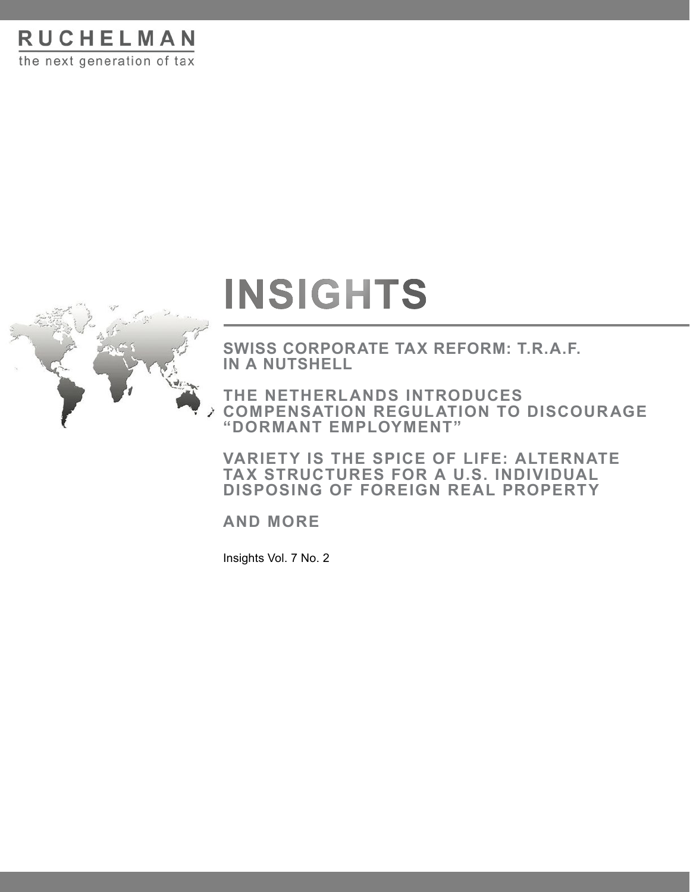**RUCHELMAN** the next generation of tax



# **INSIGHTS**

**SWISS CORPORATE TAX REFORM: T.R.A.F. IN A NUTSHELL**

**THE NETHERLANDS INTRODUCES COMPENSATION REGULATION TO DISCOURAGE "DORMANT EMPLOYMENT"**

**VARIETY IS THE SPICE OF LIFE: ALTERNATE TAX STRUCTURES FOR A U.S. INDIVIDUAL DISPOSING OF FOREIGN REAL PROPERTY**

**AND MORE**

Insights Vol. 7 No. 2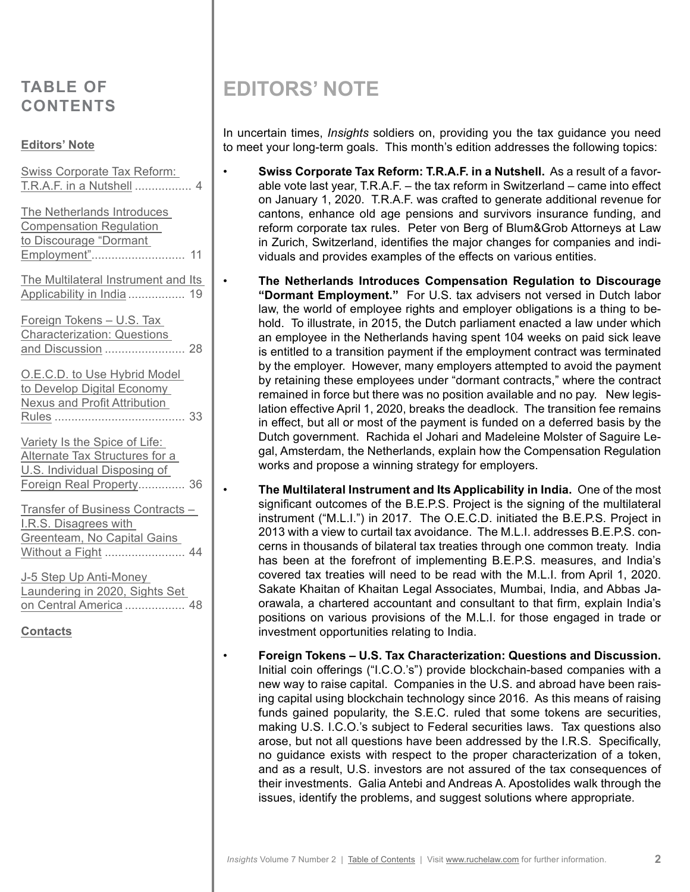# <span id="page-1-0"></span>**TABLE OF CONTENTS**

### **Editors' Note**

| <b>Swiss Corporate Tax Reform:</b><br>T.R.A.F. in a Nutshell<br>4                                                           |
|-----------------------------------------------------------------------------------------------------------------------------|
| The Netherlands Introduces<br><b>Compensation Regulation</b><br>to Discourage "Dormant<br>Employment"<br>11                 |
| The Multilateral Instrument and Its<br>Applicability in India<br>19                                                         |
| Foreign Tokens - U.S. Tax<br><b>Characterization: Questions</b>                                                             |
| O.E.C.D. to Use Hybrid Model<br>to Develop Digital Economy<br><b>Nexus and Profit Attribution</b>                           |
| Variety Is the Spice of Life:<br>Alternate Tax Structures for a<br>U.S. Individual Disposing of<br>Foreign Real Property 36 |
| Transfer of Business Contracts -<br>I.R.S. Disagrees with<br>Greenteam, No Capital Gains<br>Without a Fight  44             |
| J-5 Step Up Anti-Money<br>Laundering in 2020, Sights Set<br>on Central America  48<br><b>Contacts</b>                       |

# **EDITORS' NOTE**

In uncertain times, *Insights* soldiers on, providing you the tax guidance you need to meet your long-term goals. This month's edition addresses the following topics:

- **Swiss Corporate Tax Reform: T.R.A.F. in a Nutshell.** As a result of a favorable vote last year, T.R.A.F. – the tax reform in Switzerland – came into effect on January 1, 2020. T.R.A.F. was crafted to generate additional revenue for cantons, enhance old age pensions and survivors insurance funding, and reform corporate tax rules. Peter von Berg of Blum&Grob Attorneys at Law in Zurich, Switzerland, identifies the major changes for companies and individuals and provides examples of the effects on various entities.
- **The Netherlands Introduces Compensation Regulation to Discourage "Dormant Employment."** For U.S. tax advisers not versed in Dutch labor law, the world of employee rights and employer obligations is a thing to behold. To illustrate, in 2015, the Dutch parliament enacted a law under which an employee in the Netherlands having spent 104 weeks on paid sick leave is entitled to a transition payment if the employment contract was terminated by the employer. However, many employers attempted to avoid the payment by retaining these employees under "dormant contracts," where the contract remained in force but there was no position available and no pay. New legislation effective April 1, 2020, breaks the deadlock. The transition fee remains in effect, but all or most of the payment is funded on a deferred basis by the Dutch government. Rachida el Johari and Madeleine Molster of Saguire Legal, Amsterdam, the Netherlands, explain how the Compensation Regulation works and propose a winning strategy for employers.

• **The Multilateral Instrument and Its Applicability in India.** One of the most significant outcomes of the B.E.P.S. Project is the signing of the multilateral instrument ("M.L.I.") in 2017. The O.E.C.D. initiated the B.E.P.S. Project in 2013 with a view to curtail tax avoidance. The M.L.I. addresses B.E.P.S. concerns in thousands of bilateral tax treaties through one common treaty. India has been at the forefront of implementing B.E.P.S. measures, and India's covered tax treaties will need to be read with the M.L.I. from April 1, 2020. Sakate Khaitan of Khaitan Legal Associates, Mumbai, India, and Abbas Jaorawala, a chartered accountant and consultant to that firm, explain India's positions on various provisions of the M.L.I. for those engaged in trade or investment opportunities relating to India.

• **Foreign Tokens – U.S. Tax Characterization: Questions and Discussion.** Initial coin offerings ("I.C.O.'s") provide blockchain-based companies with a new way to raise capital. Companies in the U.S. and abroad have been raising capital using blockchain technology since 2016. As this means of raising funds gained popularity, the S.E.C. ruled that some tokens are securities, making U.S. I.C.O.'s subject to Federal securities laws. Tax questions also arose, but not all questions have been addressed by the I.R.S. Specifically, no guidance exists with respect to the proper characterization of a token, and as a result, U.S. investors are not assured of the tax consequences of their investments. Galia Antebi and Andreas A. Apostolides walk through the issues, identify the problems, and suggest solutions where appropriate.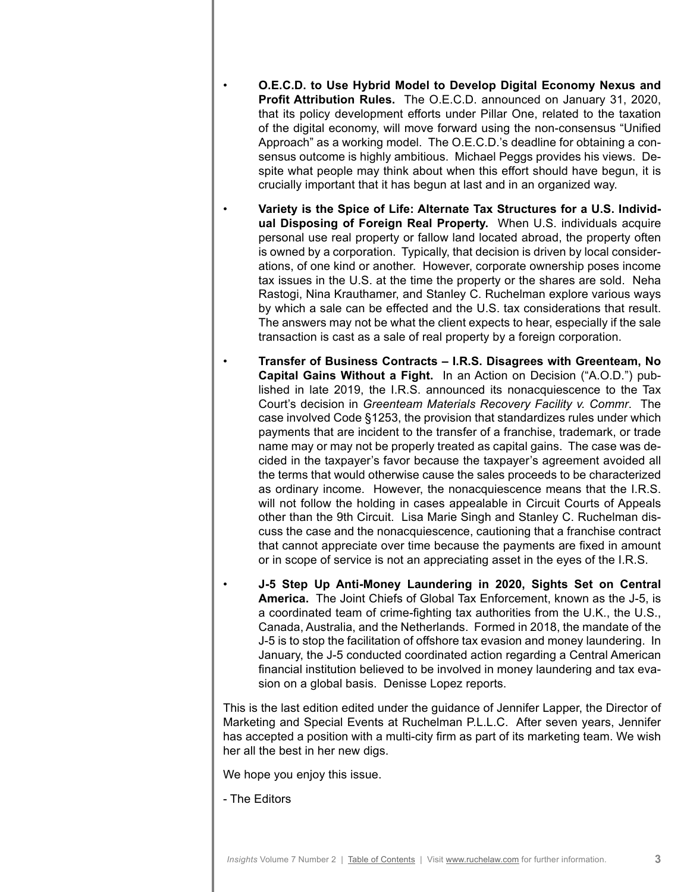- **O.E.C.D. to Use Hybrid Model to Develop Digital Economy Nexus and Profit Attribution Rules.** The O.E.C.D. announced on January 31, 2020, that its policy development efforts under Pillar One, related to the taxation of the digital economy, will move forward using the non-consensus "Unified Approach" as a working model. The O.E.C.D.'s deadline for obtaining a consensus outcome is highly ambitious. Michael Peggs provides his views. Despite what people may think about when this effort should have begun, it is crucially important that it has begun at last and in an organized way.
- **Variety is the Spice of Life: Alternate Tax Structures for a U.S. Individual Disposing of Foreign Real Property.** When U.S. individuals acquire personal use real property or fallow land located abroad, the property often is owned by a corporation. Typically, that decision is driven by local considerations, of one kind or another. However, corporate ownership poses income tax issues in the U.S. at the time the property or the shares are sold. Neha Rastogi, Nina Krauthamer, and Stanley C. Ruchelman explore various ways by which a sale can be effected and the U.S. tax considerations that result. The answers may not be what the client expects to hear, especially if the sale transaction is cast as a sale of real property by a foreign corporation.
- **Transfer of Business Contracts I.R.S. Disagrees with Greenteam, No Capital Gains Without a Fight.** In an Action on Decision ("A.O.D.") published in late 2019, the I.R.S. announced its nonacquiescence to the Tax Court's decision in *Greenteam Materials Recovery Facility v. Commr*. The case involved Code §1253, the provision that standardizes rules under which payments that are incident to the transfer of a franchise, trademark, or trade name may or may not be properly treated as capital gains. The case was decided in the taxpayer's favor because the taxpayer's agreement avoided all the terms that would otherwise cause the sales proceeds to be characterized as ordinary income. However, the nonacquiescence means that the I.R.S. will not follow the holding in cases appealable in Circuit Courts of Appeals other than the 9th Circuit. Lisa Marie Singh and Stanley C. Ruchelman discuss the case and the nonacquiescence, cautioning that a franchise contract that cannot appreciate over time because the payments are fixed in amount or in scope of service is not an appreciating asset in the eyes of the I.R.S.
- **J-5 Step Up Anti-Money Laundering in 2020, Sights Set on Central America.** The Joint Chiefs of Global Tax Enforcement, known as the J-5, is a coordinated team of crime-fighting tax authorities from the U.K., the U.S., Canada, Australia, and the Netherlands. Formed in 2018, the mandate of the J-5 is to stop the facilitation of offshore tax evasion and money laundering. In January, the J-5 conducted coordinated action regarding a Central American financial institution believed to be involved in money laundering and tax evasion on a global basis. Denisse Lopez reports.

This is the last edition edited under the guidance of Jennifer Lapper, the Director of Marketing and Special Events at Ruchelman P.L.L.C. After seven years, Jennifer has accepted a position with a multi-city firm as part of its marketing team. We wish her all the best in her new digs.

We hope you enjoy this issue.

- The Editors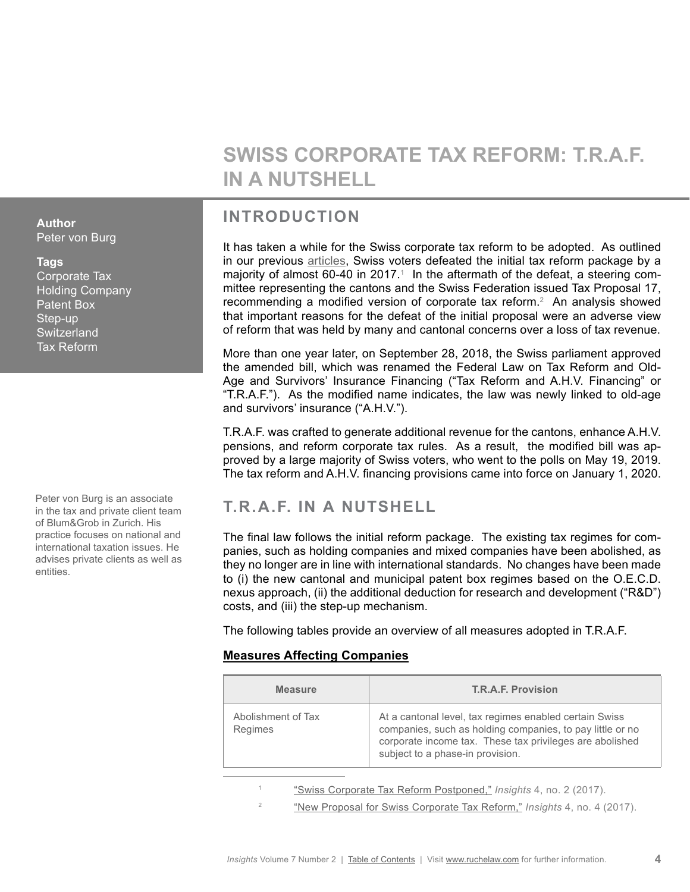# **SWISS CORPORATE TAX REFORM: T.R.A.F. IN A NUTSHELL**

# **INTRODUCTION**

It has taken a while for the Swiss corporate tax reform to be adopted. As outlined in our previous [articles,](http://www.ruchelaw.com/publications/?tag=switzerland) Swiss voters defeated the initial tax reform package by a majority of almost 60-40 in 2017.1 In the aftermath of the defeat, a steering committee representing the cantons and the Swiss Federation issued Tax Proposal 17, recommending a modified version of corporate tax reform.<sup>2</sup> An analysis showed that important reasons for the defeat of the initial proposal were an adverse view of reform that was held by many and cantonal concerns over a loss of tax revenue.

More than one year later, on September 28, 2018, the Swiss parliament approved the amended bill, which was renamed the Federal Law on Tax Reform and Old-Age and Survivors' Insurance Financing ("Tax Reform and A.H.V. Financing" or "T.R.A.F."). As the modified name indicates, the law was newly linked to old-age and survivors' insurance ("A.H.V.").

T.R.A.F. was crafted to generate additional revenue for the cantons, enhance A.H.V. pensions, and reform corporate tax rules. As a result, the modified bill was approved by a large majority of Swiss voters, who went to the polls on May 19, 2019. The tax reform and A.H.V. financing provisions came into force on January 1, 2020.

# **T.R.A.F. IN A NUTSHELL**

The final law follows the initial reform package. The existing tax regimes for companies, such as holding companies and mixed companies have been abolished, as they no longer are in line with international standards. No changes have been made to (i) the new cantonal and municipal patent box regimes based on the O.E.C.D. nexus approach, (ii) the additional deduction for research and development ("R&D") costs, and (iii) the step-up mechanism.

The following tables provide an overview of all measures adopted in T.R.A.F.

### **Measures Affecting Companies**

| <b>Measure</b>                | T.R.A.F. Provision                                                                                                                                                                                                  |
|-------------------------------|---------------------------------------------------------------------------------------------------------------------------------------------------------------------------------------------------------------------|
| Abolishment of Tax<br>Regimes | At a cantonal level, tax regimes enabled certain Swiss<br>companies, such as holding companies, to pay little or no<br>corporate income tax. These tax privileges are abolished<br>subject to a phase-in provision. |

- <sup>1</sup> ["Swiss Corporate Tax Reform Postponed,"](http://publications.ruchelaw.com/news/2017-02/swiss-corp-tax-reform.pdf) *Insights* 4, no. 2 (2017).
- <sup>2</sup> ["New Proposal for Swiss Corporate Tax Reform,"](http://publications.ruchelaw.com/news/2017-06/New-Proposal-for-Swiss-Corporate-Tax-Reform.pdf) *Insights* 4, no. 4 (2017).

### <span id="page-3-0"></span>**Author** Peter von Burg

### **Tags**

Corporate Tax Holding Company Patent Box Step-up **Switzerland** Tax Reform

Peter von Burg is an associate in the tax and private client team of Blum&Grob in Zurich. His practice focuses on national and international taxation issues. He advises private clients as well as entities.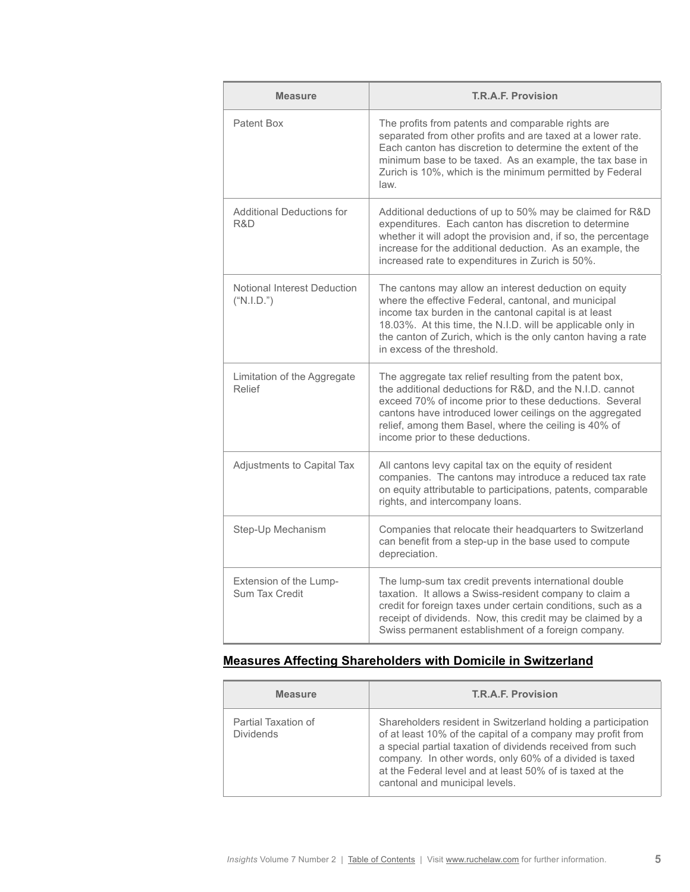| <b>Measure</b>                            | <b>T.R.A.F. Provision</b>                                                                                                                                                                                                                                                                                                                |
|-------------------------------------------|------------------------------------------------------------------------------------------------------------------------------------------------------------------------------------------------------------------------------------------------------------------------------------------------------------------------------------------|
| Patent Box                                | The profits from patents and comparable rights are<br>separated from other profits and are taxed at a lower rate.<br>Each canton has discretion to determine the extent of the<br>minimum base to be taxed. As an example, the tax base in<br>Zurich is 10%, which is the minimum permitted by Federal<br>law.                           |
| <b>Additional Deductions for</b><br>R&D   | Additional deductions of up to 50% may be claimed for R&D<br>expenditures. Each canton has discretion to determine<br>whether it will adopt the provision and, if so, the percentage<br>increase for the additional deduction. As an example, the<br>increased rate to expenditures in Zurich is 50%.                                    |
| Notional Interest Deduction<br>("N.I.D.") | The cantons may allow an interest deduction on equity<br>where the effective Federal, cantonal, and municipal<br>income tax burden in the cantonal capital is at least<br>18.03%. At this time, the N.I.D. will be applicable only in<br>the canton of Zurich, which is the only canton having a rate<br>in excess of the threshold.     |
| Limitation of the Aggregate<br>Relief     | The aggregate tax relief resulting from the patent box,<br>the additional deductions for R&D, and the N.I.D. cannot<br>exceed 70% of income prior to these deductions. Several<br>cantons have introduced lower ceilings on the aggregated<br>relief, among them Basel, where the ceiling is 40% of<br>income prior to these deductions. |
| Adjustments to Capital Tax                | All cantons levy capital tax on the equity of resident<br>companies. The cantons may introduce a reduced tax rate<br>on equity attributable to participations, patents, comparable<br>rights, and intercompany loans.                                                                                                                    |
| Step-Up Mechanism                         | Companies that relocate their headquarters to Switzerland<br>can benefit from a step-up in the base used to compute<br>depreciation.                                                                                                                                                                                                     |
| Extension of the Lump-<br>Sum Tax Credit  | The lump-sum tax credit prevents international double<br>taxation. It allows a Swiss-resident company to claim a<br>credit for foreign taxes under certain conditions, such as a<br>receipt of dividends. Now, this credit may be claimed by a<br>Swiss permanent establishment of a foreign company.                                    |

# **Measures Affecting Shareholders with Domicile in Switzerland**

| <b>Measure</b>                          | T.R.A.F. Provision                                                                                                                                                                                                                                                                                                                                 |
|-----------------------------------------|----------------------------------------------------------------------------------------------------------------------------------------------------------------------------------------------------------------------------------------------------------------------------------------------------------------------------------------------------|
| Partial Taxation of<br><b>Dividends</b> | Shareholders resident in Switzerland holding a participation<br>of at least 10% of the capital of a company may profit from<br>a special partial taxation of dividends received from such<br>company. In other words, only 60% of a divided is taxed<br>at the Federal level and at least 50% of is taxed at the<br>cantonal and municipal levels. |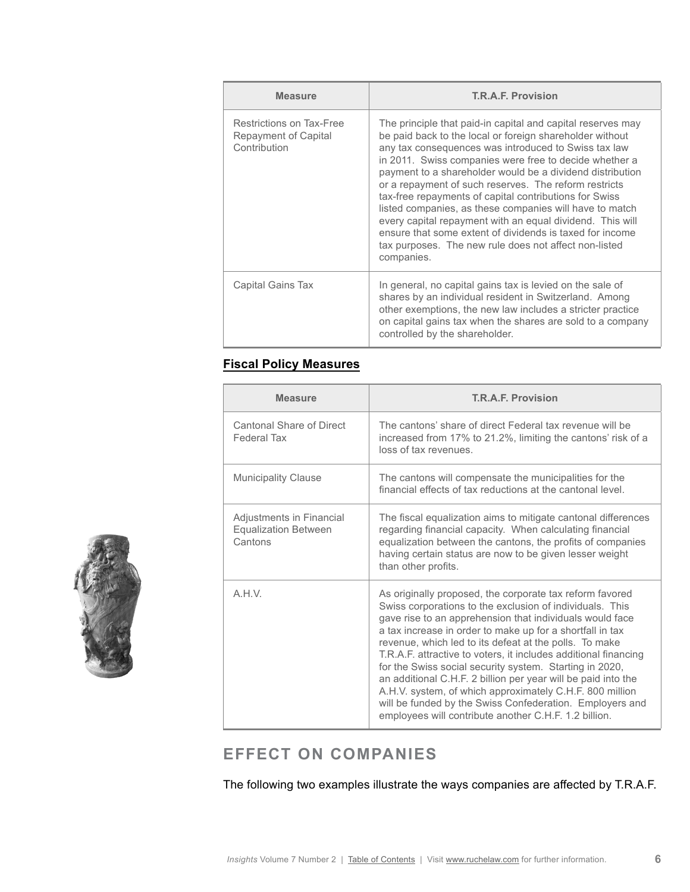| <b>Measure</b>                                                   | <b>T.R.A.F. Provision</b>                                                                                                                                                                                                                                                                                                                                                                                                                                                                                                                                                                                                                                                            |
|------------------------------------------------------------------|--------------------------------------------------------------------------------------------------------------------------------------------------------------------------------------------------------------------------------------------------------------------------------------------------------------------------------------------------------------------------------------------------------------------------------------------------------------------------------------------------------------------------------------------------------------------------------------------------------------------------------------------------------------------------------------|
| Restrictions on Tax-Free<br>Repayment of Capital<br>Contribution | The principle that paid-in capital and capital reserves may<br>be paid back to the local or foreign shareholder without<br>any tax consequences was introduced to Swiss tax law<br>in 2011. Swiss companies were free to decide whether a<br>payment to a shareholder would be a dividend distribution<br>or a repayment of such reserves. The reform restricts<br>tax-free repayments of capital contributions for Swiss<br>listed companies, as these companies will have to match<br>every capital repayment with an equal dividend. This will<br>ensure that some extent of dividends is taxed for income<br>tax purposes. The new rule does not affect non-listed<br>companies. |
| Capital Gains Tax                                                | In general, no capital gains tax is levied on the sale of<br>shares by an individual resident in Switzerland. Among<br>other exemptions, the new law includes a stricter practice<br>on capital gains tax when the shares are sold to a company<br>controlled by the shareholder.                                                                                                                                                                                                                                                                                                                                                                                                    |

### **Fiscal Policy Measures**

| <b>Measure</b>                                                     | <b>T.R.A.F. Provision</b>                                                                                                                                                                                                                                                                                                                                                                                                                                                                                                                                                                                                                                                               |  |
|--------------------------------------------------------------------|-----------------------------------------------------------------------------------------------------------------------------------------------------------------------------------------------------------------------------------------------------------------------------------------------------------------------------------------------------------------------------------------------------------------------------------------------------------------------------------------------------------------------------------------------------------------------------------------------------------------------------------------------------------------------------------------|--|
| Cantonal Share of Direct<br>Federal Tax                            | The cantons' share of direct Federal tax revenue will be<br>increased from 17% to 21.2%, limiting the cantons' risk of a<br>loss of tax revenues.                                                                                                                                                                                                                                                                                                                                                                                                                                                                                                                                       |  |
| <b>Municipality Clause</b>                                         | The cantons will compensate the municipalities for the<br>financial effects of tax reductions at the cantonal level.                                                                                                                                                                                                                                                                                                                                                                                                                                                                                                                                                                    |  |
| Adjustments in Financial<br><b>Equalization Between</b><br>Cantons | The fiscal equalization aims to mitigate cantonal differences<br>regarding financial capacity. When calculating financial<br>equalization between the cantons, the profits of companies<br>having certain status are now to be given lesser weight<br>than other profits.                                                                                                                                                                                                                                                                                                                                                                                                               |  |
| A.H.V.                                                             | As originally proposed, the corporate tax reform favored<br>Swiss corporations to the exclusion of individuals. This<br>gave rise to an apprehension that individuals would face<br>a tax increase in order to make up for a shortfall in tax<br>revenue, which led to its defeat at the polls. To make<br>T.R.A.F. attractive to voters, it includes additional financing<br>for the Swiss social security system. Starting in 2020,<br>an additional C.H.F. 2 billion per year will be paid into the<br>A.H.V. system, of which approximately C.H.F. 800 million<br>will be funded by the Swiss Confederation. Employers and<br>employees will contribute another C.H.F. 1.2 billion. |  |

# **EFFECT ON COMPANIES**

The following two examples illustrate the ways companies are affected by T.R.A.F.

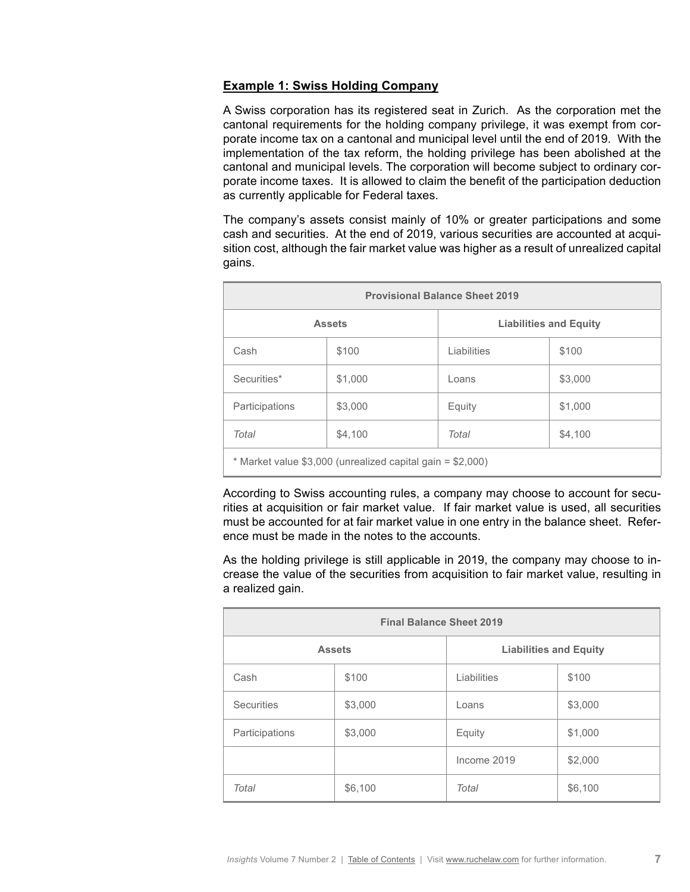### **Example 1: Swiss Holding Company**

A Swiss corporation has its registered seat in Zurich. As the corporation met the cantonal requirements for the holding company privilege, it was exempt from corporate income tax on a cantonal and municipal level until the end of 2019. With the implementation of the tax reform, the holding privilege has been abolished at the cantonal and municipal levels. The corporation will become subject to ordinary corporate income taxes. It is allowed to claim the benefit of the participation deduction as currently applicable for Federal taxes.

The company's assets consist mainly of 10% or greater participations and some cash and securities. At the end of 2019, various securities are accounted at acquisition cost, although the fair market value was higher as a result of unrealized capital gains.

| <b>Provisional Balance Sheet 2019</b>                        |         |                               |         |
|--------------------------------------------------------------|---------|-------------------------------|---------|
| <b>Assets</b>                                                |         | <b>Liabilities and Equity</b> |         |
| Cash                                                         | \$100   | Liabilities                   | \$100   |
| Securities*                                                  | \$1,000 | Loans                         | \$3,000 |
| Participations                                               | \$3,000 | Equity                        | \$1,000 |
| Total                                                        | \$4,100 | Total                         | \$4,100 |
| $*$ Market value \$3,000 (unrealized capital gain = \$2,000) |         |                               |         |

According to Swiss accounting rules, a company may choose to account for securities at acquisition or fair market value. If fair market value is used, all securities must be accounted for at fair market value in one entry in the balance sheet. Reference must be made in the notes to the accounts.

As the holding privilege is still applicable in 2019, the company may choose to increase the value of the securities from acquisition to fair market value, resulting in a realized gain.

| <b>Final Balance Sheet 2019</b> |         |                               |         |
|---------------------------------|---------|-------------------------------|---------|
| <b>Assets</b>                   |         | <b>Liabilities and Equity</b> |         |
| Cash                            | \$100   | Liabilities                   | \$100   |
| <b>Securities</b>               | \$3,000 | Loans                         | \$3,000 |
| Participations                  | \$3,000 | Equity                        | \$1,000 |
|                                 |         | Income 2019                   | \$2,000 |
| Total                           | \$6,100 | Total                         | \$6,100 |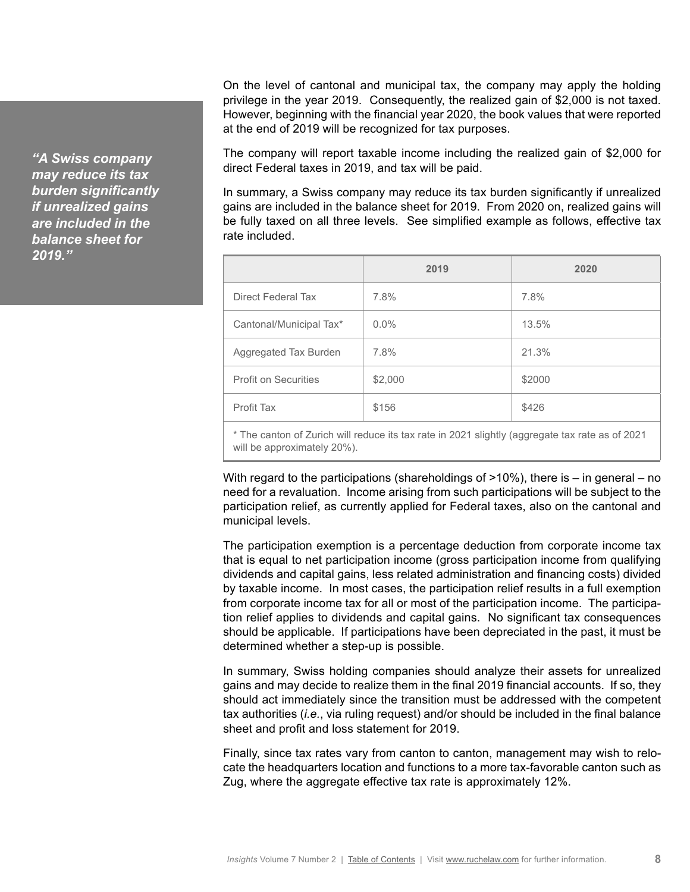*"A Swiss company may reduce its tax burden significantly if unrealized gains are included in the balance sheet for 2019."*

On the level of cantonal and municipal tax, the company may apply the holding privilege in the year 2019. Consequently, the realized gain of \$2,000 is not taxed. However, beginning with the financial year 2020, the book values that were reported at the end of 2019 will be recognized for tax purposes.

The company will report taxable income including the realized gain of \$2,000 for direct Federal taxes in 2019, and tax will be paid.

In summary, a Swiss company may reduce its tax burden significantly if unrealized gains are included in the balance sheet for 2019. From 2020 on, realized gains will be fully taxed on all three levels. See simplified example as follows, effective tax rate included.

|                             | 2019    | 2020   |
|-----------------------------|---------|--------|
| Direct Federal Tax          | 7.8%    | 7.8%   |
| Cantonal/Municipal Tax*     | $0.0\%$ | 13.5%  |
| Aggregated Tax Burden       | 7.8%    | 21.3%  |
| <b>Profit on Securities</b> | \$2,000 | \$2000 |
| Profit Tax                  | \$156   | \$426  |

\* The canton of Zurich will reduce its tax rate in 2021 slightly (aggregate tax rate as of 2021 will be approximately 20%).

With regard to the participations (shareholdings of  $>10\%$ ), there is  $-$  in general  $-$  no need for a revaluation. Income arising from such participations will be subject to the participation relief, as currently applied for Federal taxes, also on the cantonal and municipal levels.

The participation exemption is a percentage deduction from corporate income tax that is equal to net participation income (gross participation income from qualifying dividends and capital gains, less related administration and financing costs) divided by taxable income. In most cases, the participation relief results in a full exemption from corporate income tax for all or most of the participation income. The participation relief applies to dividends and capital gains. No significant tax consequences should be applicable. If participations have been depreciated in the past, it must be determined whether a step-up is possible.

In summary, Swiss holding companies should analyze their assets for unrealized gains and may decide to realize them in the final 2019 financial accounts. If so, they should act immediately since the transition must be addressed with the competent tax authorities (*i.e.*, via ruling request) and/or should be included in the final balance sheet and profit and loss statement for 2019.

Finally, since tax rates vary from canton to canton, management may wish to relocate the headquarters location and functions to a more tax-favorable canton such as Zug, where the aggregate effective tax rate is approximately 12%.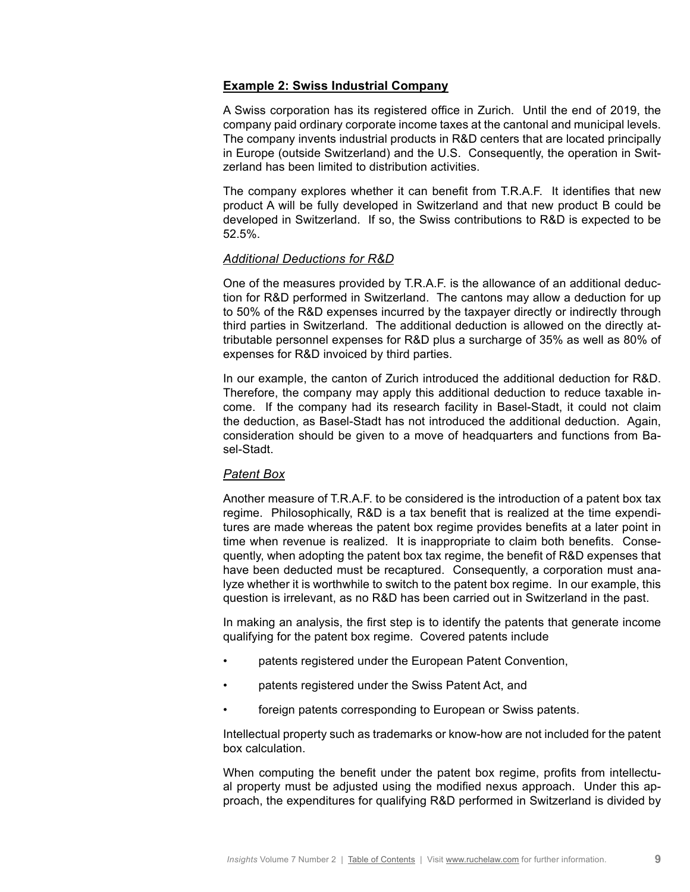### **Example 2: Swiss Industrial Company**

A Swiss corporation has its registered office in Zurich. Until the end of 2019, the company paid ordinary corporate income taxes at the cantonal and municipal levels. The company invents industrial products in R&D centers that are located principally in Europe (outside Switzerland) and the U.S. Consequently, the operation in Switzerland has been limited to distribution activities.

The company explores whether it can benefit from T.R.A.F. It identifies that new product A will be fully developed in Switzerland and that new product B could be developed in Switzerland. If so, the Swiss contributions to R&D is expected to be 52.5%.

### *Additional Deductions for R&D*

One of the measures provided by T.R.A.F. is the allowance of an additional deduction for R&D performed in Switzerland. The cantons may allow a deduction for up to 50% of the R&D expenses incurred by the taxpayer directly or indirectly through third parties in Switzerland. The additional deduction is allowed on the directly attributable personnel expenses for R&D plus a surcharge of 35% as well as 80% of expenses for R&D invoiced by third parties.

In our example, the canton of Zurich introduced the additional deduction for R&D. Therefore, the company may apply this additional deduction to reduce taxable income. If the company had its research facility in Basel-Stadt, it could not claim the deduction, as Basel-Stadt has not introduced the additional deduction. Again, consideration should be given to a move of headquarters and functions from Basel-Stadt.

#### *Patent Box*

Another measure of T.R.A.F. to be considered is the introduction of a patent box tax regime. Philosophically, R&D is a tax benefit that is realized at the time expenditures are made whereas the patent box regime provides benefits at a later point in time when revenue is realized. It is inappropriate to claim both benefits. Consequently, when adopting the patent box tax regime, the benefit of R&D expenses that have been deducted must be recaptured. Consequently, a corporation must analyze whether it is worthwhile to switch to the patent box regime. In our example, this question is irrelevant, as no R&D has been carried out in Switzerland in the past.

In making an analysis, the first step is to identify the patents that generate income qualifying for the patent box regime. Covered patents include

- patents registered under the European Patent Convention,
- patents registered under the Swiss Patent Act, and
- foreign patents corresponding to European or Swiss patents.

Intellectual property such as trademarks or know-how are not included for the patent box calculation.

When computing the benefit under the patent box regime, profits from intellectual property must be adjusted using the modified nexus approach. Under this approach, the expenditures for qualifying R&D performed in Switzerland is divided by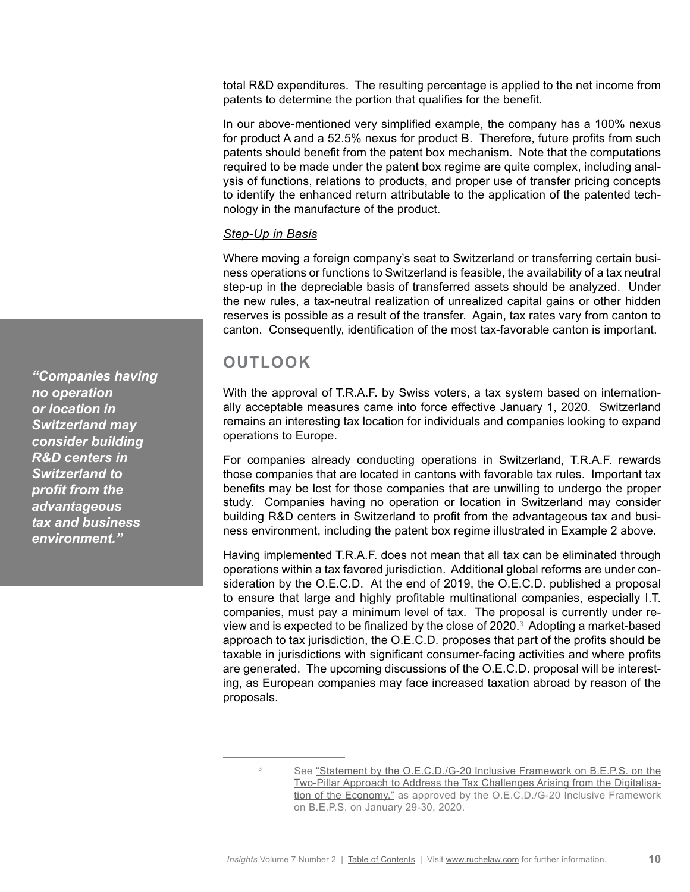total R&D expenditures. The resulting percentage is applied to the net income from patents to determine the portion that qualifies for the benefit.

In our above-mentioned very simplified example, the company has a 100% nexus for product A and a 52.5% nexus for product B. Therefore, future profits from such patents should benefit from the patent box mechanism. Note that the computations required to be made under the patent box regime are quite complex, including analysis of functions, relations to products, and proper use of transfer pricing concepts to identify the enhanced return attributable to the application of the patented technology in the manufacture of the product.

### *Step-Up in Basis*

Where moving a foreign company's seat to Switzerland or transferring certain business operations or functions to Switzerland is feasible, the availability of a tax neutral step-up in the depreciable basis of transferred assets should be analyzed. Under the new rules, a tax-neutral realization of unrealized capital gains or other hidden reserves is possible as a result of the transfer. Again, tax rates vary from canton to canton. Consequently, identification of the most tax-favorable canton is important.

# **OUTLOOK**

With the approval of T.R.A.F. by Swiss voters, a tax system based on internationally acceptable measures came into force effective January 1, 2020. Switzerland remains an interesting tax location for individuals and companies looking to expand operations to Europe.

For companies already conducting operations in Switzerland, T.R.A.F. rewards those companies that are located in cantons with favorable tax rules. Important tax benefits may be lost for those companies that are unwilling to undergo the proper study. Companies having no operation or location in Switzerland may consider building R&D centers in Switzerland to profit from the advantageous tax and business environment, including the patent box regime illustrated in Example 2 above.

Having implemented T.R.A.F. does not mean that all tax can be eliminated through operations within a tax favored jurisdiction. Additional global reforms are under consideration by the O.E.C.D. At the end of 2019, the O.E.C.D. published a proposal to ensure that large and highly profitable multinational companies, especially I.T. companies, must pay a minimum level of tax. The proposal is currently under review and is expected to be finalized by the close of 2020. $^{\circ}$  Adopting a market-based approach to tax jurisdiction, the O.E.C.D. proposes that part of the profits should be taxable in jurisdictions with significant consumer-facing activities and where profits are generated. The upcoming discussions of the O.E.C.D. proposal will be interesting, as European companies may face increased taxation abroad by reason of the proposals.

*"Companies having no operation or location in Switzerland may consider building R&D centers in Switzerland to profit from the advantageous tax and business environment."*

<sup>&</sup>lt;sup>3</sup> See "Statement by the O.E.C.D./G-20 Inclusive Framework on B.E.P.S. on the [Two-Pillar Approach to Address the Tax Challenges Arising from the Digitalisa](https://www.oecd.org/tax/beps/statement-by-the-oecd-g20-inclusive-framework-on-beps-january-2020.pdf)[tion of the Economy,"](https://www.oecd.org/tax/beps/statement-by-the-oecd-g20-inclusive-framework-on-beps-january-2020.pdf) as approved by the O.E.C.D./G-20 Inclusive Framework on B.E.P.S. on January 29-30, 2020.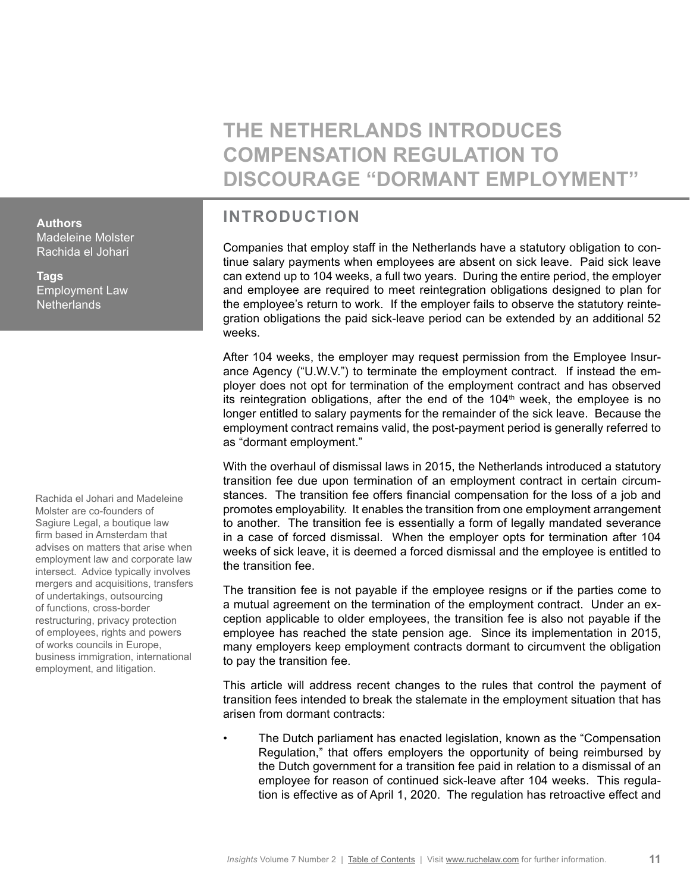**THE NETHERLANDS INTRODUCES COMPENSATION REGULATION TO DISCOURAGE "DORMANT EMPLOYMENT"**

# **INTRODUCTION**

Companies that employ staff in the Netherlands have a statutory obligation to continue salary payments when employees are absent on sick leave. Paid sick leave can extend up to 104 weeks, a full two years. During the entire period, the employer and employee are required to meet reintegration obligations designed to plan for the employee's return to work. If the employer fails to observe the statutory reintegration obligations the paid sick-leave period can be extended by an additional 52 weeks.

After 104 weeks, the employer may request permission from the Employee Insurance Agency ("U.W.V.") to terminate the employment contract. If instead the employer does not opt for termination of the employment contract and has observed its reintegration obligations, after the end of the  $104<sup>th</sup>$  week, the employee is no longer entitled to salary payments for the remainder of the sick leave. Because the employment contract remains valid, the post-payment period is generally referred to as "dormant employment."

With the overhaul of dismissal laws in 2015, the Netherlands introduced a statutory transition fee due upon termination of an employment contract in certain circumstances. The transition fee offers financial compensation for the loss of a job and promotes employability. It enables the transition from one employment arrangement to another. The transition fee is essentially a form of legally mandated severance in a case of forced dismissal. When the employer opts for termination after 104 weeks of sick leave, it is deemed a forced dismissal and the employee is entitled to the transition fee.

The transition fee is not payable if the employee resigns or if the parties come to a mutual agreement on the termination of the employment contract. Under an exception applicable to older employees, the transition fee is also not payable if the employee has reached the state pension age. Since its implementation in 2015, many employers keep employment contracts dormant to circumvent the obligation to pay the transition fee.

This article will address recent changes to the rules that control the payment of transition fees intended to break the stalemate in the employment situation that has arisen from dormant contracts:

• The Dutch parliament has enacted legislation, known as the "Compensation Regulation," that offers employers the opportunity of being reimbursed by the Dutch government for a transition fee paid in relation to a dismissal of an employee for reason of continued sick-leave after 104 weeks. This regulation is effective as of April 1, 2020. The regulation has retroactive effect and

<span id="page-10-0"></span>**Authors**

Madeleine Molster Rachida el Johari

**Tags** Employment Law **Netherlands** 

Rachida el Johari and Madeleine Molster are co-founders of Sagiure Legal, a boutique law firm based in Amsterdam that advises on matters that arise when employment law and corporate law intersect. Advice typically involves mergers and acquisitions, transfers of undertakings, outsourcing of functions, cross-border restructuring, privacy protection of employees, rights and powers of works councils in Europe, business immigration, international employment, and litigation.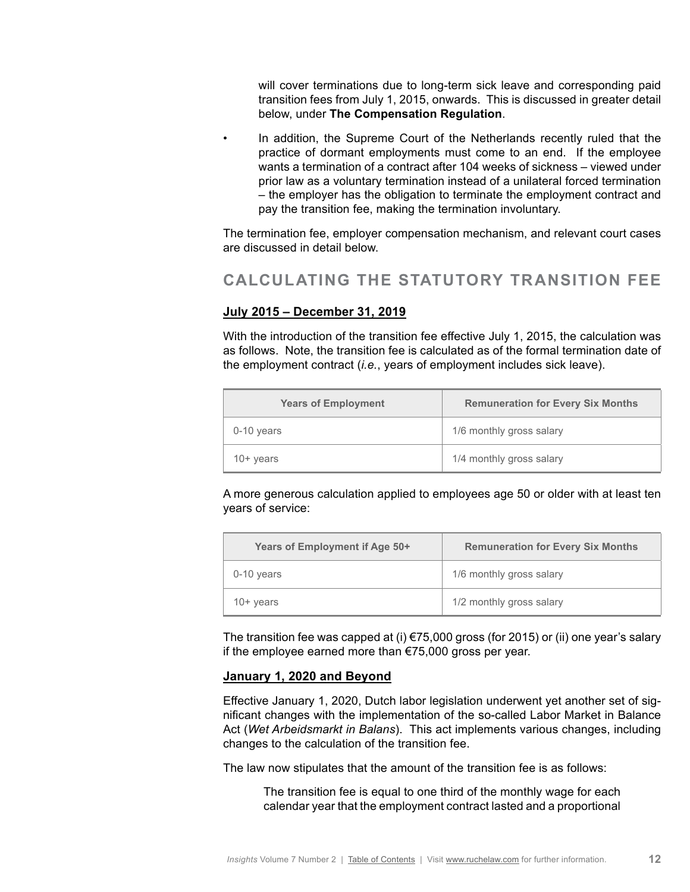will cover terminations due to long-term sick leave and corresponding paid transition fees from July 1, 2015, onwards. This is discussed in greater detail below, under **The Compensation Regulation**.

In addition, the Supreme Court of the Netherlands recently ruled that the practice of dormant employments must come to an end. If the employee wants a termination of a contract after 104 weeks of sickness – viewed under prior law as a voluntary termination instead of a unilateral forced termination – the employer has the obligation to terminate the employment contract and pay the transition fee, making the termination involuntary.

The termination fee, employer compensation mechanism, and relevant court cases are discussed in detail below.

# **CALCULATING THE STATUTORY TRANSITION FEE**

### **July 2015 – December 31, 2019**

With the introduction of the transition fee effective July 1, 2015, the calculation was as follows. Note, the transition fee is calculated as of the formal termination date of the employment contract (*i.e.*, years of employment includes sick leave).

| <b>Years of Employment</b> | <b>Remuneration for Every Six Months</b> |
|----------------------------|------------------------------------------|
| 0-10 years                 | 1/6 monthly gross salary                 |
| $10+$ years                | 1/4 monthly gross salary                 |

A more generous calculation applied to employees age 50 or older with at least ten years of service:

| Years of Employment if Age 50+ | <b>Remuneration for Every Six Months</b> |
|--------------------------------|------------------------------------------|
| 0-10 years                     | 1/6 monthly gross salary                 |
| $10+$ years                    | 1/2 monthly gross salary                 |

The transition fee was capped at (i)  $\epsilon$ 75,000 gross (for 2015) or (ii) one year's salary if the employee earned more than €75,000 gross per year.

### **January 1, 2020 and Beyond**

Effective January 1, 2020, Dutch labor legislation underwent yet another set of significant changes with the implementation of the so-called Labor Market in Balance Act (*Wet Arbeidsmarkt in Balans*). This act implements various changes, including changes to the calculation of the transition fee.

The law now stipulates that the amount of the transition fee is as follows:

The transition fee is equal to one third of the monthly wage for each calendar year that the employment contract lasted and a proportional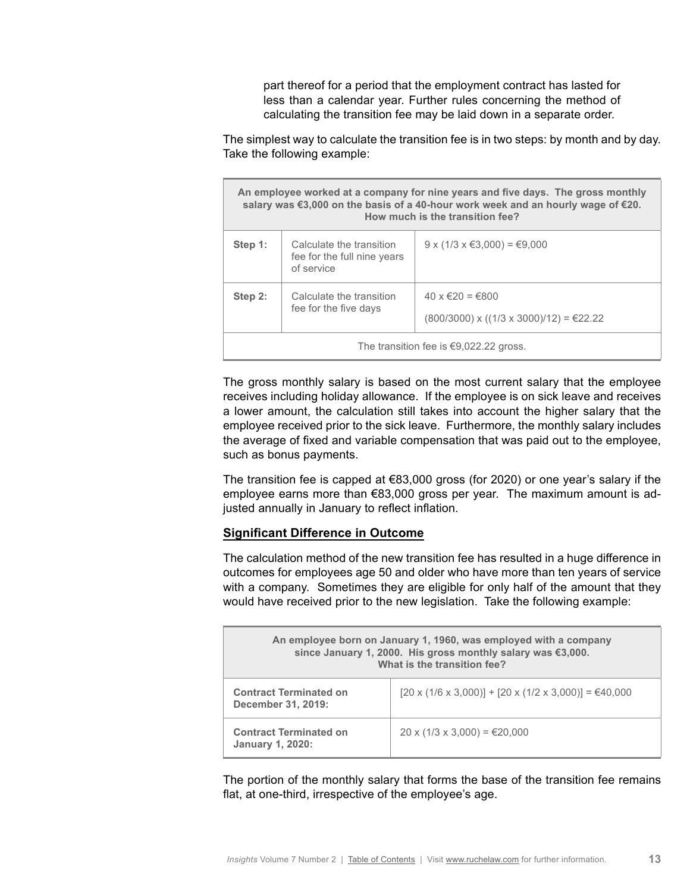part thereof for a period that the employment contract has lasted for less than a calendar year. Further rules concerning the method of calculating the transition fee may be laid down in a separate order.

The simplest way to calculate the transition fee is in two steps: by month and by day. Take the following example:

| An employee worked at a company for nine years and five days. The gross monthly<br>salary was €3,000 on the basis of a 40-hour work week and an hourly wage of €20.<br>How much is the transition fee? |                                                                       |                                                                               |
|--------------------------------------------------------------------------------------------------------------------------------------------------------------------------------------------------------|-----------------------------------------------------------------------|-------------------------------------------------------------------------------|
| Step 1:                                                                                                                                                                                                | Calculate the transition<br>fee for the full nine years<br>of service | $9 \times (1/3 \times \text{\textsterling}3,000) = \text{\textsterling}9,000$ |
| Step 2:                                                                                                                                                                                                | Calculate the transition<br>fee for the five days                     | 40 x €20 = €800<br>$(800/3000)$ x $((1/3 \times 3000)/12) = 22.22$            |
| The transition fee is $\epsilon$ 9,022.22 gross.                                                                                                                                                       |                                                                       |                                                                               |

The gross monthly salary is based on the most current salary that the employee receives including holiday allowance. If the employee is on sick leave and receives a lower amount, the calculation still takes into account the higher salary that the employee received prior to the sick leave. Furthermore, the monthly salary includes the average of fixed and variable compensation that was paid out to the employee, such as bonus payments.

The transition fee is capped at  $€83,000$  gross (for 2020) or one year's salary if the employee earns more than €83,000 gross per year. The maximum amount is adjusted annually in January to reflect inflation.

### **Significant Difference in Outcome**

The calculation method of the new transition fee has resulted in a huge difference in outcomes for employees age 50 and older who have more than ten years of service with a company. Sometimes they are eligible for only half of the amount that they would have received prior to the new legislation. Take the following example:

| An employee born on January 1, 1960, was employed with a company<br>since January 1, 2000. His gross monthly salary was €3,000.<br>What is the transition fee? |                                                       |
|----------------------------------------------------------------------------------------------------------------------------------------------------------------|-------------------------------------------------------|
| <b>Contract Terminated on</b><br>December 31, 2019:                                                                                                            | [20 x (1/6 x 3,000)] + [20 x (1/2 x 3,000)] = €40,000 |
| <b>Contract Terminated on</b><br><b>January 1, 2020:</b>                                                                                                       | $20 \times (1/3 \times 3,000) = €20,000$              |

The portion of the monthly salary that forms the base of the transition fee remains flat, at one-third, irrespective of the employee's age.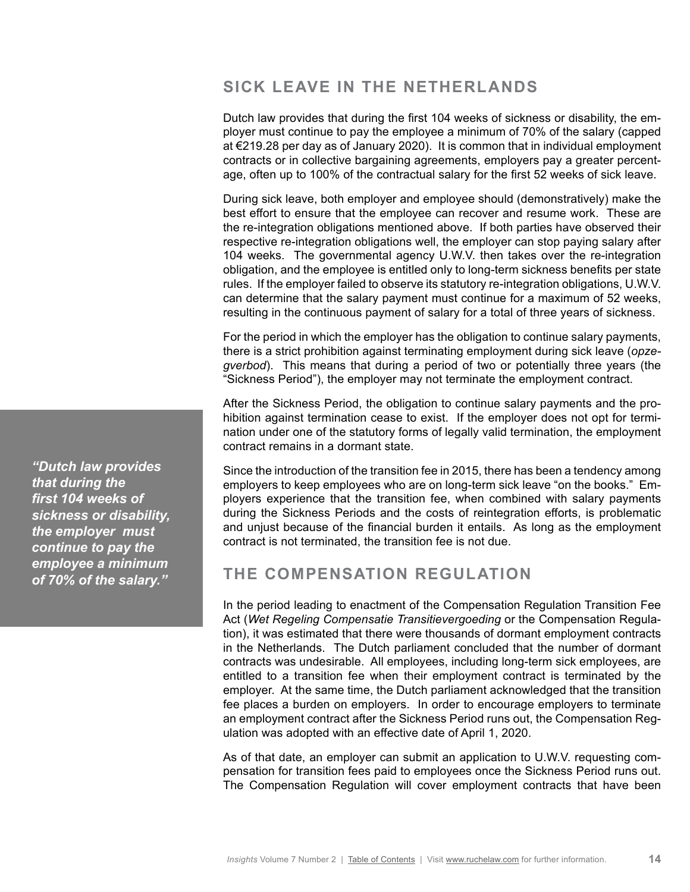# **SICK LEAVE IN THE NETHERLANDS**

Dutch law provides that during the first 104 weeks of sickness or disability, the employer must continue to pay the employee a minimum of 70% of the salary (capped at €219.28 per day as of January 2020). It is common that in individual employment contracts or in collective bargaining agreements, employers pay a greater percentage, often up to 100% of the contractual salary for the first 52 weeks of sick leave.

During sick leave, both employer and employee should (demonstratively) make the best effort to ensure that the employee can recover and resume work. These are the re-integration obligations mentioned above. If both parties have observed their respective re-integration obligations well, the employer can stop paying salary after 104 weeks. The governmental agency U.W.V. then takes over the re-integration obligation, and the employee is entitled only to long-term sickness benefits per state rules. If the employer failed to observe its statutory re-integration obligations, U.W.V. can determine that the salary payment must continue for a maximum of 52 weeks, resulting in the continuous payment of salary for a total of three years of sickness.

For the period in which the employer has the obligation to continue salary payments, there is a strict prohibition against terminating employment during sick leave (*opzegverbod*). This means that during a period of two or potentially three years (the "Sickness Period"), the employer may not terminate the employment contract.

After the Sickness Period, the obligation to continue salary payments and the prohibition against termination cease to exist. If the employer does not opt for termination under one of the statutory forms of legally valid termination, the employment contract remains in a dormant state.

Since the introduction of the transition fee in 2015, there has been a tendency among employers to keep employees who are on long-term sick leave "on the books." Employers experience that the transition fee, when combined with salary payments during the Sickness Periods and the costs of reintegration efforts, is problematic and unjust because of the financial burden it entails. As long as the employment contract is not terminated, the transition fee is not due.

# **THE COMPENSATION REGULATION**

In the period leading to enactment of the Compensation Regulation Transition Fee Act (*Wet Regeling Compensatie Transitievergoeding* or the Compensation Regulation), it was estimated that there were thousands of dormant employment contracts in the Netherlands. The Dutch parliament concluded that the number of dormant contracts was undesirable. All employees, including long-term sick employees, are entitled to a transition fee when their employment contract is terminated by the employer. At the same time, the Dutch parliament acknowledged that the transition fee places a burden on employers. In order to encourage employers to terminate an employment contract after the Sickness Period runs out, the Compensation Regulation was adopted with an effective date of April 1, 2020.

As of that date, an employer can submit an application to U.W.V. requesting compensation for transition fees paid to employees once the Sickness Period runs out. The Compensation Regulation will cover employment contracts that have been

*"Dutch law provides that during the first 104 weeks of sickness or disability, the employer must continue to pay the employee a minimum of 70% of the salary."*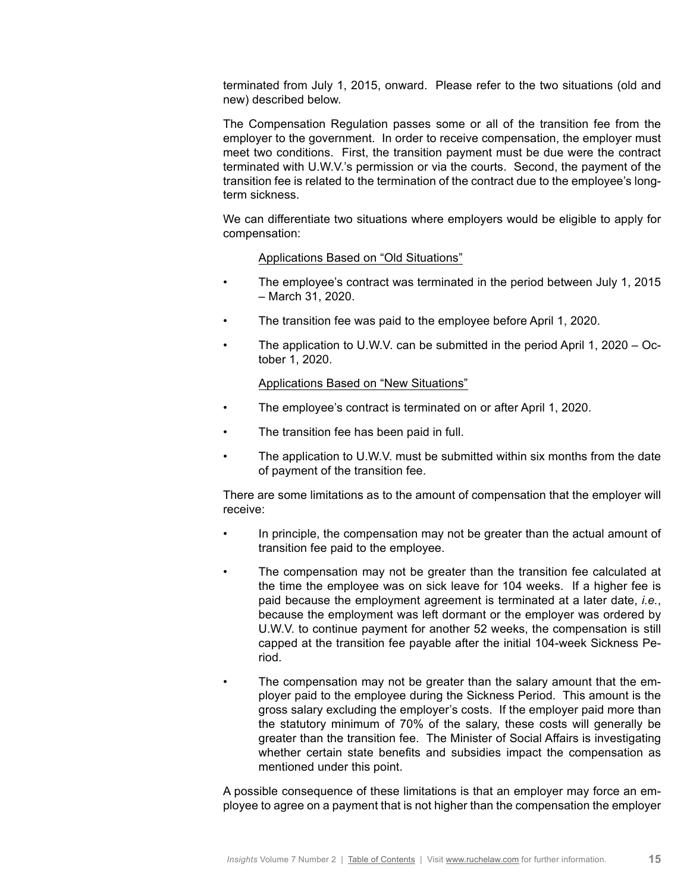terminated from July 1, 2015, onward. Please refer to the two situations (old and new) described below.

The Compensation Regulation passes some or all of the transition fee from the employer to the government. In order to receive compensation, the employer must meet two conditions. First, the transition payment must be due were the contract terminated with U.W.V.'s permission or via the courts. Second, the payment of the transition fee is related to the termination of the contract due to the employee's longterm sickness.

We can differentiate two situations where employers would be eligible to apply for compensation:

### Applications Based on "Old Situations"

- The employee's contract was terminated in the period between July 1, 2015 – March 31, 2020.
- The transition fee was paid to the employee before April 1, 2020.
- The application to U.W.V. can be submitted in the period April 1, 2020 October 1, 2020.

### Applications Based on "New Situations"

- The employee's contract is terminated on or after April 1, 2020.
- The transition fee has been paid in full.
- The application to U.W.V. must be submitted within six months from the date of payment of the transition fee.

There are some limitations as to the amount of compensation that the employer will receive:

- In principle, the compensation may not be greater than the actual amount of transition fee paid to the employee.
- The compensation may not be greater than the transition fee calculated at the time the employee was on sick leave for 104 weeks. If a higher fee is paid because the employment agreement is terminated at a later date, *i.e.*, because the employment was left dormant or the employer was ordered by U.W.V. to continue payment for another 52 weeks, the compensation is still capped at the transition fee payable after the initial 104-week Sickness Period.
	- The compensation may not be greater than the salary amount that the employer paid to the employee during the Sickness Period. This amount is the gross salary excluding the employer's costs. If the employer paid more than the statutory minimum of 70% of the salary, these costs will generally be greater than the transition fee. The Minister of Social Affairs is investigating whether certain state benefits and subsidies impact the compensation as mentioned under this point.

A possible consequence of these limitations is that an employer may force an employee to agree on a payment that is not higher than the compensation the employer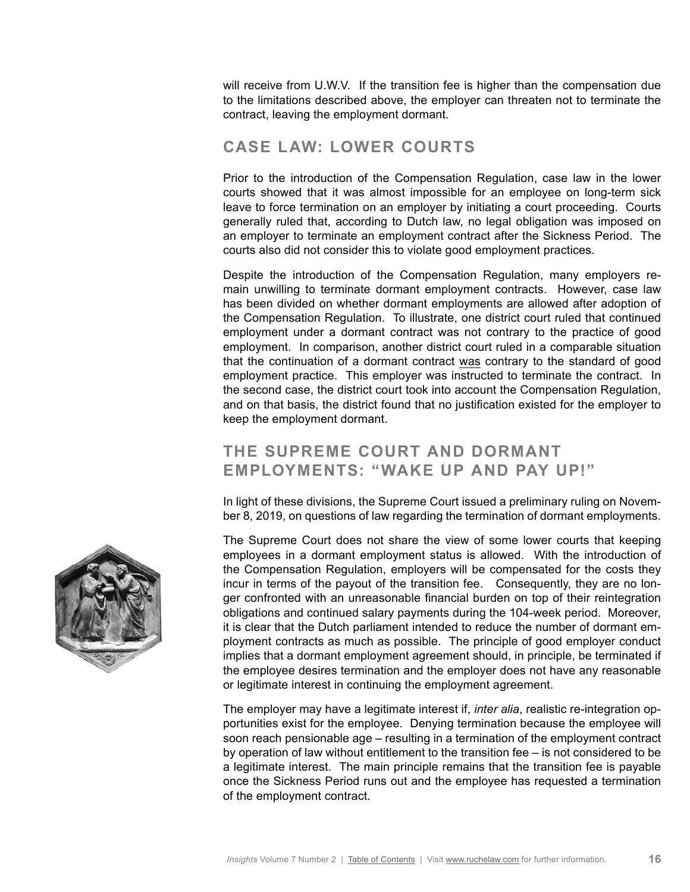will receive from U.W.V. If the transition fee is higher than the compensation due to the limitations described above, the employer can threaten not to terminate the contract, leaving the employment dormant.

# **CASE LAW: LOWER COURTS**

Prior to the introduction of the Compensation Regulation, case law in the lower courts showed that it was almost impossible for an employee on long-term sick leave to force termination on an employer by initiating a court proceeding. Courts generally ruled that, according to Dutch law, no legal obligation was imposed on an employer to terminate an employment contract after the Sickness Period. The courts also did not consider this to violate good employment practices.

Despite the introduction of the Compensation Regulation, many employers remain unwilling to terminate dormant employment contracts. However, case law has been divided on whether dormant employments are allowed after adoption of the Compensation Regulation. To illustrate, one district court ruled that continued employment under a dormant contract was not contrary to the practice of good employment. In comparison, another district court ruled in a comparable situation that the continuation of a dormant contract was contrary to the standard of good employment practice. This employer was instructed to terminate the contract. In the second case, the district court took into account the Compensation Regulation, and on that basis, the district found that no justification existed for the employer to keep the employment dormant.

# **THE SUPREME COURT AND DORMANT EMPLOYMENTS: "WAKE UP AND PAY UP!"**

In light of these divisions, the Supreme Court issued a preliminary ruling on November 8, 2019, on questions of law regarding the termination of dormant employments.

The Supreme Court does not share the view of some lower courts that keeping employees in a dormant employment status is allowed. With the introduction of the Compensation Regulation, employers will be compensated for the costs they incur in terms of the payout of the transition fee. Consequently, they are no longer confronted with an unreasonable financial burden on top of their reintegration obligations and continued salary payments during the 104-week period. Moreover, it is clear that the Dutch parliament intended to reduce the number of dormant employment contracts as much as possible. The principle of good employer conduct implies that a dormant employment agreement should, in principle, be terminated if the employee desires termination and the employer does not have any reasonable or legitimate interest in continuing the employment agreement.

The employer may have a legitimate interest if, *inter alia*, realistic re-integration opportunities exist for the employee. Denying termination because the employee will soon reach pensionable age – resulting in a termination of the employment contract by operation of law without entitlement to the transition fee – is not considered to be a legitimate interest. The main principle remains that the transition fee is payable once the Sickness Period runs out and the employee has requested a termination of the employment contract.

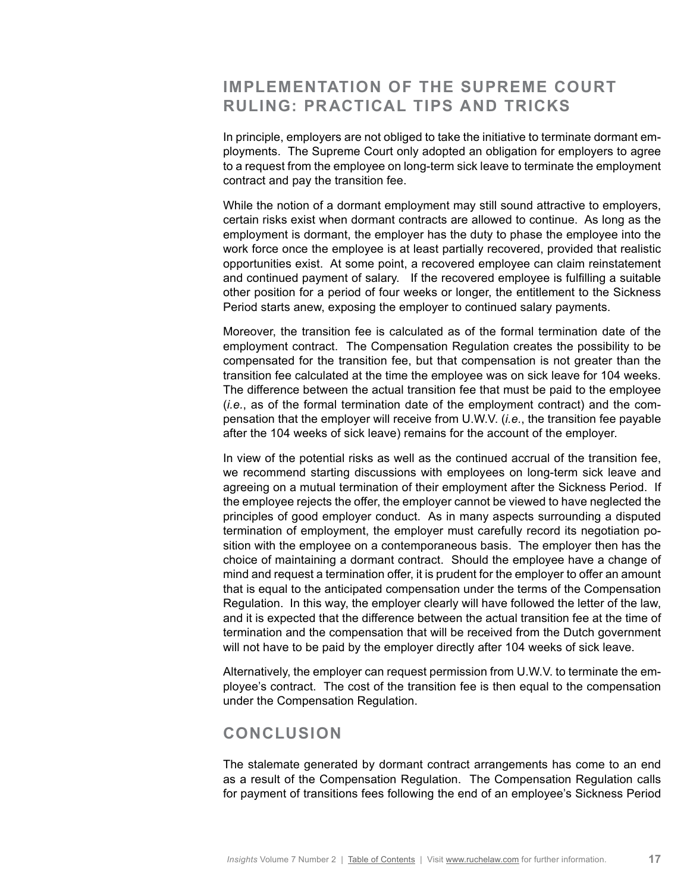# **IMPLEMENTATION OF THE SUPREME COURT RULING: PRACTICAL TIPS AND TRICKS**

In principle, employers are not obliged to take the initiative to terminate dormant employments. The Supreme Court only adopted an obligation for employers to agree to a request from the employee on long-term sick leave to terminate the employment contract and pay the transition fee.

While the notion of a dormant employment may still sound attractive to employers, certain risks exist when dormant contracts are allowed to continue. As long as the employment is dormant, the employer has the duty to phase the employee into the work force once the employee is at least partially recovered, provided that realistic opportunities exist. At some point, a recovered employee can claim reinstatement and continued payment of salary. If the recovered employee is fulfilling a suitable other position for a period of four weeks or longer, the entitlement to the Sickness Period starts anew, exposing the employer to continued salary payments.

Moreover, the transition fee is calculated as of the formal termination date of the employment contract. The Compensation Regulation creates the possibility to be compensated for the transition fee, but that compensation is not greater than the transition fee calculated at the time the employee was on sick leave for 104 weeks. The difference between the actual transition fee that must be paid to the employee (*i.e.*, as of the formal termination date of the employment contract) and the compensation that the employer will receive from U.W.V. (*i.e.*, the transition fee payable after the 104 weeks of sick leave) remains for the account of the employer.

In view of the potential risks as well as the continued accrual of the transition fee, we recommend starting discussions with employees on long-term sick leave and agreeing on a mutual termination of their employment after the Sickness Period. If the employee rejects the offer, the employer cannot be viewed to have neglected the principles of good employer conduct. As in many aspects surrounding a disputed termination of employment, the employer must carefully record its negotiation position with the employee on a contemporaneous basis. The employer then has the choice of maintaining a dormant contract. Should the employee have a change of mind and request a termination offer, it is prudent for the employer to offer an amount that is equal to the anticipated compensation under the terms of the Compensation Regulation. In this way, the employer clearly will have followed the letter of the law, and it is expected that the difference between the actual transition fee at the time of termination and the compensation that will be received from the Dutch government will not have to be paid by the employer directly after 104 weeks of sick leave.

Alternatively, the employer can request permission from U.W.V. to terminate the employee's contract. The cost of the transition fee is then equal to the compensation under the Compensation Regulation.

### **CONCLUSION**

The stalemate generated by dormant contract arrangements has come to an end as a result of the Compensation Regulation. The Compensation Regulation calls for payment of transitions fees following the end of an employee's Sickness Period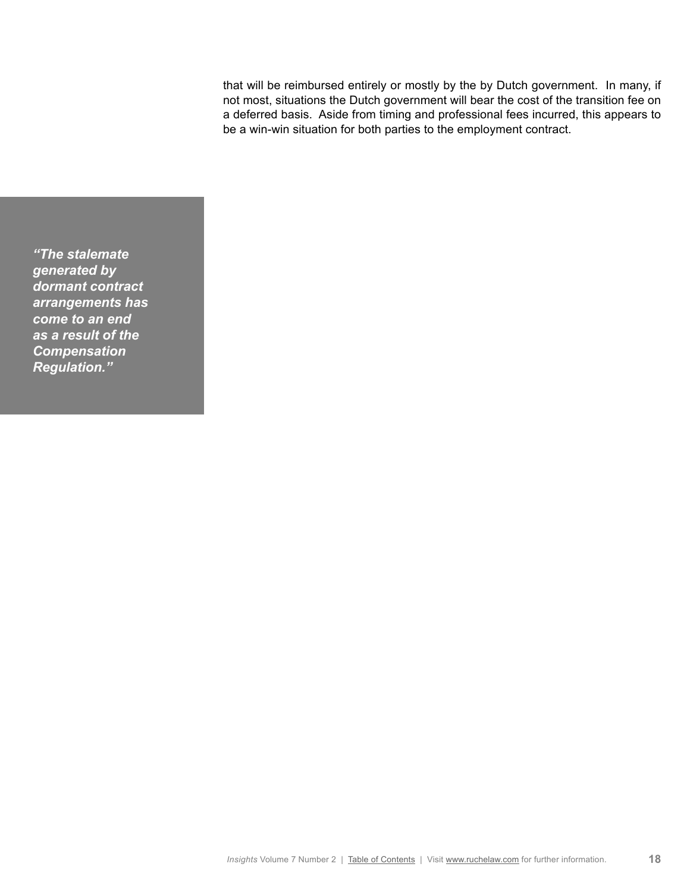that will be reimbursed entirely or mostly by the by Dutch government. In many, if not most, situations the Dutch government will bear the cost of the transition fee on a deferred basis. Aside from timing and professional fees incurred, this appears to be a win-win situation for both parties to the employment contract.

*"The stalemate generated by dormant contract arrangements has come to an end as a result of the Compensation Regulation."*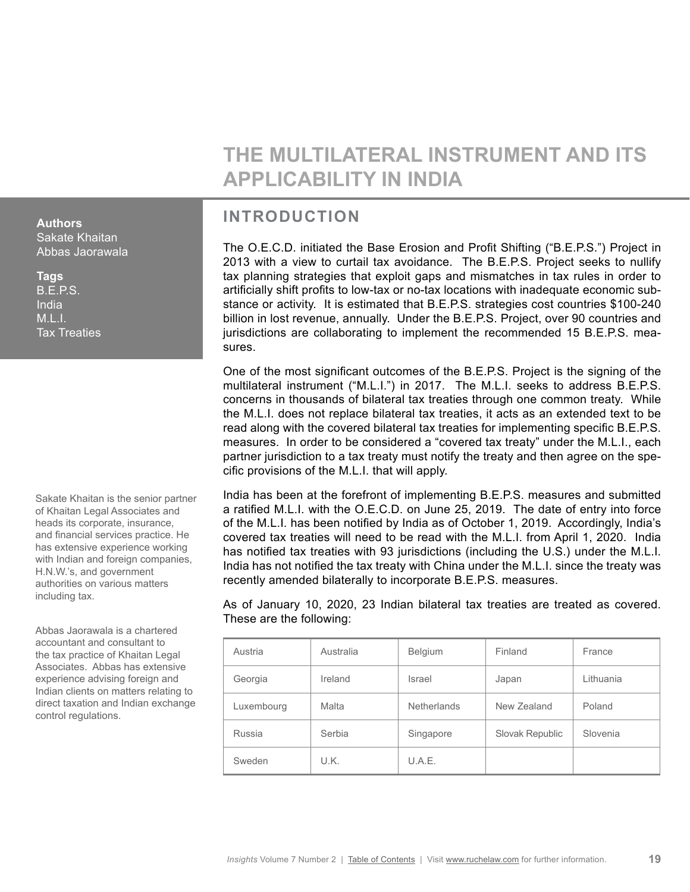# **THE MULTILATERAL INSTRUMENT AND ITS APPLICABILITY IN INDIA**

# **INTRODUCTION**

The O.E.C.D. initiated the Base Erosion and Profit Shifting ("B.E.P.S.") Project in 2013 with a view to curtail tax avoidance. The B.E.P.S. Project seeks to nullify tax planning strategies that exploit gaps and mismatches in tax rules in order to artificially shift profits to low-tax or no-tax locations with inadequate economic substance or activity. It is estimated that B.E.P.S. strategies cost countries \$100-240 billion in lost revenue, annually. Under the B.E.P.S. Project, over 90 countries and jurisdictions are collaborating to implement the recommended 15 B.E.P.S. measures.

One of the most significant outcomes of the B.E.P.S. Project is the signing of the multilateral instrument ("M.L.I.") in 2017. The M.L.I. seeks to address B.E.P.S. concerns in thousands of bilateral tax treaties through one common treaty. While the M.L.I. does not replace bilateral tax treaties, it acts as an extended text to be read along with the covered bilateral tax treaties for implementing specific B.E.P.S. measures. In order to be considered a "covered tax treaty" under the M.L.I., each partner jurisdiction to a tax treaty must notify the treaty and then agree on the specific provisions of the M.L.I. that will apply.

India has been at the forefront of implementing B.E.P.S. measures and submitted a ratified M.L.I. with the O.E.C.D. on June 25, 2019. The date of entry into force of the M.L.I. has been notified by India as of October 1, 2019. Accordingly, India's covered tax treaties will need to be read with the M.L.I. from April 1, 2020. India has notified tax treaties with 93 jurisdictions (including the U.S.) under the M.L.I. India has not notified the tax treaty with China under the M.L.I. since the treaty was recently amended bilaterally to incorporate B.E.P.S. measures.

As of January 10, 2020, 23 Indian bilateral tax treaties are treated as covered. These are the following:

| Austria    | Australia | Belgium            | Finland         | France    |
|------------|-----------|--------------------|-----------------|-----------|
| Georgia    | Ireland   | Israel             | Japan           | Lithuania |
| Luxembourg | Malta     | <b>Netherlands</b> | New Zealand     | Poland    |
| Russia     | Serbia    | Singapore          | Slovak Republic | Slovenia  |
| Sweden     | U.K.      | U.A.E.             |                 |           |

<span id="page-18-0"></span>**Authors** Sakate Khaitan Abbas Jaorawala

**Tags** B.E.P.S. India M.L.I. Tax Treaties

Sakate Khaitan is the senior partner of Khaitan Legal Associates and heads its corporate, insurance, and financial services practice. He has extensive experience working with Indian and foreign companies, H.N.W.'s, and government authorities on various matters including tax.

Abbas Jaorawala is a chartered accountant and consultant to the tax practice of Khaitan Legal Associates. Abbas has extensive experience advising foreign and Indian clients on matters relating to direct taxation and Indian exchange control regulations.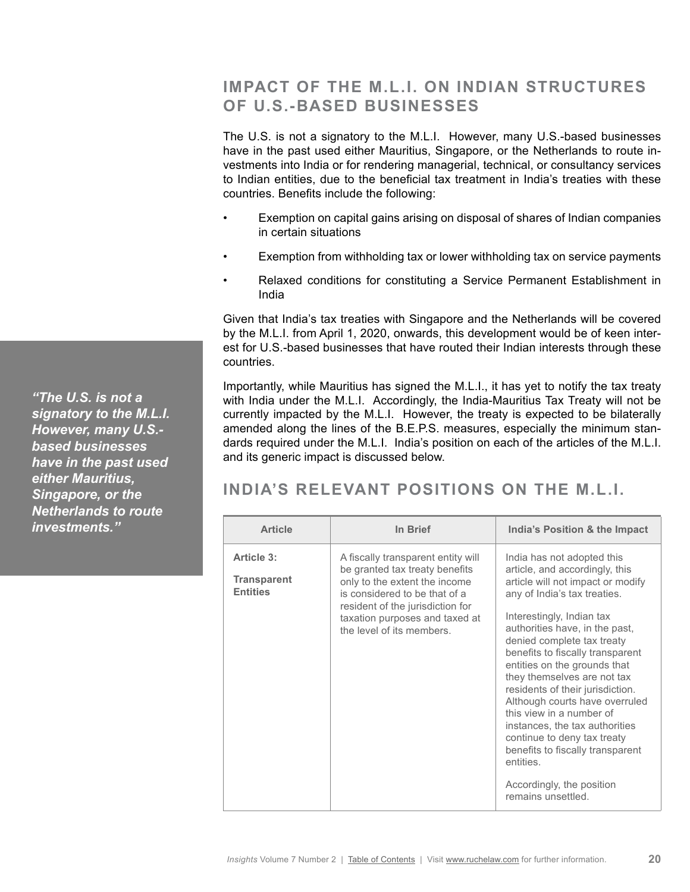# **IMPACT OF THE M.L.I. ON INDIAN STRUCTURES OF U.S.-BASED BUSINESSES**

The U.S. is not a signatory to the M.L.I. However, many U.S.-based businesses have in the past used either Mauritius, Singapore, or the Netherlands to route investments into India or for rendering managerial, technical, or consultancy services to Indian entities, due to the beneficial tax treatment in India's treaties with these countries. Benefits include the following:

- Exemption on capital gains arising on disposal of shares of Indian companies in certain situations
- Exemption from withholding tax or lower withholding tax on service payments
- Relaxed conditions for constituting a Service Permanent Establishment in India

Given that India's tax treaties with Singapore and the Netherlands will be covered by the M.L.I. from April 1, 2020, onwards, this development would be of keen interest for U.S.-based businesses that have routed their Indian interests through these countries.

Importantly, while Mauritius has signed the M.L.I., it has yet to notify the tax treaty with India under the M.L.I. Accordingly, the India-Mauritius Tax Treaty will not be currently impacted by the M.L.I. However, the treaty is expected to be bilaterally amended along the lines of the B.E.P.S. measures, especially the minimum standards required under the M.L.I. India's position on each of the articles of the M.L.I. and its generic impact is discussed below.

# **INDIA'S RELEVANT POSITIONS ON THE M.L.I.**

| <b>Article</b>                                      | In Brief                                                                                                                                                                                                                                  | India's Position & the Impact                                                                                                                                                                                                                                                                                                                                                                                                                                                                                                                                                                            |
|-----------------------------------------------------|-------------------------------------------------------------------------------------------------------------------------------------------------------------------------------------------------------------------------------------------|----------------------------------------------------------------------------------------------------------------------------------------------------------------------------------------------------------------------------------------------------------------------------------------------------------------------------------------------------------------------------------------------------------------------------------------------------------------------------------------------------------------------------------------------------------------------------------------------------------|
| Article 3:<br><b>Transparent</b><br><b>Entities</b> | A fiscally transparent entity will<br>be granted tax treaty benefits<br>only to the extent the income<br>is considered to be that of a<br>resident of the jurisdiction for<br>taxation purposes and taxed at<br>the level of its members. | India has not adopted this<br>article, and accordingly, this<br>article will not impact or modify<br>any of India's tax treaties.<br>Interestingly, Indian tax<br>authorities have, in the past,<br>denied complete tax treaty<br>benefits to fiscally transparent<br>entities on the grounds that<br>they themselves are not tax<br>residents of their jurisdiction.<br>Although courts have overruled<br>this view in a number of<br>instances, the tax authorities<br>continue to deny tax treaty<br>benefits to fiscally transparent<br>entities.<br>Accordingly, the position<br>remains unsettled. |

*"The U.S. is not a signatory to the M.L.I. However, many U.S. based businesses have in the past used either Mauritius, Singapore, or the Netherlands to route investments."*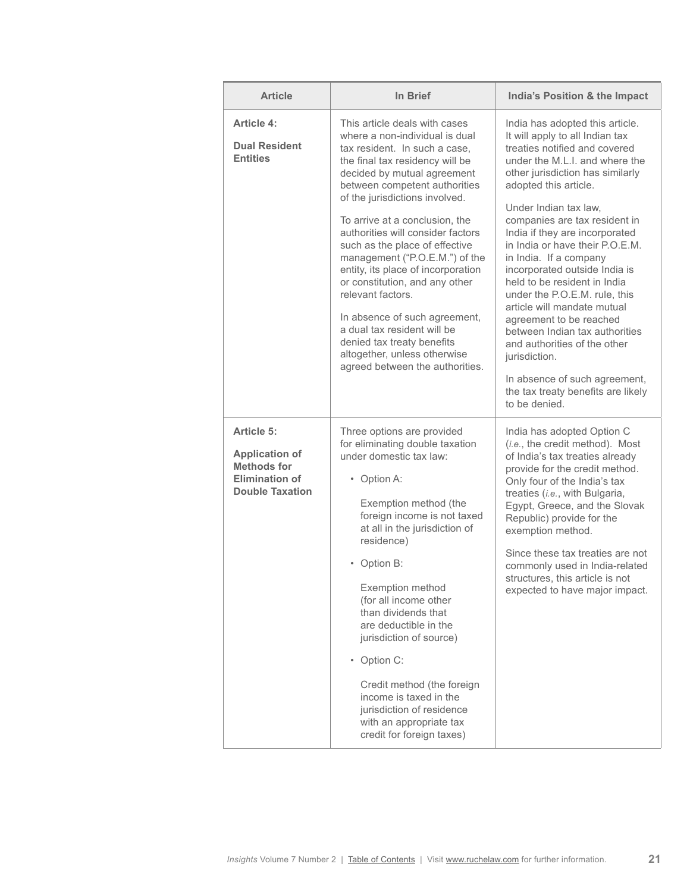| <b>Article</b>                                                                                               | In Brief                                                                                                                                                                                                                                                                                                                                                                                                                                                                                                                                                                                                                                       | India's Position & the Impact                                                                                                                                                                                                                                                                                                                                                                                                                                                                                                                                                                                                                                                                      |
|--------------------------------------------------------------------------------------------------------------|------------------------------------------------------------------------------------------------------------------------------------------------------------------------------------------------------------------------------------------------------------------------------------------------------------------------------------------------------------------------------------------------------------------------------------------------------------------------------------------------------------------------------------------------------------------------------------------------------------------------------------------------|----------------------------------------------------------------------------------------------------------------------------------------------------------------------------------------------------------------------------------------------------------------------------------------------------------------------------------------------------------------------------------------------------------------------------------------------------------------------------------------------------------------------------------------------------------------------------------------------------------------------------------------------------------------------------------------------------|
| Article 4:<br><b>Dual Resident</b><br><b>Entities</b>                                                        | This article deals with cases<br>where a non-individual is dual<br>tax resident. In such a case.<br>the final tax residency will be<br>decided by mutual agreement<br>between competent authorities<br>of the jurisdictions involved.<br>To arrive at a conclusion, the<br>authorities will consider factors<br>such as the place of effective<br>management ("P.O.E.M.") of the<br>entity, its place of incorporation<br>or constitution, and any other<br>relevant factors.<br>In absence of such agreement,<br>a dual tax resident will be<br>denied tax treaty benefits<br>altogether, unless otherwise<br>agreed between the authorities. | India has adopted this article.<br>It will apply to all Indian tax<br>treaties notified and covered<br>under the M.L.I. and where the<br>other jurisdiction has similarly<br>adopted this article.<br>Under Indian tax law,<br>companies are tax resident in<br>India if they are incorporated<br>in India or have their P.O.E.M.<br>in India. If a company<br>incorporated outside India is<br>held to be resident in India<br>under the P.O.E.M. rule, this<br>article will mandate mutual<br>agreement to be reached<br>between Indian tax authorities<br>and authorities of the other<br>jurisdiction.<br>In absence of such agreement,<br>the tax treaty benefits are likely<br>to be denied. |
| Article 5:<br><b>Application of</b><br><b>Methods for</b><br><b>Elimination of</b><br><b>Double Taxation</b> | Three options are provided<br>for eliminating double taxation<br>under domestic tax law:<br>• Option A:<br>Exemption method (the<br>foreign income is not taxed<br>at all in the jurisdiction of<br>residence)<br>• Option B:<br>Exemption method<br>(for all income other<br>than dividends that<br>are deductible in the<br>jurisdiction of source)<br>• Option C:<br>Credit method (the foreign<br>income is taxed in the<br>jurisdiction of residence<br>with an appropriate tax<br>credit for foreign taxes)                                                                                                                              | India has adopted Option C<br>(i.e., the credit method). Most<br>of India's tax treaties already<br>provide for the credit method.<br>Only four of the India's tax<br>treaties (i.e., with Bulgaria,<br>Egypt, Greece, and the Slovak<br>Republic) provide for the<br>exemption method.<br>Since these tax treaties are not<br>commonly used in India-related<br>structures, this article is not<br>expected to have major impact.                                                                                                                                                                                                                                                                 |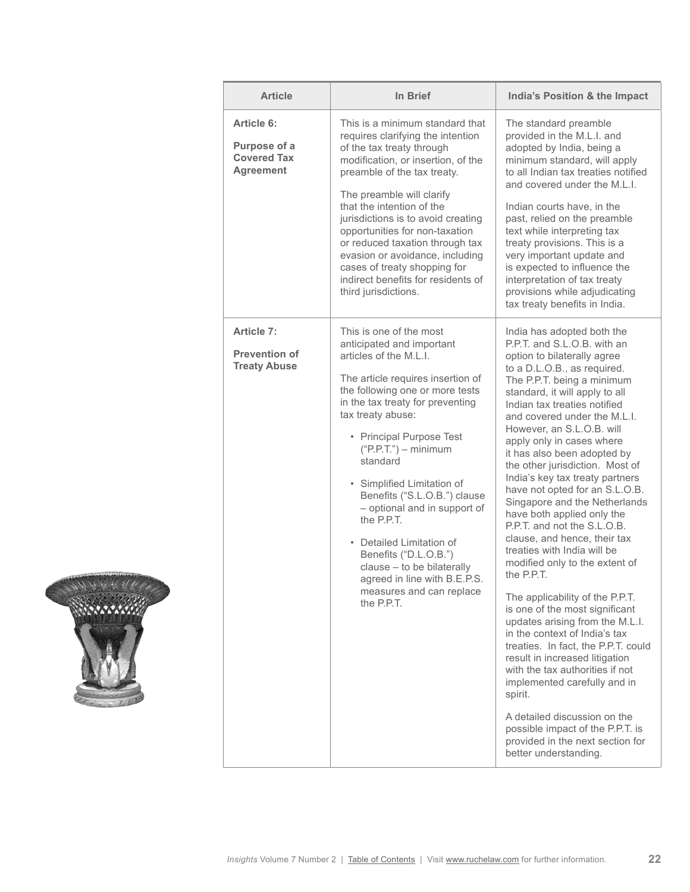| <b>Article</b>                                                       | In Brief                                                                                                                                                                                                                                                                                                                                                                                                                                                                                                                                                   | India's Position & the Impact                                                                                                                                                                                                                                                                                                                                                                                                                                                                                                                                                                                                                                                                                                                                                                                                                                                                                                                                                                                                                                                                          |
|----------------------------------------------------------------------|------------------------------------------------------------------------------------------------------------------------------------------------------------------------------------------------------------------------------------------------------------------------------------------------------------------------------------------------------------------------------------------------------------------------------------------------------------------------------------------------------------------------------------------------------------|--------------------------------------------------------------------------------------------------------------------------------------------------------------------------------------------------------------------------------------------------------------------------------------------------------------------------------------------------------------------------------------------------------------------------------------------------------------------------------------------------------------------------------------------------------------------------------------------------------------------------------------------------------------------------------------------------------------------------------------------------------------------------------------------------------------------------------------------------------------------------------------------------------------------------------------------------------------------------------------------------------------------------------------------------------------------------------------------------------|
| Article 6:<br>Purpose of a<br><b>Covered Tax</b><br><b>Agreement</b> | This is a minimum standard that<br>requires clarifying the intention<br>of the tax treaty through<br>modification, or insertion, of the<br>preamble of the tax treaty.<br>The preamble will clarify<br>that the intention of the<br>jurisdictions is to avoid creating<br>opportunities for non-taxation<br>or reduced taxation through tax<br>evasion or avoidance, including<br>cases of treaty shopping for<br>indirect benefits for residents of<br>third jurisdictions.                                                                               | The standard preamble<br>provided in the M.L.I. and<br>adopted by India, being a<br>minimum standard, will apply<br>to all Indian tax treaties notified<br>and covered under the M.L.I.<br>Indian courts have, in the<br>past, relied on the preamble<br>text while interpreting tax<br>treaty provisions. This is a<br>very important update and<br>is expected to influence the<br>interpretation of tax treaty<br>provisions while adjudicating<br>tax treaty benefits in India.                                                                                                                                                                                                                                                                                                                                                                                                                                                                                                                                                                                                                    |
| Article 7:<br><b>Prevention of</b><br><b>Treaty Abuse</b>            | This is one of the most<br>anticipated and important<br>articles of the M.L.I.<br>The article requires insertion of<br>the following one or more tests<br>in the tax treaty for preventing<br>tax treaty abuse:<br>• Principal Purpose Test<br>$("P.P.T.")$ – minimum<br>standard<br>• Simplified Limitation of<br>Benefits ("S.L.O.B.") clause<br>- optional and in support of<br>the P.P.T.<br>• Detailed Limitation of<br>Benefits ("D.L.O.B.")<br>clause - to be bilaterally<br>agreed in line with B.E.P.S.<br>measures and can replace<br>the P.P.T. | India has adopted both the<br>P.P.T. and S.L.O.B. with an<br>option to bilaterally agree<br>to a D.L.O.B., as required.<br>The P.P.T. being a minimum<br>standard, it will apply to all<br>Indian tax treaties notified<br>and covered under the M.L.I.<br>However, an S.L.O.B. will<br>apply only in cases where<br>it has also been adopted by<br>the other jurisdiction. Most of<br>India's key tax treaty partners<br>have not opted for an S.L.O.B.<br>Singapore and the Netherlands<br>have both applied only the<br>P.P.T. and not the S.L.O.B.<br>clause, and hence, their tax<br>treaties with India will be<br>modified only to the extent of<br>the P.P.T.<br>The applicability of the P.P.T.<br>is one of the most significant<br>updates arising from the M.L.I.<br>in the context of India's tax<br>treaties. In fact, the P.P.T. could<br>result in increased litigation<br>with the tax authorities if not<br>implemented carefully and in<br>spirit.<br>A detailed discussion on the<br>possible impact of the P.P.T. is<br>provided in the next section for<br>better understanding. |

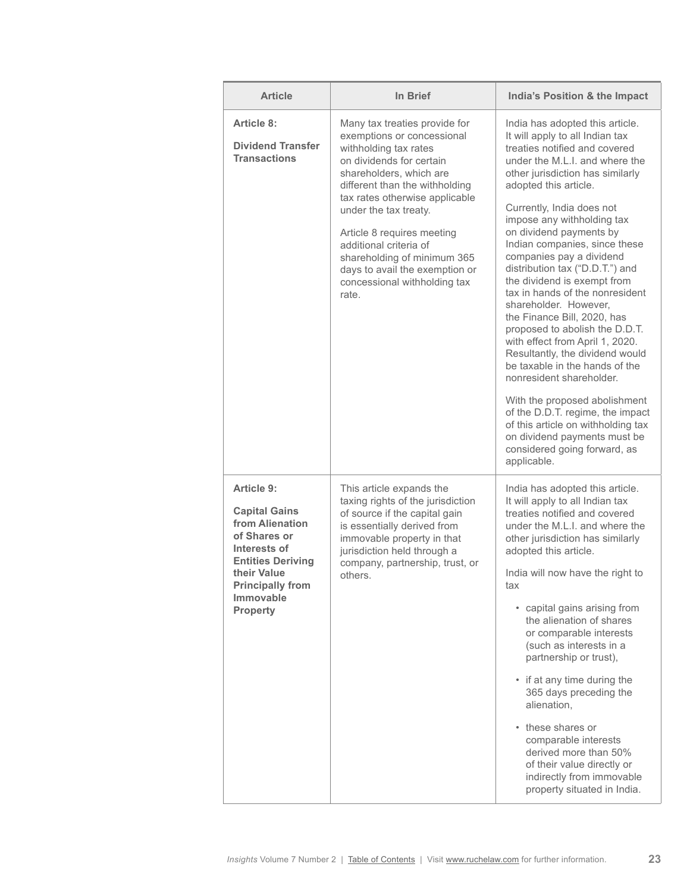| <b>Article</b>                                                                                                                                                                                     | In Brief                                                                                                                                                                                                                                                                                                                                                                                                   | India's Position & the Impact                                                                                                                                                                                                                                                                                                                                                                                                                                                                                                                                                                                                                                                                                                                                                                                                                                                      |
|----------------------------------------------------------------------------------------------------------------------------------------------------------------------------------------------------|------------------------------------------------------------------------------------------------------------------------------------------------------------------------------------------------------------------------------------------------------------------------------------------------------------------------------------------------------------------------------------------------------------|------------------------------------------------------------------------------------------------------------------------------------------------------------------------------------------------------------------------------------------------------------------------------------------------------------------------------------------------------------------------------------------------------------------------------------------------------------------------------------------------------------------------------------------------------------------------------------------------------------------------------------------------------------------------------------------------------------------------------------------------------------------------------------------------------------------------------------------------------------------------------------|
| Article 8:<br><b>Dividend Transfer</b><br><b>Transactions</b>                                                                                                                                      | Many tax treaties provide for<br>exemptions or concessional<br>withholding tax rates<br>on dividends for certain<br>shareholders, which are<br>different than the withholding<br>tax rates otherwise applicable<br>under the tax treaty.<br>Article 8 requires meeting<br>additional criteria of<br>shareholding of minimum 365<br>days to avail the exemption or<br>concessional withholding tax<br>rate. | India has adopted this article.<br>It will apply to all Indian tax<br>treaties notified and covered<br>under the M.L.I. and where the<br>other jurisdiction has similarly<br>adopted this article.<br>Currently, India does not<br>impose any withholding tax<br>on dividend payments by<br>Indian companies, since these<br>companies pay a dividend<br>distribution tax ("D.D.T.") and<br>the dividend is exempt from<br>tax in hands of the nonresident<br>shareholder. However.<br>the Finance Bill, 2020, has<br>proposed to abolish the D.D.T.<br>with effect from April 1, 2020.<br>Resultantly, the dividend would<br>be taxable in the hands of the<br>nonresident shareholder.<br>With the proposed abolishment<br>of the D.D.T. regime, the impact<br>of this article on withholding tax<br>on dividend payments must be<br>considered going forward, as<br>applicable. |
| Article 9:<br><b>Capital Gains</b><br>from Alienation<br>of Shares or<br>Interests of<br><b>Entities Deriving</b><br>their Value<br><b>Principally from</b><br><b>Immovable</b><br><b>Property</b> | This article expands the<br>taxing rights of the jurisdiction<br>of source if the capital gain<br>is essentially derived from<br>immovable property in that<br>jurisdiction held through a<br>company, partnership, trust, or<br>others.                                                                                                                                                                   | India has adopted this article.<br>It will apply to all Indian tax<br>treaties notified and covered<br>under the M.L.I. and where the<br>other jurisdiction has similarly<br>adopted this article.<br>India will now have the right to<br>tax<br>• capital gains arising from<br>the alienation of shares<br>or comparable interests<br>(such as interests in a<br>partnership or trust),<br>• if at any time during the<br>365 days preceding the<br>alienation,<br>• these shares or<br>comparable interests<br>derived more than 50%<br>of their value directly or<br>indirectly from immovable<br>property situated in India.                                                                                                                                                                                                                                                  |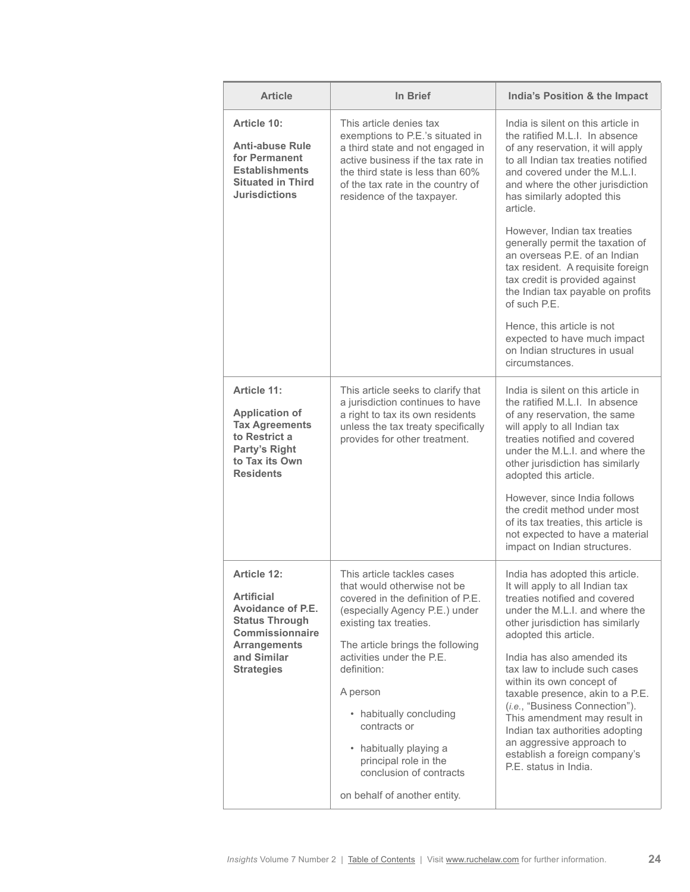| <b>Article</b>                                                                                                                                               | In Brief                                                                                                                                                                                                                                                                                                                                                                                                        | India's Position & the Impact                                                                                                                                                                                                                                                                                                                                                                                                                                                                                                                                                                                    |
|--------------------------------------------------------------------------------------------------------------------------------------------------------------|-----------------------------------------------------------------------------------------------------------------------------------------------------------------------------------------------------------------------------------------------------------------------------------------------------------------------------------------------------------------------------------------------------------------|------------------------------------------------------------------------------------------------------------------------------------------------------------------------------------------------------------------------------------------------------------------------------------------------------------------------------------------------------------------------------------------------------------------------------------------------------------------------------------------------------------------------------------------------------------------------------------------------------------------|
| Article 10:<br><b>Anti-abuse Rule</b><br>for Permanent<br><b>Establishments</b><br><b>Situated in Third</b><br><b>Jurisdictions</b>                          | This article denies tax<br>exemptions to P.E.'s situated in<br>a third state and not engaged in<br>active business if the tax rate in<br>the third state is less than 60%<br>of the tax rate in the country of<br>residence of the taxpayer.                                                                                                                                                                    | India is silent on this article in<br>the ratified M.L.I. In absence<br>of any reservation, it will apply<br>to all Indian tax treaties notified<br>and covered under the M.L.I.<br>and where the other jurisdiction<br>has similarly adopted this<br>article.<br>However, Indian tax treaties<br>generally permit the taxation of<br>an overseas P.E. of an Indian<br>tax resident. A requisite foreign<br>tax credit is provided against<br>the Indian tax payable on profits<br>of such P.F.<br>Hence, this article is not<br>expected to have much impact<br>on Indian structures in usual<br>circumstances. |
| Article 11:<br><b>Application of</b><br><b>Tax Agreements</b><br>to Restrict a<br>Party's Right<br>to Tax its Own<br><b>Residents</b>                        | This article seeks to clarify that<br>a jurisdiction continues to have<br>a right to tax its own residents<br>unless the tax treaty specifically<br>provides for other treatment.                                                                                                                                                                                                                               | India is silent on this article in<br>the ratified M.L.I. In absence<br>of any reservation, the same<br>will apply to all Indian tax<br>treaties notified and covered<br>under the M.L.I. and where the<br>other jurisdiction has similarly<br>adopted this article.<br>However, since India follows<br>the credit method under most<br>of its tax treaties, this article is<br>not expected to have a material<br>impact on Indian structures.                                                                                                                                                                  |
| Article 12:<br><b>Artificial</b><br>Avoidance of P.E.<br><b>Status Through</b><br>Commissionnaire<br><b>Arrangements</b><br>and Similar<br><b>Strategies</b> | This article tackles cases<br>that would otherwise not be<br>covered in the definition of P.E.<br>(especially Agency P.E.) under<br>existing tax treaties.<br>The article brings the following<br>activities under the P.E.<br>definition:<br>A person<br>• habitually concluding<br>contracts or<br>• habitually playing a<br>principal role in the<br>conclusion of contracts<br>on behalf of another entity. | India has adopted this article.<br>It will apply to all Indian tax<br>treaties notified and covered<br>under the M.L.I. and where the<br>other jurisdiction has similarly<br>adopted this article.<br>India has also amended its<br>tax law to include such cases<br>within its own concept of<br>taxable presence, akin to a P.E.<br>(i.e., "Business Connection").<br>This amendment may result in<br>Indian tax authorities adopting<br>an aggressive approach to<br>establish a foreign company's<br>P.E. status in India.                                                                                   |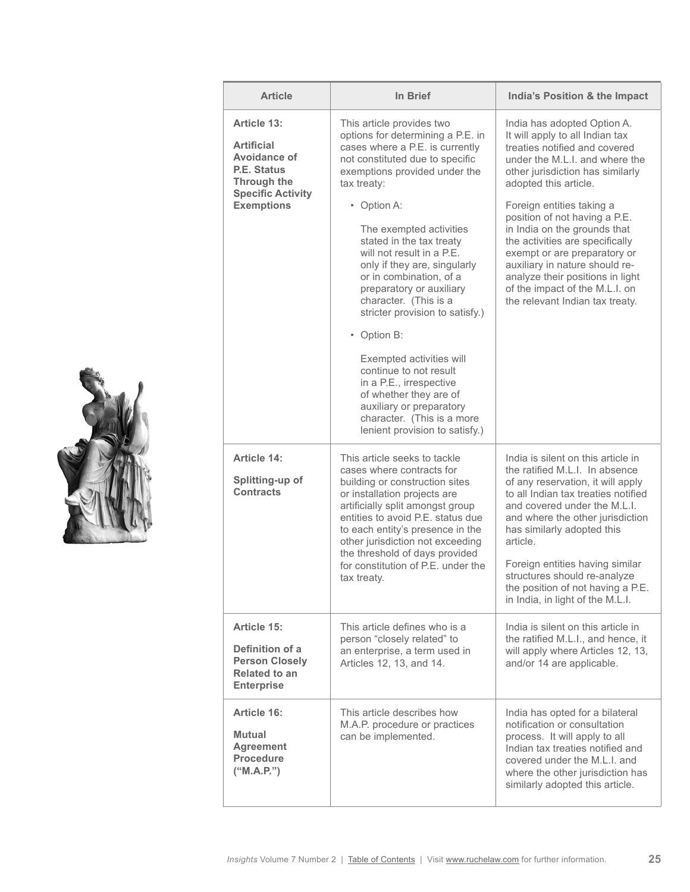| <b>Article</b>                                                                                       | In Brief                                                                                                                                                                                                                                                                                                                                                                                                                                                                 | India's Position & the Impact                                                                                                                                                                                                                                                                                                                                                                              |
|------------------------------------------------------------------------------------------------------|--------------------------------------------------------------------------------------------------------------------------------------------------------------------------------------------------------------------------------------------------------------------------------------------------------------------------------------------------------------------------------------------------------------------------------------------------------------------------|------------------------------------------------------------------------------------------------------------------------------------------------------------------------------------------------------------------------------------------------------------------------------------------------------------------------------------------------------------------------------------------------------------|
| Article 13:<br><b>Artificial</b><br>Avoidance of<br>P.E. Status<br><b>Through the</b>                | This article provides two<br>options for determining a P.E. in<br>cases where a P.E. is currently<br>not constituted due to specific<br>exemptions provided under the<br>tax treaty:                                                                                                                                                                                                                                                                                     | India has adopted Option A.<br>It will apply to all Indian tax<br>treaties notified and covered<br>under the M.L.I. and where the<br>other jurisdiction has similarly<br>adopted this article.                                                                                                                                                                                                             |
| <b>Specific Activity</b><br><b>Exemptions</b>                                                        | • Option A:<br>The exempted activities<br>stated in the tax treaty<br>will not result in a P.E.<br>only if they are, singularly<br>or in combination, of a<br>preparatory or auxiliary<br>character. (This is a<br>stricter provision to satisfy.)<br>• Option B:<br>Exempted activities will<br>continue to not result<br>in a P.E., irrespective<br>of whether they are of<br>auxiliary or preparatory<br>character. (This is a more<br>lenient provision to satisfy.) | Foreign entities taking a<br>position of not having a P.E.<br>in India on the grounds that<br>the activities are specifically<br>exempt or are preparatory or<br>auxiliary in nature should re-<br>analyze their positions in light<br>of the impact of the M.L.I. on<br>the relevant Indian tax treaty.                                                                                                   |
| Article 14:<br>Splitting-up of<br><b>Contracts</b>                                                   | This article seeks to tackle<br>cases where contracts for<br>building or construction sites<br>or installation projects are<br>artificially split amongst group<br>entities to avoid P.E. status due<br>to each entity's presence in the<br>other jurisdiction not exceeding<br>the threshold of days provided<br>for constitution of P.E. under the<br>tax treaty.                                                                                                      | India is silent on this article in<br>the ratified M.L.I. In absence<br>of any reservation, it will apply<br>to all Indian tax treaties notified<br>and covered under the M.L.I.<br>and where the other jurisdiction<br>has similarly adopted this<br>article.<br>Foreign entities having similar<br>structures should re-analyze<br>the position of not having a P.E.<br>in India, in light of the M.L.I. |
| Article 15:<br>Definition of a<br><b>Person Closely</b><br><b>Related to an</b><br><b>Enterprise</b> | This article defines who is a<br>person "closely related" to<br>an enterprise, a term used in<br>Articles 12, 13, and 14.                                                                                                                                                                                                                                                                                                                                                | India is silent on this article in<br>the ratified M.L.I., and hence, it<br>will apply where Articles 12, 13,<br>and/or 14 are applicable.                                                                                                                                                                                                                                                                 |
| Article 16:<br><b>Mutual</b><br><b>Agreement</b><br><b>Procedure</b><br>("M.A.P.")                   | This article describes how<br>M.A.P. procedure or practices<br>can be implemented.                                                                                                                                                                                                                                                                                                                                                                                       | India has opted for a bilateral<br>notification or consultation<br>process. It will apply to all<br>Indian tax treaties notified and<br>covered under the M.L.I. and<br>where the other jurisdiction has<br>similarly adopted this article.                                                                                                                                                                |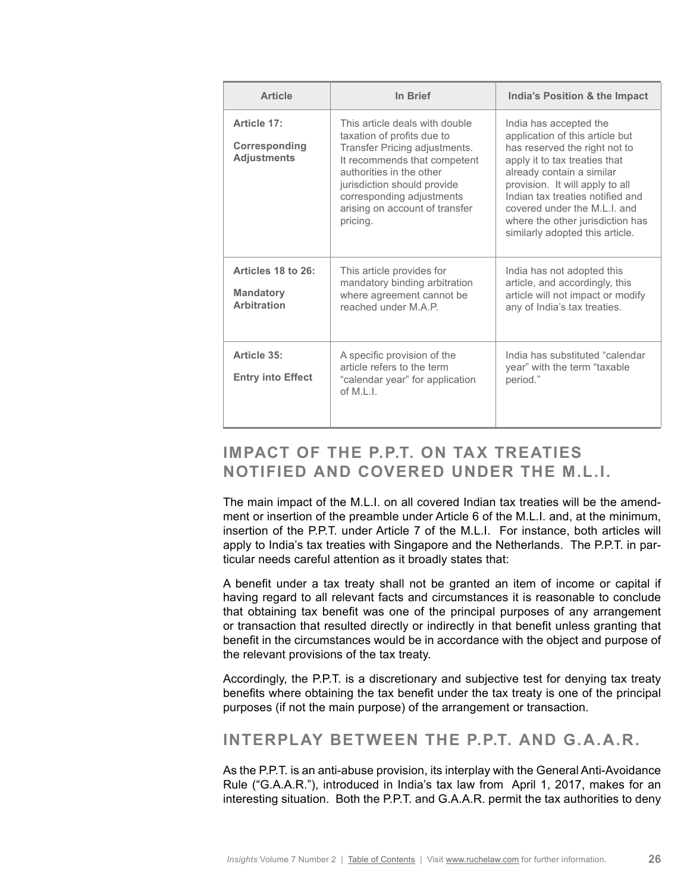| <b>Article</b>                                               | In Brief                                                                                                                                                                                                                                                            | India's Position & the Impact                                                                                                                                                                                                                                                                                                          |
|--------------------------------------------------------------|---------------------------------------------------------------------------------------------------------------------------------------------------------------------------------------------------------------------------------------------------------------------|----------------------------------------------------------------------------------------------------------------------------------------------------------------------------------------------------------------------------------------------------------------------------------------------------------------------------------------|
| Article 17:<br>Corresponding<br><b>Adjustments</b>           | This article deals with double<br>taxation of profits due to<br>Transfer Pricing adjustments.<br>It recommends that competent<br>authorities in the other<br>jurisdiction should provide<br>corresponding adjustments<br>arising on account of transfer<br>pricing. | India has accepted the<br>application of this article but<br>has reserved the right not to<br>apply it to tax treaties that<br>already contain a similar<br>provision. It will apply to all<br>Indian tax treaties notified and<br>covered under the M.L.I. and<br>where the other jurisdiction has<br>similarly adopted this article. |
| Articles 18 to 26:<br><b>Mandatory</b><br><b>Arbitration</b> | This article provides for<br>mandatory binding arbitration<br>where agreement cannot be<br>reached under M.A.P.                                                                                                                                                     | India has not adopted this<br>article, and accordingly, this<br>article will not impact or modify<br>any of India's tax treaties.                                                                                                                                                                                                      |
| Article 35:<br><b>Entry into Effect</b>                      | A specific provision of the<br>article refers to the term<br>"calendar year" for application<br>of M.I. $\vert$ .                                                                                                                                                   | India has substituted "calendar<br>year" with the term "taxable<br>period."                                                                                                                                                                                                                                                            |

# **IMPACT OF THE P.P.T. ON TAX TREATIES NOTIFIED AND COVERED UNDER THE M.L.I.**

The main impact of the M.L.I. on all covered Indian tax treaties will be the amendment or insertion of the preamble under Article 6 of the M.L.I. and, at the minimum, insertion of the P.P.T. under Article 7 of the M.L.I. For instance, both articles will apply to India's tax treaties with Singapore and the Netherlands. The P.P.T. in particular needs careful attention as it broadly states that:

A benefit under a tax treaty shall not be granted an item of income or capital if having regard to all relevant facts and circumstances it is reasonable to conclude that obtaining tax benefit was one of the principal purposes of any arrangement or transaction that resulted directly or indirectly in that benefit unless granting that benefit in the circumstances would be in accordance with the object and purpose of the relevant provisions of the tax treaty.

Accordingly, the P.P.T. is a discretionary and subjective test for denying tax treaty benefits where obtaining the tax benefit under the tax treaty is one of the principal purposes (if not the main purpose) of the arrangement or transaction.

### **INTERPLAY BETWEEN THE P.P.T. AND G.A.A.R.**

As the P.P.T. is an anti-abuse provision, its interplay with the General Anti-Avoidance Rule ("G.A.A.R."), introduced in India's tax law from April 1, 2017, makes for an interesting situation. Both the P.P.T. and G.A.A.R. permit the tax authorities to deny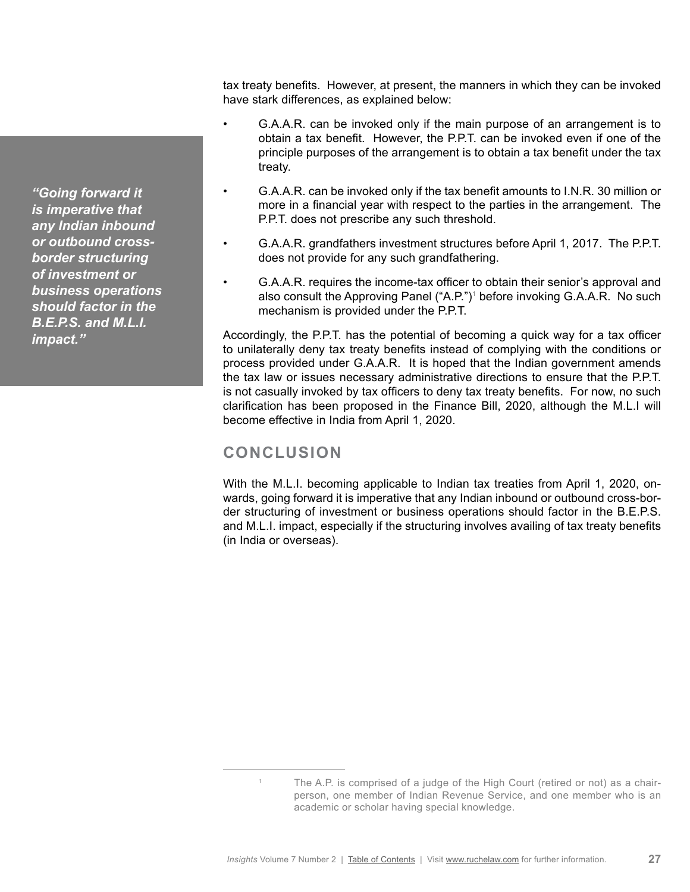*"Going forward it is imperative that any Indian inbound or outbound crossborder structuring of investment or business operations should factor in the B.E.P.S. and M.L.I. impact."*

tax treaty benefits. However, at present, the manners in which they can be invoked have stark differences, as explained below:

- G.A.A.R. can be invoked only if the main purpose of an arrangement is to obtain a tax benefit. However, the P.P.T. can be invoked even if one of the principle purposes of the arrangement is to obtain a tax benefit under the tax treaty.
- G.A.A.R. can be invoked only if the tax benefit amounts to I.N.R. 30 million or more in a financial year with respect to the parties in the arrangement. The P.P.T. does not prescribe any such threshold.
- G.A.A.R. grandfathers investment structures before April 1, 2017. The P.P.T. does not provide for any such grandfathering.
- G.A.A.R. requires the income-tax officer to obtain their senior's approval and also consult the Approving Panel ("A.P.")<sup>1</sup> before invoking G.A.A.R. No such mechanism is provided under the P.P.T.

Accordingly, the P.P.T. has the potential of becoming a quick way for a tax officer to unilaterally deny tax treaty benefits instead of complying with the conditions or process provided under G.A.A.R. It is hoped that the Indian government amends the tax law or issues necessary administrative directions to ensure that the P.P.T. is not casually invoked by tax officers to deny tax treaty benefits. For now, no such clarification has been proposed in the Finance Bill, 2020, although the M.L.I will become effective in India from April 1, 2020.

# **CONCLUSION**

With the M.L.I. becoming applicable to Indian tax treaties from April 1, 2020, onwards, going forward it is imperative that any Indian inbound or outbound cross-border structuring of investment or business operations should factor in the B.E.P.S. and M.L.I. impact, especially if the structuring involves availing of tax treaty benefits (in India or overseas).

<sup>&</sup>lt;sup>1</sup> The A.P. is comprised of a judge of the High Court (retired or not) as a chairperson, one member of Indian Revenue Service, and one member who is an academic or scholar having special knowledge.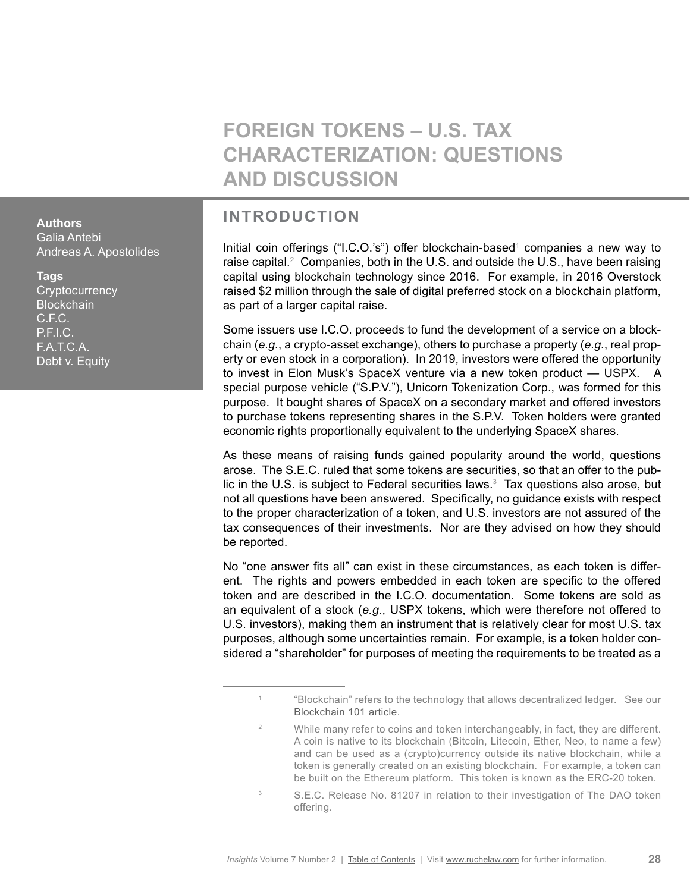# **FOREIGN TOKENS – U.S. TAX CHARACTERIZATION: QUESTIONS AND DISCUSSION**

# **INTRODUCTION**

Initial coin offerings ("I.C.O.'s") offer blockchain-based<sup>1</sup> companies a new way to raise capital.<sup>2</sup> Companies, both in the U.S. and outside the U.S., have been raising capital using blockchain technology since 2016. For example, in 2016 Overstock raised \$2 million through the sale of digital preferred stock on a blockchain platform, as part of a larger capital raise.

Some issuers use I.C.O. proceeds to fund the development of a service on a blockchain (*e.g.*, a crypto-asset exchange), others to purchase a property (*e.g.*, real property or even stock in a corporation). In 2019, investors were offered the opportunity to invest in Elon Musk's SpaceX venture via a new token product — USPX. A special purpose vehicle ("S.P.V."), Unicorn Tokenization Corp., was formed for this purpose. It bought shares of SpaceX on a secondary market and offered investors to purchase tokens representing shares in the S.P.V. Token holders were granted economic rights proportionally equivalent to the underlying SpaceX shares.

As these means of raising funds gained popularity around the world, questions arose. The S.E.C. ruled that some tokens are securities, so that an offer to the public in the U.S. is subject to Federal securities laws.<sup>3</sup> Tax questions also arose, but not all questions have been answered. Specifically, no guidance exists with respect to the proper characterization of a token, and U.S. investors are not assured of the tax consequences of their investments. Nor are they advised on how they should be reported.

No "one answer fits all" can exist in these circumstances, as each token is different. The rights and powers embedded in each token are specific to the offered token and are described in the I.C.O. documentation. Some tokens are sold as an equivalent of a stock (*e.g.*, USPX tokens, which were therefore not offered to U.S. investors), making them an instrument that is relatively clear for most U.S. tax purposes, although some uncertainties remain. For example, is a token holder considered a "shareholder" for purposes of meeting the requirements to be treated as a

<span id="page-27-0"></span>**Authors** Galia Antebi Andreas A. Apostolides

### **Tags**

**Cryptocurrency Blockchain** C.F.C. P.F.I.C. F.A.T.C.A. Debt v. Equity

<sup>1</sup> "Blockchain" refers to the technology that allows decentralized ledger. See our [Blockchain 101 article.](http://publications.ruchelaw.com/news/2018-07/Blockchain-Primer.pdf )

<sup>&</sup>lt;sup>2</sup> While many refer to coins and token interchangeably, in fact, they are different. A coin is native to its blockchain (Bitcoin, Litecoin, Ether, Neo, to name a few) and can be used as a (crypto)currency outside its native blockchain, while a token is generally created on an existing blockchain. For example, a token can be built on the Ethereum platform. This token is known as the ERC-20 token.

<sup>&</sup>lt;sup>3</sup> S.E.C. Release No. 81207 in relation to their investigation of The DAO token offering.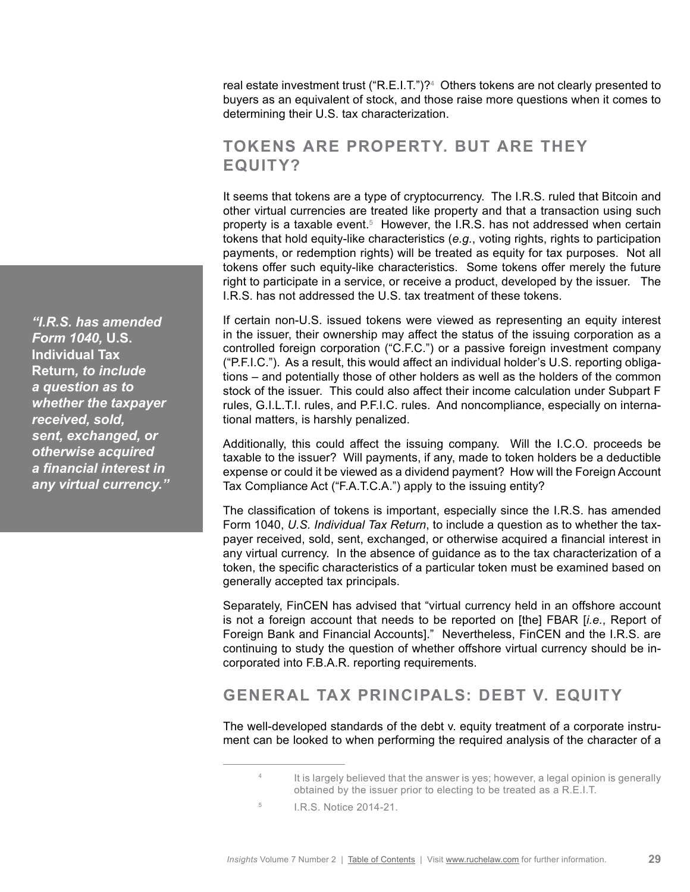real estate investment trust ("R.E.I.T.")?<sup>4</sup> Others tokens are not clearly presented to buyers as an equivalent of stock, and those raise more questions when it comes to determining their U.S. tax characterization.

# **TOKENS ARE PROPERTY. BUT ARE THEY EQUITY?**

It seems that tokens are a type of cryptocurrency. The I.R.S. ruled that Bitcoin and other virtual currencies are treated like property and that a transaction using such property is a taxable event.<sup>5</sup> However, the I.R.S. has not addressed when certain tokens that hold equity-like characteristics (*e.g.*, voting rights, rights to participation payments, or redemption rights) will be treated as equity for tax purposes. Not all tokens offer such equity-like characteristics. Some tokens offer merely the future right to participate in a service, or receive a product, developed by the issuer. The I.R.S. has not addressed the U.S. tax treatment of these tokens.

If certain non-U.S. issued tokens were viewed as representing an equity interest in the issuer, their ownership may affect the status of the issuing corporation as a controlled foreign corporation ("C.F.C.") or a passive foreign investment company ("P.F.I.C."). As a result, this would affect an individual holder's U.S. reporting obligations – and potentially those of other holders as well as the holders of the common stock of the issuer. This could also affect their income calculation under Subpart F rules, G.I.L.T.I. rules, and P.F.I.C. rules. And noncompliance, especially on international matters, is harshly penalized.

Additionally, this could affect the issuing company. Will the I.C.O. proceeds be taxable to the issuer? Will payments, if any, made to token holders be a deductible expense or could it be viewed as a dividend payment? How will the Foreign Account Tax Compliance Act ("F.A.T.C.A.") apply to the issuing entity?

The classification of tokens is important, especially since the I.R.S. has amended Form 1040, *U.S. Individual Tax Return*, to include a question as to whether the taxpayer received, sold, sent, exchanged, or otherwise acquired a financial interest in any virtual currency. In the absence of guidance as to the tax characterization of a token, the specific characteristics of a particular token must be examined based on generally accepted tax principals.

Separately, FinCEN has advised that "virtual currency held in an offshore account is not a foreign account that needs to be reported on [the] FBAR [*i.e.*, Report of Foreign Bank and Financial Accounts]." Nevertheless, FinCEN and the I.R.S. are continuing to study the question of whether offshore virtual currency should be incorporated into F.B.A.R. reporting requirements.

# **GENERAL TAX PRINCIPALS: DEBT V. EQUITY**

The well-developed standards of the debt v. equity treatment of a corporate instrument can be looked to when performing the required analysis of the character of a

*"I.R.S. has amended Form 1040,* **U.S. Individual Tax Return***, to include a question as to whether the taxpayer received, sold, sent, exchanged, or otherwise acquired a financial interest in any virtual currency."*

<sup>&</sup>lt;sup>4</sup> It is largely believed that the answer is yes; however, a legal opinion is generally obtained by the issuer prior to electing to be treated as a R.E.I.T.

<sup>5</sup> I.R.S. Notice 2014-21.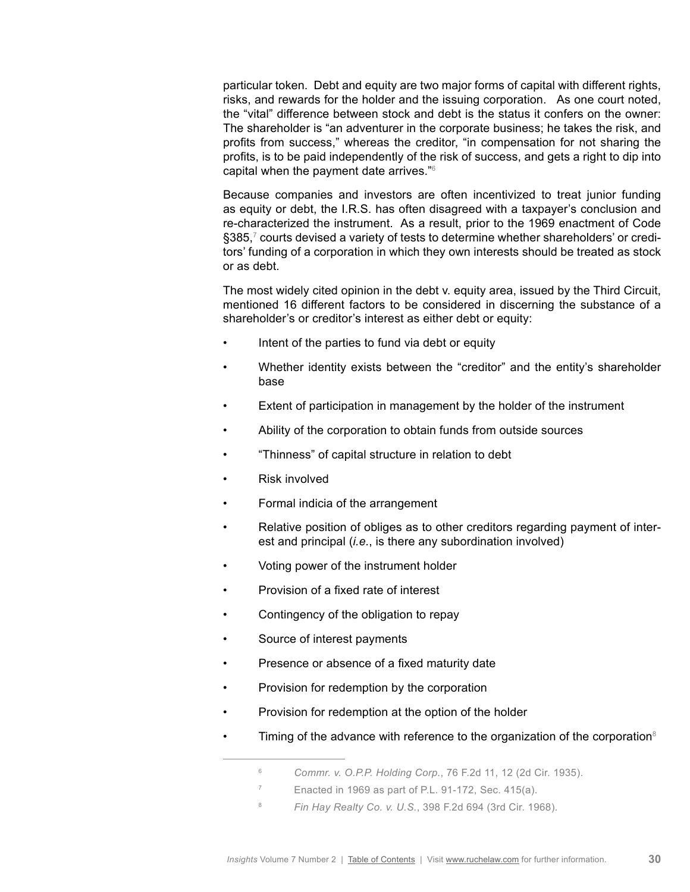particular token. Debt and equity are two major forms of capital with different rights, risks, and rewards for the holder and the issuing corporation. As one court noted, the "vital" difference between stock and debt is the status it confers on the owner: The shareholder is "an adventurer in the corporate business; he takes the risk, and profits from success," whereas the creditor, "in compensation for not sharing the profits, is to be paid independently of the risk of success, and gets a right to dip into capital when the payment date arrives."6

Because companies and investors are often incentivized to treat junior funding as equity or debt, the I.R.S. has often disagreed with a taxpayer's conclusion and re-characterized the instrument. As a result, prior to the 1969 enactment of Code  $\S 385{,}^7$  courts devised a variety of tests to determine whether shareholders' or creditors' funding of a corporation in which they own interests should be treated as stock or as debt.

The most widely cited opinion in the debt v. equity area, issued by the Third Circuit, mentioned 16 different factors to be considered in discerning the substance of a shareholder's or creditor's interest as either debt or equity:

- Intent of the parties to fund via debt or equity
- Whether identity exists between the "creditor" and the entity's shareholder base
- Extent of participation in management by the holder of the instrument
- Ability of the corporation to obtain funds from outside sources
- "Thinness" of capital structure in relation to debt
- Risk involved
- Formal indicia of the arrangement
- Relative position of obliges as to other creditors regarding payment of interest and principal (*i.e.*, is there any subordination involved)
- Voting power of the instrument holder
- Provision of a fixed rate of interest
- Contingency of the obligation to repay
- Source of interest payments
- Presence or absence of a fixed maturity date
- Provision for redemption by the corporation
- Provision for redemption at the option of the holder
- Timing of the advance with reference to the organization of the corporation $8$

<sup>6</sup> *Commr. v. O.P.P. Holding Corp.*, 76 F.2d 11, 12 (2d Cir. 1935).

<sup>7</sup> Enacted in 1969 as part of P.L. 91-172, Sec. 415(a).

<sup>8</sup> *Fin Hay Realty Co. v. U.S.*, 398 F.2d 694 (3rd Cir. 1968).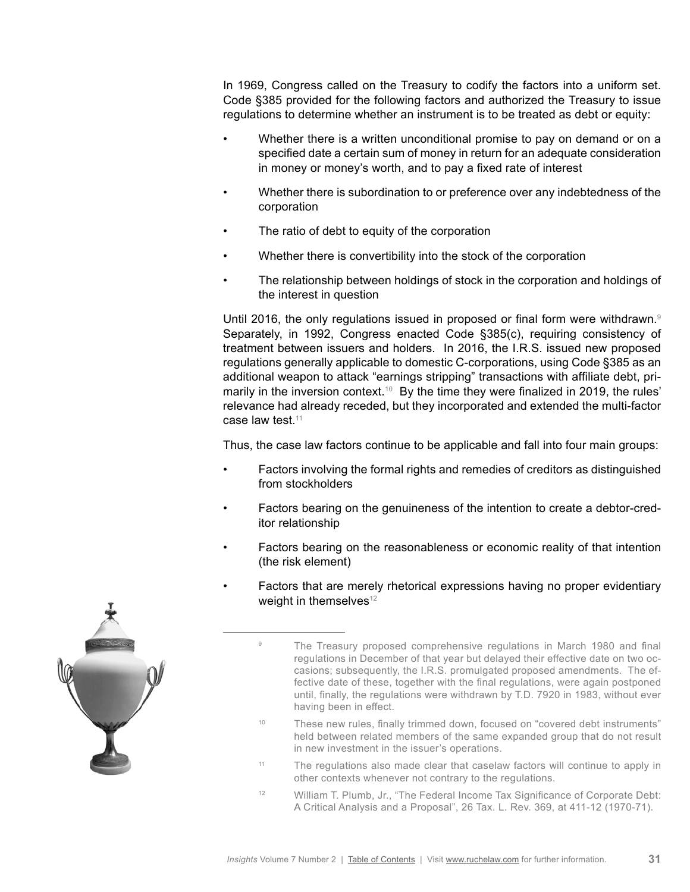In 1969, Congress called on the Treasury to codify the factors into a uniform set. Code §385 provided for the following factors and authorized the Treasury to issue regulations to determine whether an instrument is to be treated as debt or equity:

- Whether there is a written unconditional promise to pay on demand or on a specified date a certain sum of money in return for an adequate consideration in money or money's worth, and to pay a fixed rate of interest
- Whether there is subordination to or preference over any indebtedness of the corporation
- The ratio of debt to equity of the corporation
- Whether there is convertibility into the stock of the corporation
- The relationship between holdings of stock in the corporation and holdings of the interest in question

Until 2016, the only regulations issued in proposed or final form were withdrawn.<sup>9</sup> Separately, in 1992, Congress enacted Code §385(c), requiring consistency of treatment between issuers and holders. In 2016, the I.R.S. issued new proposed regulations generally applicable to domestic C-corporations, using Code §385 as an additional weapon to attack "earnings stripping" transactions with affiliate debt, primarily in the inversion context.<sup>10</sup> By the time they were finalized in 2019, the rules' relevance had already receded, but they incorporated and extended the multi-factor case law test. $11$ 

Thus, the case law factors continue to be applicable and fall into four main groups:

- Factors involving the formal rights and remedies of creditors as distinguished from stockholders
- Factors bearing on the genuineness of the intention to create a debtor-creditor relationship
- Factors bearing on the reasonableness or economic reality of that intention (the risk element)
- Factors that are merely rhetorical expressions having no proper evidentiary weight in themselves $12$

- <sup>10</sup> These new rules, finally trimmed down, focused on "covered debt instruments" held between related members of the same expanded group that do not result in new investment in the issuer's operations.
- <sup>11</sup> The regulations also made clear that caselaw factors will continue to apply in other contexts whenever not contrary to the regulations.
- <sup>12</sup> William T. Plumb, Jr., "The Federal Income Tax Significance of Corporate Debt: A Critical Analysis and a Proposal", 26 Tax. L. Rev. 369, at 411-12 (1970-71).



<sup>&</sup>lt;sup>9</sup> The Treasury proposed comprehensive regulations in March 1980 and final regulations in December of that year but delayed their effective date on two occasions; subsequently, the I.R.S. promulgated proposed amendments. The effective date of these, together with the final regulations, were again postponed until, finally, the regulations were withdrawn by T.D. 7920 in 1983, without ever having been in effect.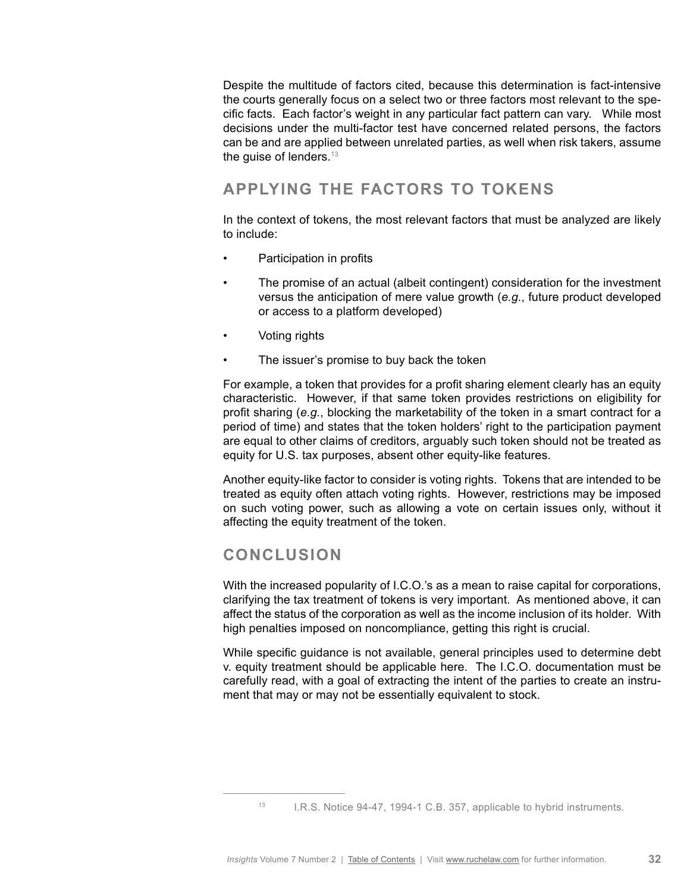Despite the multitude of factors cited, because this determination is fact-intensive the courts generally focus on a select two or three factors most relevant to the specific facts. Each factor's weight in any particular fact pattern can vary. While most decisions under the multi-factor test have concerned related persons, the factors can be and are applied between unrelated parties, as well when risk takers, assume the guise of lenders.<sup>13</sup>

# **APPLYING THE FACTORS TO TOKENS**

In the context of tokens, the most relevant factors that must be analyzed are likely to include:

- Participation in profits
- The promise of an actual (albeit contingent) consideration for the investment versus the anticipation of mere value growth (*e.g.*, future product developed or access to a platform developed)
- Voting rights
- The issuer's promise to buy back the token

For example, a token that provides for a profit sharing element clearly has an equity characteristic. However, if that same token provides restrictions on eligibility for profit sharing (*e.g.*, blocking the marketability of the token in a smart contract for a period of time) and states that the token holders' right to the participation payment are equal to other claims of creditors, arguably such token should not be treated as equity for U.S. tax purposes, absent other equity-like features.

Another equity-like factor to consider is voting rights. Tokens that are intended to be treated as equity often attach voting rights. However, restrictions may be imposed on such voting power, such as allowing a vote on certain issues only, without it affecting the equity treatment of the token.

### **CONCLUSION**

With the increased popularity of I.C.O.'s as a mean to raise capital for corporations, clarifying the tax treatment of tokens is very important. As mentioned above, it can affect the status of the corporation as well as the income inclusion of its holder. With high penalties imposed on noncompliance, getting this right is crucial.

While specific guidance is not available, general principles used to determine debt v. equity treatment should be applicable here. The I.C.O. documentation must be carefully read, with a goal of extracting the intent of the parties to create an instrument that may or may not be essentially equivalent to stock.

<sup>13</sup> I.R.S. Notice 94-47, 1994-1 C.B. 357, applicable to hybrid instruments.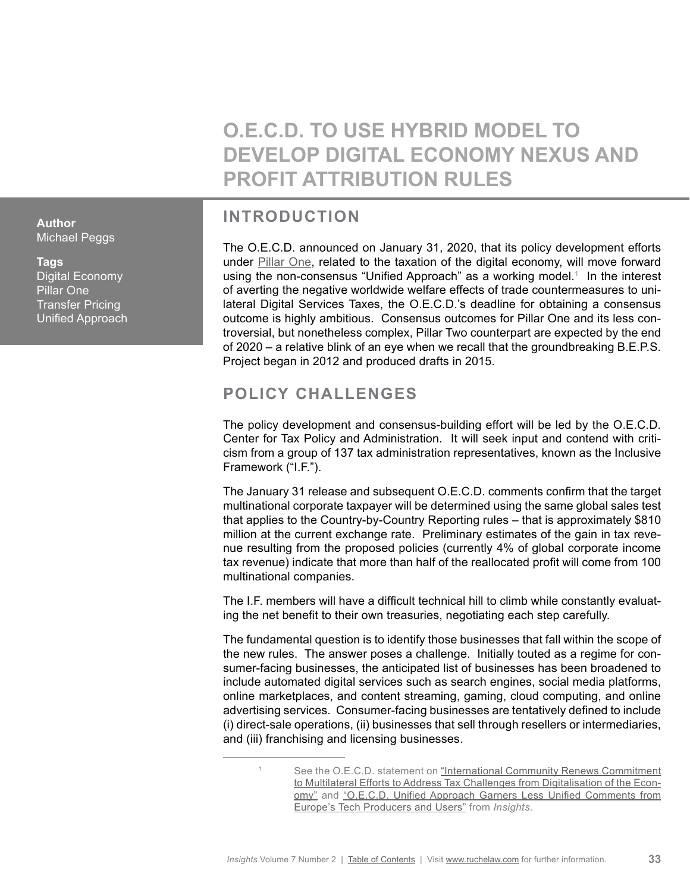# **O.E.C.D. TO USE HYBRID MODEL TO DEVELOP DIGITAL ECONOMY NEXUS AND PROFIT ATTRIBUTION RULES**

# **INTRODUCTION**

The O.E.C.D. announced on January 31, 2020, that its policy development efforts under [Pillar One](https://www.oecd.org/tax/oecd-invites-public-input-on-the-secretariat-proposal-for-a-unified-approach-under-pillar-one.htm), related to the taxation of the digital economy, will move forward using the non-consensus "Unified Approach" as a working model.<sup>1</sup> In the interest of averting the negative worldwide welfare effects of trade countermeasures to unilateral Digital Services Taxes, the O.E.C.D.'s deadline for obtaining a consensus outcome is highly ambitious. Consensus outcomes for Pillar One and its less controversial, but nonetheless complex, Pillar Two counterpart are expected by the end of 2020 – a relative blink of an eye when we recall that the groundbreaking B.E.P.S. Project began in 2012 and produced drafts in 2015.

# **POLICY CHALLENGES**

The policy development and consensus-building effort will be led by the O.E.C.D. Center for Tax Policy and Administration. It will seek input and contend with criticism from a group of 137 tax administration representatives, known as the Inclusive Framework ("I.F.").

The January 31 release and subsequent O.E.C.D. comments confirm that the target multinational corporate taxpayer will be determined using the same global sales test that applies to the Country-by-Country Reporting rules – that is approximately \$810 million at the current exchange rate. Preliminary estimates of the gain in tax revenue resulting from the proposed policies (currently 4% of global corporate income tax revenue) indicate that more than half of the reallocated profit will come from 100 multinational companies.

The I.F. members will have a difficult technical hill to climb while constantly evaluating the net benefit to their own treasuries, negotiating each step carefully.

The fundamental question is to identify those businesses that fall within the scope of the new rules. The answer poses a challenge. Initially touted as a regime for consumer-facing businesses, the anticipated list of businesses has been broadened to include automated digital services such as search engines, social media platforms, online marketplaces, and content streaming, gaming, cloud computing, and online advertising services. Consumer-facing businesses are tentatively defined to include (i) direct-sale operations, (ii) businesses that sell through resellers or intermediaries, and (iii) franchising and licensing businesses.

<span id="page-32-0"></span>**Author** Michael Peggs

**Tags** Digital Economy Pillar One Transfer Pricing Unified Approach

<sup>1</sup> See the O.E.C.D. statement on "International Community Renews Commitment [to Multilateral Efforts to Address Tax Challenges from Digitalisation of the Econ](http://www.oecd.org/tax/beps/international-community-renews-commitment-to-multilateral-efforts-to-address-tax-challenges-from-digitalisation-of-the-economy.htm)[omy"](http://www.oecd.org/tax/beps/international-community-renews-commitment-to-multilateral-efforts-to-address-tax-challenges-from-digitalisation-of-the-economy.htm) and "O.E.C.D. Unified Approach Garners Less Unified Comments from [Europe's Tech Producers and Users"](http://www.ruchelaw.com/publications/oecd-unified-approach-garners-less-unified-comments-from-europes-tech-producers-and-users) from *Insights*.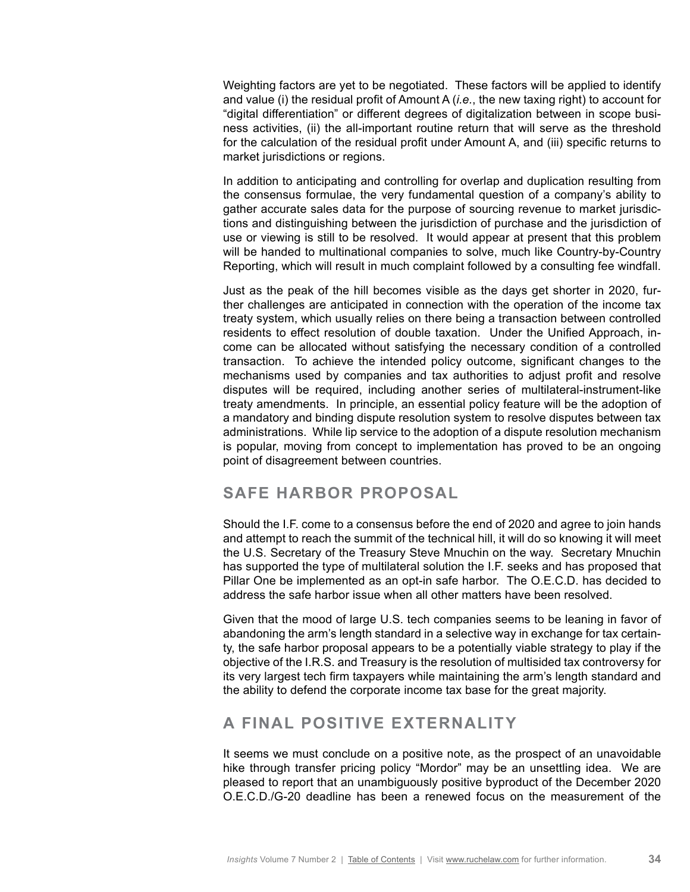Weighting factors are yet to be negotiated. These factors will be applied to identify and value (i) the residual profit of Amount A (*i.e.*, the new taxing right) to account for "digital differentiation" or different degrees of digitalization between in scope business activities, (ii) the all-important routine return that will serve as the threshold for the calculation of the residual profit under Amount A, and (iii) specific returns to market jurisdictions or regions.

In addition to anticipating and controlling for overlap and duplication resulting from the consensus formulae, the very fundamental question of a company's ability to gather accurate sales data for the purpose of sourcing revenue to market jurisdictions and distinguishing between the jurisdiction of purchase and the jurisdiction of use or viewing is still to be resolved. It would appear at present that this problem will be handed to multinational companies to solve, much like Country-by-Country Reporting, which will result in much complaint followed by a consulting fee windfall.

Just as the peak of the hill becomes visible as the days get shorter in 2020, further challenges are anticipated in connection with the operation of the income tax treaty system, which usually relies on there being a transaction between controlled residents to effect resolution of double taxation. Under the Unified Approach, income can be allocated without satisfying the necessary condition of a controlled transaction. To achieve the intended policy outcome, significant changes to the mechanisms used by companies and tax authorities to adjust profit and resolve disputes will be required, including another series of multilateral-instrument-like treaty amendments. In principle, an essential policy feature will be the adoption of a mandatory and binding dispute resolution system to resolve disputes between tax administrations. While lip service to the adoption of a dispute resolution mechanism is popular, moving from concept to implementation has proved to be an ongoing point of disagreement between countries.

### **SAFE HARBOR PROPOSAL**

Should the I.F. come to a consensus before the end of 2020 and agree to join hands and attempt to reach the summit of the technical hill, it will do so knowing it will meet the U.S. Secretary of the Treasury Steve Mnuchin on the way. Secretary Mnuchin has supported the type of multilateral solution the I.F. seeks and has proposed that Pillar One be implemented as an opt-in safe harbor. The O.E.C.D. has decided to address the safe harbor issue when all other matters have been resolved.

Given that the mood of large U.S. tech companies seems to be leaning in favor of abandoning the arm's length standard in a selective way in exchange for tax certainty, the safe harbor proposal appears to be a potentially viable strategy to play if the objective of the I.R.S. and Treasury is the resolution of multisided tax controversy for its very largest tech firm taxpayers while maintaining the arm's length standard and the ability to defend the corporate income tax base for the great majority.

# **A FINAL POSITIVE EXTERNALITY**

It seems we must conclude on a positive note, as the prospect of an unavoidable hike through transfer pricing policy "Mordor" may be an unsettling idea. We are pleased to report that an unambiguously positive byproduct of the December 2020 O.E.C.D./G-20 deadline has been a renewed focus on the measurement of the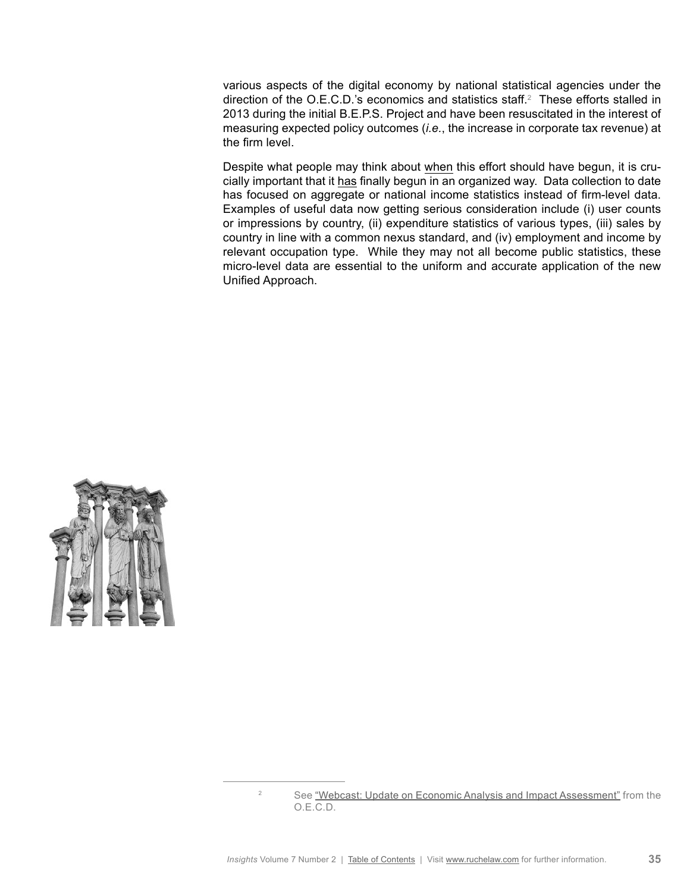various aspects of the digital economy by national statistical agencies under the direction of the O.E.C.D.'s economics and statistics staff.<sup>2</sup> These efforts stalled in 2013 during the initial B.E.P.S. Project and have been resuscitated in the interest of measuring expected policy outcomes (*i.e.*, the increase in corporate tax revenue) at the firm level.

Despite what people may think about when this effort should have begun, it is crucially important that it has finally begun in an organized way. Data collection to date has focused on aggregate or national income statistics instead of firm-level data. Examples of useful data now getting serious consideration include (i) user counts or impressions by country, (ii) expenditure statistics of various types, (iii) sales by country in line with a common nexus standard, and (iv) employment and income by relevant occupation type. While they may not all become public statistics, these micro-level data are essential to the uniform and accurate application of the new Unified Approach.



<sup>&</sup>lt;sup>2</sup> See ["Webcast: Update on Economic Analysis and Impact Assessment"](http://www.oecd.org/tax/beps/webcast-economic-analysis-impact-assessment-february-2020.htm) from the O.E.C.D.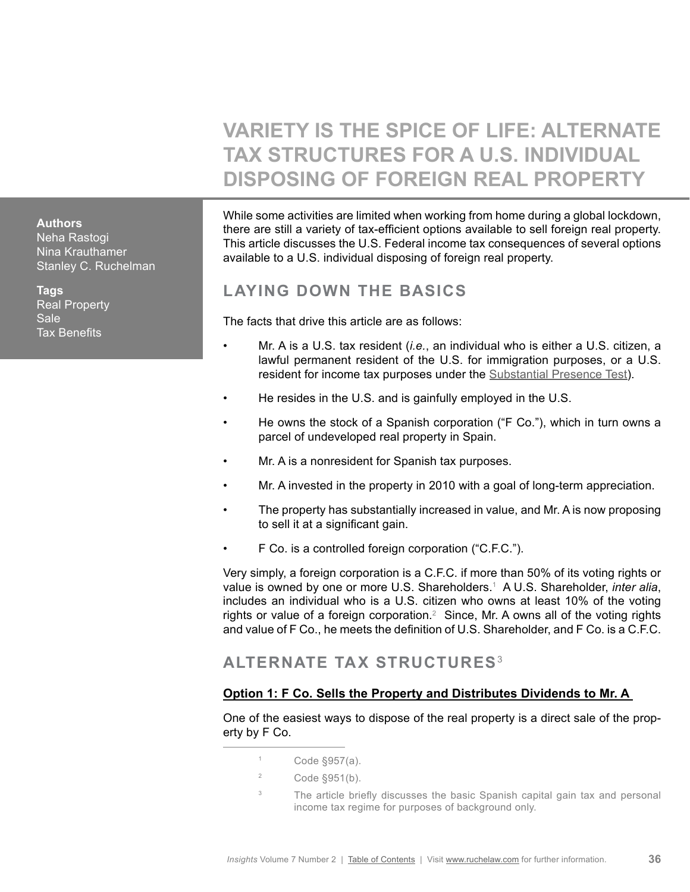# **VARIETY IS THE SPICE OF LIFE: ALTERNATE TAX STRUCTURES FOR A U.S. INDIVIDUAL DISPOSING OF FOREIGN REAL PROPERTY**

<span id="page-35-0"></span>**Authors**

Neha Rastogi Nina Krauthamer Stanley C. Ruchelman

**Tags** Real Property Sale Tax Benefits

While some activities are limited when working from home during a global lockdown, there are still a variety of tax-efficient options available to sell foreign real property. This article discusses the U.S. Federal income tax consequences of several options available to a U.S. individual disposing of foreign real property.

# **LAYING DOWN THE BASICS**

The facts that drive this article are as follows:

- Mr. A is a U.S. tax resident (*i.e.*, an individual who is either a U.S. citizen, a lawful permanent resident of the U.S. for immigration purposes, or a U.S. resident for income tax purposes under the [Substantial Presence Test\)](http://publications.ruchelaw.com/news/2015-03/Vol_2_No_3_09-Pre-Immigration_Pt1.pdf#page=2).
- He resides in the U.S. and is gainfully employed in the U.S.
- He owns the stock of a Spanish corporation ("F Co."), which in turn owns a parcel of undeveloped real property in Spain.
- Mr. A is a nonresident for Spanish tax purposes.
- Mr. A invested in the property in 2010 with a goal of long-term appreciation.
- The property has substantially increased in value, and Mr. A is now proposing to sell it at a significant gain.
- F Co. is a controlled foreign corporation ("C.F.C.").

Very simply, a foreign corporation is a C.F.C. if more than 50% of its voting rights or value is owned by one or more U.S. Shareholders.<sup>1</sup> A U.S. Shareholder, *inter alia*, includes an individual who is a U.S. citizen who owns at least 10% of the voting rights or value of a foreign corporation.<sup>2</sup> Since, Mr. A owns all of the voting rights and value of F Co., he meets the definition of U.S. Shareholder, and F Co. is a C.F.C.

# **ALTERNATE TAX STRUCTURES**<sup>3</sup>

### **Option 1: F Co. Sells the Property and Distributes Dividends to Mr. A**

One of the easiest ways to dispose of the real property is a direct sale of the property by F Co.

- $1$  Code §957(a).
- $2 \qquad \text{Code } \S 951(b).$
- <sup>3</sup> The article briefly discusses the basic Spanish capital gain tax and personal income tax regime for purposes of background only.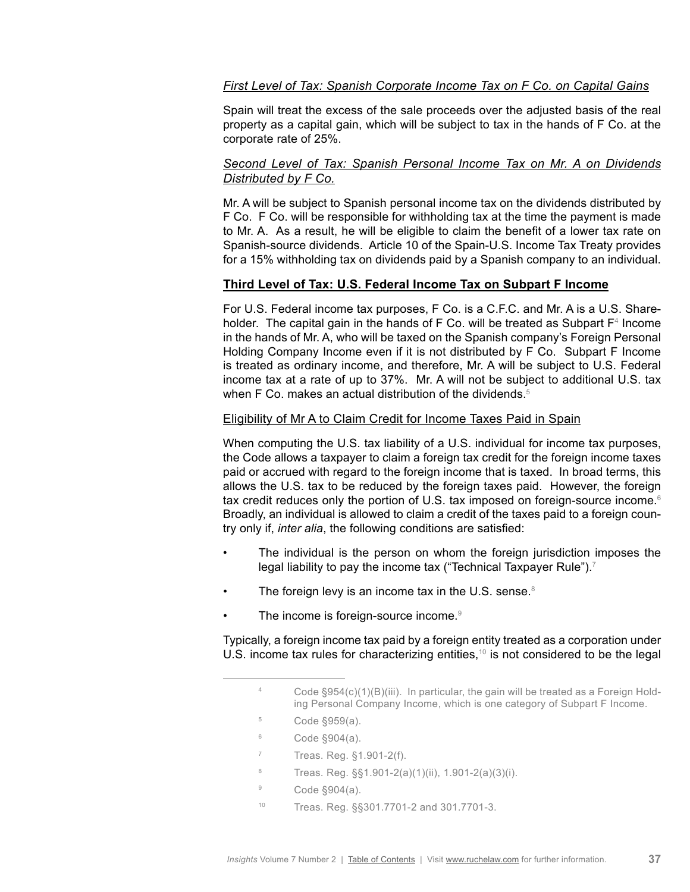### *First Level of Tax: Spanish Corporate Income Tax on F Co. on Capital Gains*

Spain will treat the excess of the sale proceeds over the adjusted basis of the real property as a capital gain, which will be subject to tax in the hands of F Co. at the corporate rate of 25%.

### *Second Level of Tax: Spanish Personal Income Tax on Mr. A on Dividends Distributed by F Co.*

Mr. A will be subject to Spanish personal income tax on the dividends distributed by F Co. F Co. will be responsible for withholding tax at the time the payment is made to Mr. A. As a result, he will be eligible to claim the benefit of a lower tax rate on Spanish-source dividends. Article 10 of the Spain-U.S. Income Tax Treaty provides for a 15% withholding tax on dividends paid by a Spanish company to an individual.

### **Third Level of Tax: U.S. Federal Income Tax on Subpart F Income**

For U.S. Federal income tax purposes, F Co. is a C.F.C. and Mr. A is a U.S. Shareholder. The capital gain in the hands of F Co. will be treated as Subpart  $F^4$  Income in the hands of Mr. A, who will be taxed on the Spanish company's Foreign Personal Holding Company Income even if it is not distributed by F Co. Subpart F Income is treated as ordinary income, and therefore, Mr. A will be subject to U.S. Federal income tax at a rate of up to 37%. Mr. A will not be subject to additional U.S. tax when F Co. makes an actual distribution of the dividends.<sup>5</sup>

#### Eligibility of Mr A to Claim Credit for Income Taxes Paid in Spain

When computing the U.S. tax liability of a U.S. individual for income tax purposes, the Code allows a taxpayer to claim a foreign tax credit for the foreign income taxes paid or accrued with regard to the foreign income that is taxed. In broad terms, this allows the U.S. tax to be reduced by the foreign taxes paid. However, the foreign tax credit reduces only the portion of U.S. tax imposed on foreign-source income.<sup>6</sup> Broadly, an individual is allowed to claim a credit of the taxes paid to a foreign country only if, *inter alia*, the following conditions are satisfied:

- The individual is the person on whom the foreign jurisdiction imposes the legal liability to pay the income tax ("Technical Taxpayer Rule").<sup>7</sup>
- The foreign levy is an income tax in the U.S. sense. $8$
- The income is foreign-source income.<sup>9</sup>

Typically, a foreign income tax paid by a foreign entity treated as a corporation under U.S. income tax rules for characterizing entities, $10$  is not considered to be the legal

- <sup>5</sup> Code §959(a).
- $6$  Code  $\S 904(a)$ .
- <sup>7</sup> Treas. Reg. §1.901-2(f).
- <sup>8</sup> Treas. Reg. §§1.901-2(a)(1)(ii), 1.901-2(a)(3)(i).
- <sup>9</sup> Code §904(a).
- <sup>10</sup> Treas. Reg. §§301.7701-2 and 301.7701-3.

 $4 \qquad$  Code §954(c)(1)(B)(iii). In particular, the gain will be treated as a Foreign Holding Personal Company Income, which is one category of Subpart F Income.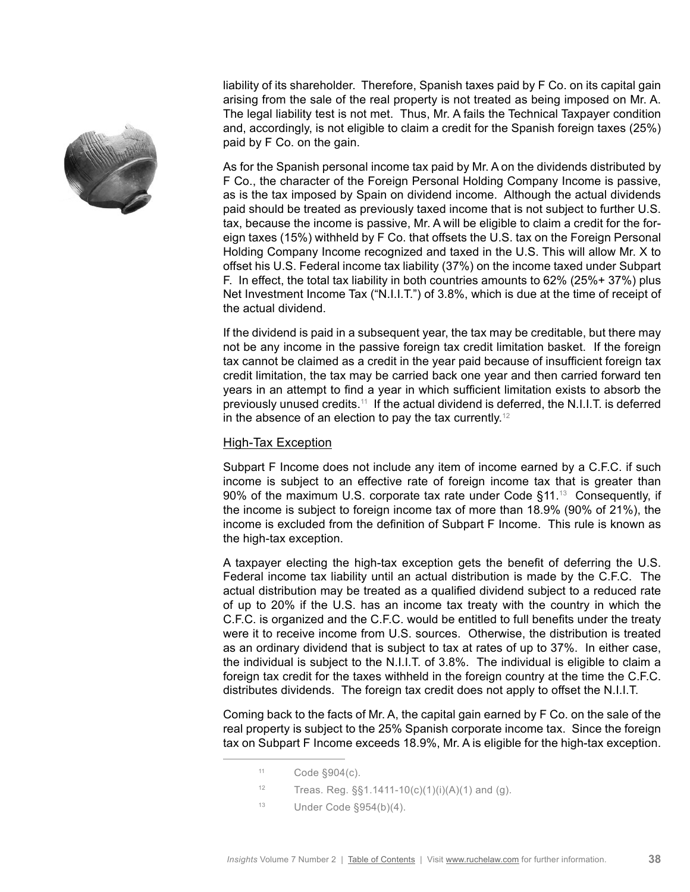

liability of its shareholder. Therefore, Spanish taxes paid by F Co. on its capital gain arising from the sale of the real property is not treated as being imposed on Mr. A. The legal liability test is not met. Thus, Mr. A fails the Technical Taxpayer condition and, accordingly, is not eligible to claim a credit for the Spanish foreign taxes (25%) paid by F Co. on the gain.

As for the Spanish personal income tax paid by Mr. A on the dividends distributed by F Co., the character of the Foreign Personal Holding Company Income is passive, as is the tax imposed by Spain on dividend income. Although the actual dividends paid should be treated as previously taxed income that is not subject to further U.S. tax, because the income is passive, Mr. A will be eligible to claim a credit for the foreign taxes (15%) withheld by F Co. that offsets the U.S. tax on the Foreign Personal Holding Company Income recognized and taxed in the U.S. This will allow Mr. X to offset his U.S. Federal income tax liability (37%) on the income taxed under Subpart F. In effect, the total tax liability in both countries amounts to 62% (25%+ 37%) plus Net Investment Income Tax ("N.I.I.T.") of 3.8%, which is due at the time of receipt of the actual dividend.

If the dividend is paid in a subsequent year, the tax may be creditable, but there may not be any income in the passive foreign tax credit limitation basket. If the foreign tax cannot be claimed as a credit in the year paid because of insufficient foreign tax credit limitation, the tax may be carried back one year and then carried forward ten years in an attempt to find a year in which sufficient limitation exists to absorb the previously unused credits.11 If the actual dividend is deferred, the N.I.I.T. is deferred in the absence of an election to pay the tax currently.<sup>12</sup>

### High-Tax Exception

Subpart F Income does not include any item of income earned by a C.F.C. if such income is subject to an effective rate of foreign income tax that is greater than 90% of the maximum U.S. corporate tax rate under Code  $§11.^13$  Consequently, if the income is subject to foreign income tax of more than 18.9% (90% of 21%), the income is excluded from the definition of Subpart F Income. This rule is known as the high-tax exception.

A taxpayer electing the high-tax exception gets the benefit of deferring the U.S. Federal income tax liability until an actual distribution is made by the C.F.C. The actual distribution may be treated as a qualified dividend subject to a reduced rate of up to 20% if the U.S. has an income tax treaty with the country in which the C.F.C. is organized and the C.F.C. would be entitled to full benefits under the treaty were it to receive income from U.S. sources. Otherwise, the distribution is treated as an ordinary dividend that is subject to tax at rates of up to 37%. In either case, the individual is subject to the N.I.I.T. of 3.8%. The individual is eligible to claim a foreign tax credit for the taxes withheld in the foreign country at the time the C.F.C. distributes dividends. The foreign tax credit does not apply to offset the N.I.I.T.

Coming back to the facts of Mr. A, the capital gain earned by F Co. on the sale of the real property is subject to the 25% Spanish corporate income tax. Since the foreign tax on Subpart F Income exceeds 18.9%, Mr. A is eligible for the high-tax exception.

- 12 Treas. Reg.  $\S$ §1.1411-10(c)(1)(i)(A)(1) and (g).
- <sup>13</sup> Under Code §954(b)(4).

 $11$  Code  $\S 904(c)$ .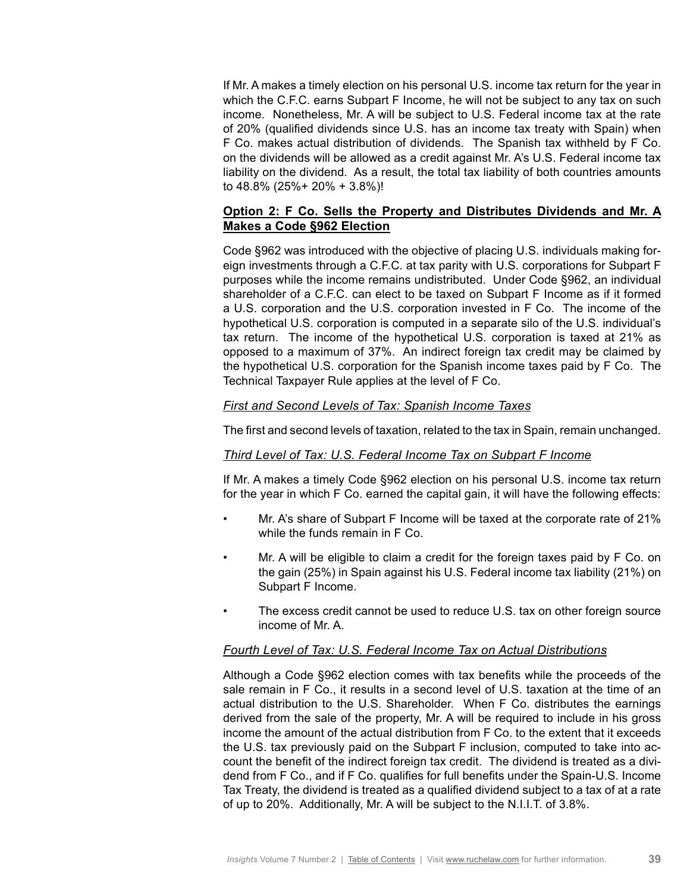If Mr. A makes a timely election on his personal U.S. income tax return for the year in which the C.F.C. earns Subpart F Income, he will not be subject to any tax on such income. Nonetheless, Mr. A will be subject to U.S. Federal income tax at the rate of 20% (qualified dividends since U.S. has an income tax treaty with Spain) when F Co. makes actual distribution of dividends. The Spanish tax withheld by F Co. on the dividends will be allowed as a credit against Mr. A's U.S. Federal income tax liability on the dividend. As a result, the total tax liability of both countries amounts to 48.8% (25%+ 20% + 3.8%)!

### **Option 2: F Co. Sells the Property and Distributes Dividends and Mr. A Makes a Code §962 Election**

Code §962 was introduced with the objective of placing U.S. individuals making foreign investments through a C.F.C. at tax parity with U.S. corporations for Subpart F purposes while the income remains undistributed. Under Code §962, an individual shareholder of a C.F.C. can elect to be taxed on Subpart F Income as if it formed a U.S. corporation and the U.S. corporation invested in F Co. The income of the hypothetical U.S. corporation is computed in a separate silo of the U.S. individual's tax return. The income of the hypothetical U.S. corporation is taxed at 21% as opposed to a maximum of 37%. An indirect foreign tax credit may be claimed by the hypothetical U.S. corporation for the Spanish income taxes paid by F Co. The Technical Taxpayer Rule applies at the level of F Co.

### *First and Second Levels of Tax: Spanish Income Taxes*

The first and second levels of taxation, related to the tax in Spain, remain unchanged.

### *Third Level of Tax: U.S. Federal Income Tax on Subpart F Income*

If Mr. A makes a timely Code §962 election on his personal U.S. income tax return for the year in which F Co. earned the capital gain, it will have the following effects:

- Mr. A's share of Subpart F Income will be taxed at the corporate rate of 21% while the funds remain in F Co.
- Mr. A will be eligible to claim a credit for the foreign taxes paid by F Co. on the gain (25%) in Spain against his U.S. Federal income tax liability (21%) on Subpart F Income.
- The excess credit cannot be used to reduce U.S. tax on other foreign source income of Mr. A.

### *Fourth Level of Tax: U.S. Federal Income Tax on Actual Distributions*

Although a Code §962 election comes with tax benefits while the proceeds of the sale remain in F Co., it results in a second level of U.S. taxation at the time of an actual distribution to the U.S. Shareholder. When F Co. distributes the earnings derived from the sale of the property, Mr. A will be required to include in his gross income the amount of the actual distribution from F Co. to the extent that it exceeds the U.S. tax previously paid on the Subpart F inclusion, computed to take into account the benefit of the indirect foreign tax credit. The dividend is treated as a dividend from F Co., and if F Co. qualifies for full benefits under the Spain-U.S. Income Tax Treaty, the dividend is treated as a qualified dividend subject to a tax of at a rate of up to 20%. Additionally, Mr. A will be subject to the N.I.I.T. of 3.8%.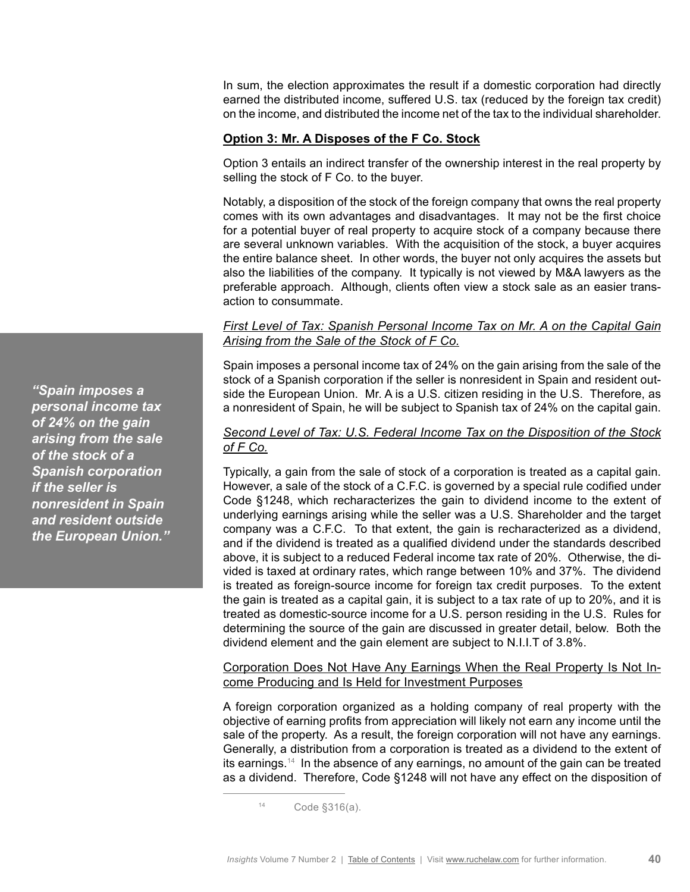In sum, the election approximates the result if a domestic corporation had directly earned the distributed income, suffered U.S. tax (reduced by the foreign tax credit) on the income, and distributed the income net of the tax to the individual shareholder.

### **Option 3: Mr. A Disposes of the F Co. Stock**

Option 3 entails an indirect transfer of the ownership interest in the real property by selling the stock of F Co. to the buyer.

Notably, a disposition of the stock of the foreign company that owns the real property comes with its own advantages and disadvantages. It may not be the first choice for a potential buyer of real property to acquire stock of a company because there are several unknown variables. With the acquisition of the stock, a buyer acquires the entire balance sheet. In other words, the buyer not only acquires the assets but also the liabilities of the company. It typically is not viewed by M&A lawyers as the preferable approach. Although, clients often view a stock sale as an easier transaction to consummate.

### *First Level of Tax: Spanish Personal Income Tax on Mr. A on the Capital Gain Arising from the Sale of the Stock of F Co.*

Spain imposes a personal income tax of 24% on the gain arising from the sale of the stock of a Spanish corporation if the seller is nonresident in Spain and resident outside the European Union. Mr. A is a U.S. citizen residing in the U.S. Therefore, as a nonresident of Spain, he will be subject to Spanish tax of 24% on the capital gain.

### *Second Level of Tax: U.S. Federal Income Tax on the Disposition of the Stock of F Co.*

Typically, a gain from the sale of stock of a corporation is treated as a capital gain. However, a sale of the stock of a C.F.C. is governed by a special rule codified under Code §1248, which recharacterizes the gain to dividend income to the extent of underlying earnings arising while the seller was a U.S. Shareholder and the target company was a C.F.C. To that extent, the gain is recharacterized as a dividend, and if the dividend is treated as a qualified dividend under the standards described above, it is subject to a reduced Federal income tax rate of 20%. Otherwise, the divided is taxed at ordinary rates, which range between 10% and 37%. The dividend is treated as foreign-source income for foreign tax credit purposes. To the extent the gain is treated as a capital gain, it is subject to a tax rate of up to 20%, and it is treated as domestic-source income for a U.S. person residing in the U.S. Rules for determining the source of the gain are discussed in greater detail, below. Both the dividend element and the gain element are subject to N.I.I.T of 3.8%.

### Corporation Does Not Have Any Earnings When the Real Property Is Not Income Producing and Is Held for Investment Purposes

A foreign corporation organized as a holding company of real property with the objective of earning profits from appreciation will likely not earn any income until the sale of the property. As a result, the foreign corporation will not have any earnings. Generally, a distribution from a corporation is treated as a dividend to the extent of its earnings.<sup>14</sup> In the absence of any earnings, no amount of the gain can be treated as a dividend. Therefore, Code §1248 will not have any effect on the disposition of

*"Spain imposes a personal income tax of 24% on the gain arising from the sale of the stock of a Spanish corporation if the seller is nonresident in Spain and resident outside the European Union."*

<sup>14</sup> Code §316(a).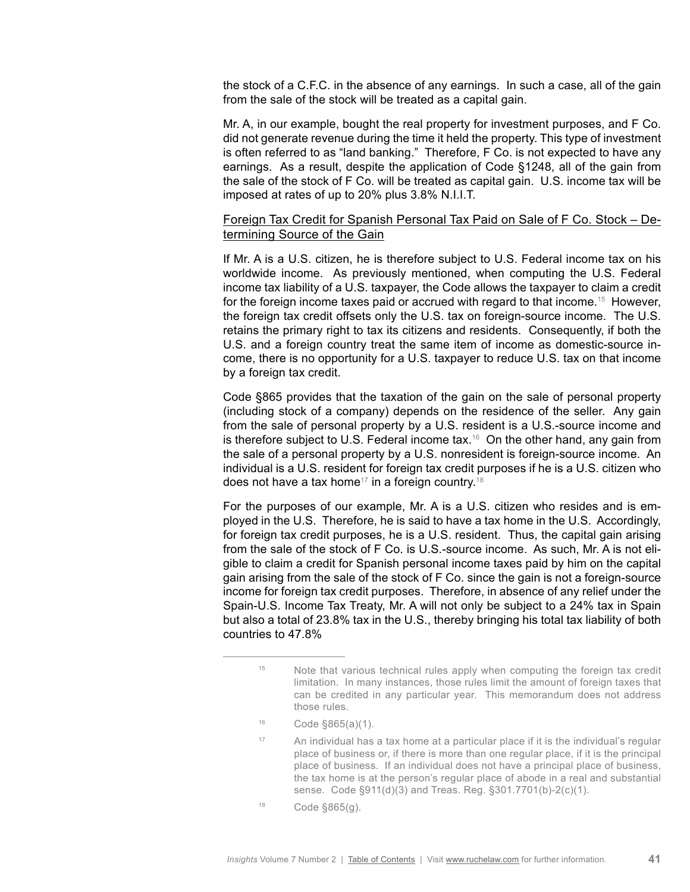the stock of a C.F.C. in the absence of any earnings. In such a case, all of the gain from the sale of the stock will be treated as a capital gain.

Mr. A, in our example, bought the real property for investment purposes, and F Co. did not generate revenue during the time it held the property. This type of investment is often referred to as "land banking." Therefore, F Co. is not expected to have any earnings. As a result, despite the application of Code §1248, all of the gain from the sale of the stock of F Co. will be treated as capital gain. U.S. income tax will be imposed at rates of up to 20% plus 3.8% N.I.I.T.

### Foreign Tax Credit for Spanish Personal Tax Paid on Sale of F Co. Stock – Determining Source of the Gain

If Mr. A is a U.S. citizen, he is therefore subject to U.S. Federal income tax on his worldwide income. As previously mentioned, when computing the U.S. Federal income tax liability of a U.S. taxpayer, the Code allows the taxpayer to claim a credit for the foreign income taxes paid or accrued with regard to that income.<sup>15</sup> However, the foreign tax credit offsets only the U.S. tax on foreign-source income. The U.S. retains the primary right to tax its citizens and residents. Consequently, if both the U.S. and a foreign country treat the same item of income as domestic-source income, there is no opportunity for a U.S. taxpayer to reduce U.S. tax on that income by a foreign tax credit.

Code §865 provides that the taxation of the gain on the sale of personal property (including stock of a company) depends on the residence of the seller. Any gain from the sale of personal property by a U.S. resident is a U.S.-source income and is therefore subject to U.S. Federal income tax.<sup>16</sup> On the other hand, any gain from the sale of a personal property by a U.S. nonresident is foreign-source income. An individual is a U.S. resident for foreign tax credit purposes if he is a U.S. citizen who does not have a tax home<sup>17</sup> in a foreign country.<sup>18</sup>

For the purposes of our example, Mr. A is a U.S. citizen who resides and is employed in the U.S. Therefore, he is said to have a tax home in the U.S. Accordingly, for foreign tax credit purposes, he is a U.S. resident. Thus, the capital gain arising from the sale of the stock of F Co. is U.S.-source income. As such, Mr. A is not eligible to claim a credit for Spanish personal income taxes paid by him on the capital gain arising from the sale of the stock of F Co. since the gain is not a foreign-source income for foreign tax credit purposes. Therefore, in absence of any relief under the Spain-U.S. Income Tax Treaty, Mr. A will not only be subject to a 24% tax in Spain but also a total of 23.8% tax in the U.S., thereby bringing his total tax liability of both countries to 47.8%

- <sup>16</sup> Code §865(a)(1).
- <sup>17</sup> An individual has a tax home at a particular place if it is the individual's regular place of business or, if there is more than one regular place, if it is the principal place of business. If an individual does not have a principal place of business, the tax home is at the person's regular place of abode in a real and substantial sense. Code §911(d)(3) and Treas. Reg. §301.7701(b)-2(c)(1).
- $18$  Code §865(g).

<sup>&</sup>lt;sup>15</sup> Note that various technical rules apply when computing the foreign tax credit limitation. In many instances, those rules limit the amount of foreign taxes that can be credited in any particular year. This memorandum does not address those rules.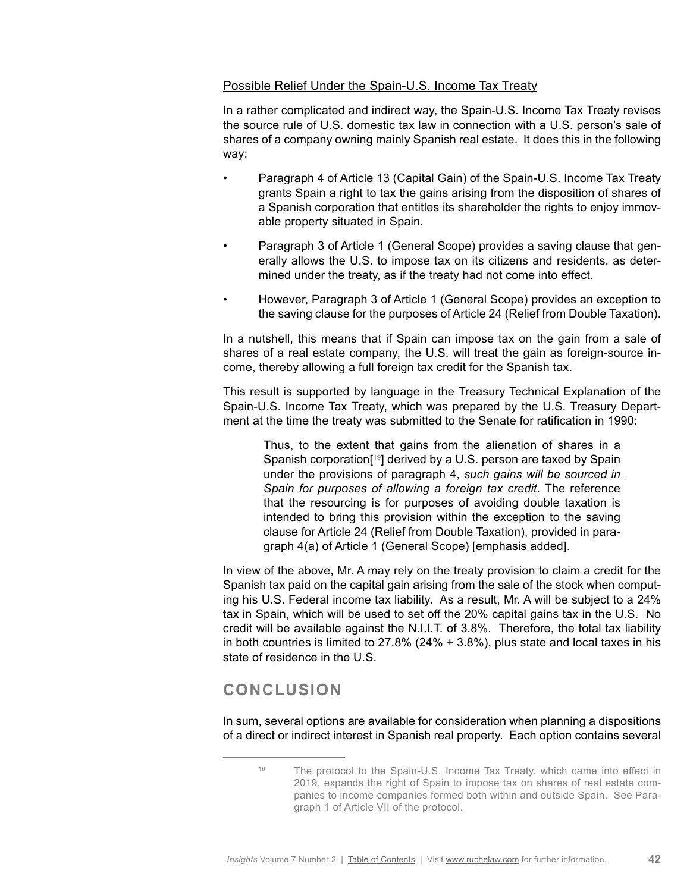### Possible Relief Under the Spain-U.S. Income Tax Treaty

In a rather complicated and indirect way, the Spain-U.S. Income Tax Treaty revises the source rule of U.S. domestic tax law in connection with a U.S. person's sale of shares of a company owning mainly Spanish real estate. It does this in the following way:

- Paragraph 4 of Article 13 (Capital Gain) of the Spain-U.S. Income Tax Treaty grants Spain a right to tax the gains arising from the disposition of shares of a Spanish corporation that entitles its shareholder the rights to enjoy immovable property situated in Spain.
- Paragraph 3 of Article 1 (General Scope) provides a saving clause that generally allows the U.S. to impose tax on its citizens and residents, as determined under the treaty, as if the treaty had not come into effect.
- However, Paragraph 3 of Article 1 (General Scope) provides an exception to the saving clause for the purposes of Article 24 (Relief from Double Taxation).

In a nutshell, this means that if Spain can impose tax on the gain from a sale of shares of a real estate company, the U.S. will treat the gain as foreign-source income, thereby allowing a full foreign tax credit for the Spanish tax.

This result is supported by language in the Treasury Technical Explanation of the Spain-U.S. Income Tax Treaty, which was prepared by the U.S. Treasury Department at the time the treaty was submitted to the Senate for ratification in 1990:

Thus, to the extent that gains from the alienation of shares in a Spanish corporation<sup>[19]</sup> derived by a U.S. person are taxed by Spain under the provisions of paragraph 4, *such gains will be sourced in Spain for purposes of allowing a foreign tax credit*. The reference that the resourcing is for purposes of avoiding double taxation is intended to bring this provision within the exception to the saving clause for Article 24 (Relief from Double Taxation), provided in paragraph 4(a) of Article 1 (General Scope) [emphasis added].

In view of the above, Mr. A may rely on the treaty provision to claim a credit for the Spanish tax paid on the capital gain arising from the sale of the stock when computing his U.S. Federal income tax liability. As a result, Mr. A will be subject to a 24% tax in Spain, which will be used to set off the 20% capital gains tax in the U.S. No credit will be available against the N.I.I.T. of 3.8%. Therefore, the total tax liability in both countries is limited to 27.8% (24% + 3.8%), plus state and local taxes in his state of residence in the U.S.

# **CONCLUSION**

In sum, several options are available for consideration when planning a dispositions of a direct or indirect interest in Spanish real property. Each option contains several

<sup>&</sup>lt;sup>19</sup> The protocol to the Spain-U.S. Income Tax Treaty, which came into effect in 2019, expands the right of Spain to impose tax on shares of real estate companies to income companies formed both within and outside Spain. See Paragraph 1 of Article VII of the protocol.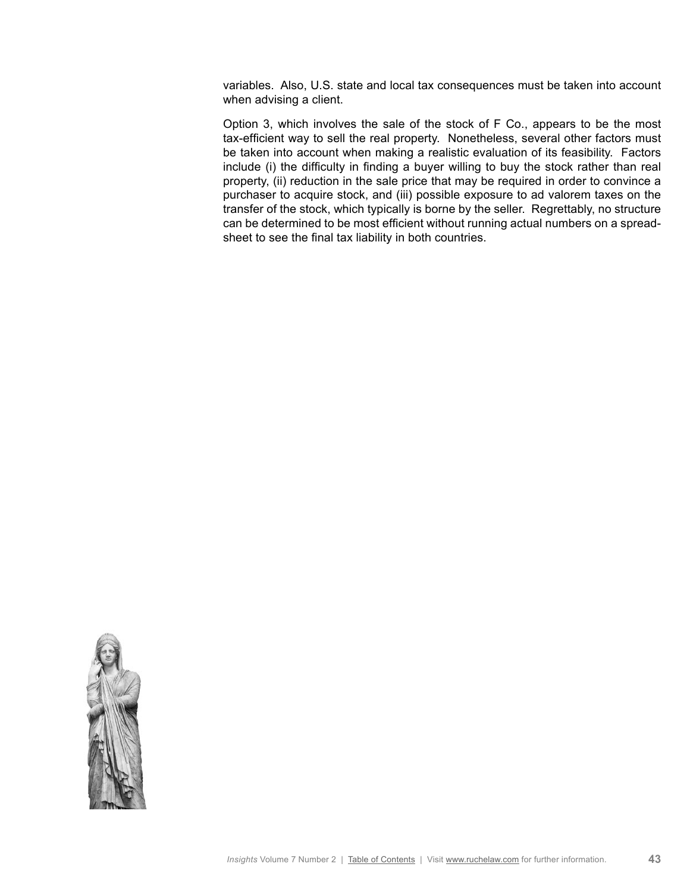variables. Also, U.S. state and local tax consequences must be taken into account when advising a client.

Option 3, which involves the sale of the stock of F Co., appears to be the most tax-efficient way to sell the real property. Nonetheless, several other factors must be taken into account when making a realistic evaluation of its feasibility. Factors include (i) the difficulty in finding a buyer willing to buy the stock rather than real property, (ii) reduction in the sale price that may be required in order to convince a purchaser to acquire stock, and (iii) possible exposure to ad valorem taxes on the transfer of the stock, which typically is borne by the seller. Regrettably, no structure can be determined to be most efficient without running actual numbers on a spreadsheet to see the final tax liability in both countries.

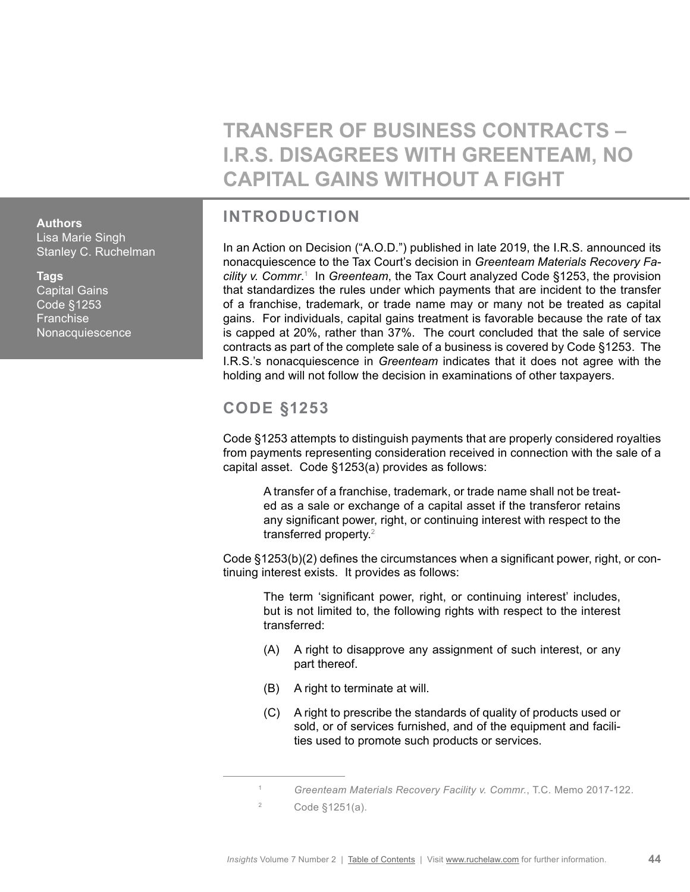**TRANSFER OF BUSINESS CONTRACTS – I.R.S. DISAGREES WITH GREENTEAM, NO CAPITAL GAINS WITHOUT A FIGHT**

# **INTRODUCTION**

In an Action on Decision ("A.O.D.") published in late 2019, the I.R.S. announced its nonacquiescence to the Tax Court's decision in *Greenteam Materials Recovery Facility v. Commr*. 1 In *Greenteam*, the Tax Court analyzed Code §1253, the provision that standardizes the rules under which payments that are incident to the transfer of a franchise, trademark, or trade name may or many not be treated as capital gains. For individuals, capital gains treatment is favorable because the rate of tax is capped at 20%, rather than 37%. The court concluded that the sale of service contracts as part of the complete sale of a business is covered by Code §1253. The I.R.S.'s nonacquiescence in *Greenteam* indicates that it does not agree with the holding and will not follow the decision in examinations of other taxpayers.

# **CODE §1253**

Code §1253 attempts to distinguish payments that are properly considered royalties from payments representing consideration received in connection with the sale of a capital asset. Code §1253(a) provides as follows:

A transfer of a franchise, trademark, or trade name shall not be treated as a sale or exchange of a capital asset if the transferor retains any significant power, right, or continuing interest with respect to the transferred property.2

Code §1253(b)(2) defines the circumstances when a significant power, right, or continuing interest exists. It provides as follows:

The term 'significant power, right, or continuing interest' includes, but is not limited to, the following rights with respect to the interest transferred:

- (A) A right to disapprove any assignment of such interest, or any part thereof.
- (B) A right to terminate at will.
- (C) A right to prescribe the standards of quality of products used or sold, or of services furnished, and of the equipment and facilities used to promote such products or services.

<span id="page-43-0"></span>**Authors** Lisa Marie Singh Stanley C. Ruchelman

### **Tags**

Capital Gains Code §1253 **Franchise Nonacquiescence** 

<sup>1</sup> *Greenteam Materials Recovery Facility v. Commr.*, T.C. Memo 2017-122.

<sup>2</sup> Code §1251(a).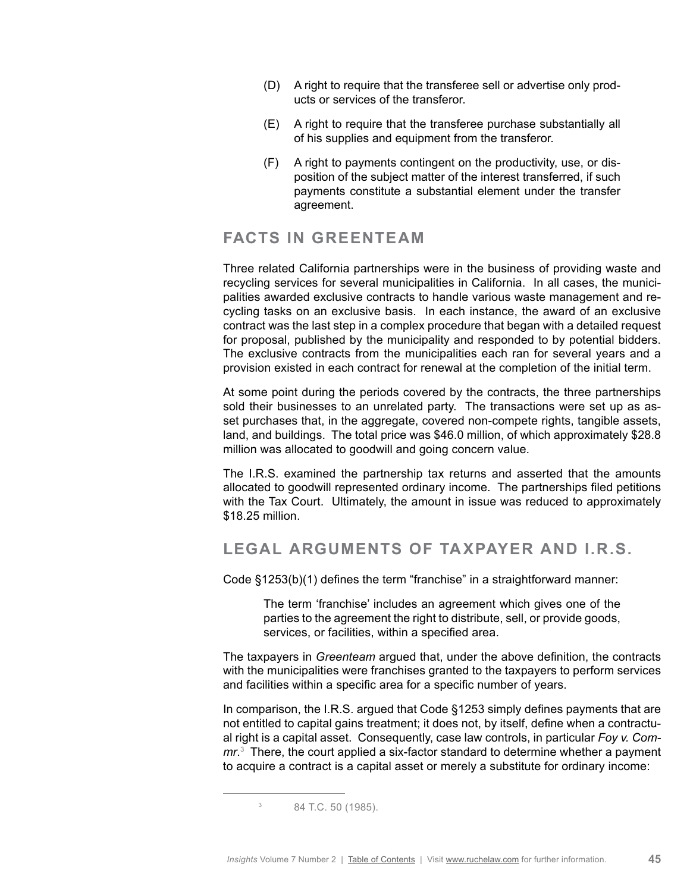- (D) A right to require that the transferee sell or advertise only products or services of the transferor.
- (E) A right to require that the transferee purchase substantially all of his supplies and equipment from the transferor.
- (F) A right to payments contingent on the productivity, use, or disposition of the subject matter of the interest transferred, if such payments constitute a substantial element under the transfer agreement.

### **FACTS IN GREENTEAM**

Three related California partnerships were in the business of providing waste and recycling services for several municipalities in California. In all cases, the municipalities awarded exclusive contracts to handle various waste management and recycling tasks on an exclusive basis. In each instance, the award of an exclusive contract was the last step in a complex procedure that began with a detailed request for proposal, published by the municipality and responded to by potential bidders. The exclusive contracts from the municipalities each ran for several years and a provision existed in each contract for renewal at the completion of the initial term.

At some point during the periods covered by the contracts, the three partnerships sold their businesses to an unrelated party. The transactions were set up as asset purchases that, in the aggregate, covered non-compete rights, tangible assets, land, and buildings. The total price was \$46.0 million, of which approximately \$28.8 million was allocated to goodwill and going concern value.

The I.R.S. examined the partnership tax returns and asserted that the amounts allocated to goodwill represented ordinary income. The partnerships filed petitions with the Tax Court. Ultimately, the amount in issue was reduced to approximately \$18.25 million.

### **LEGAL ARGUMENTS OF TAXPAYER AND I.R.S.**

Code §1253(b)(1) defines the term "franchise" in a straightforward manner:

The term 'franchise' includes an agreement which gives one of the parties to the agreement the right to distribute, sell, or provide goods, services, or facilities, within a specified area.

The taxpayers in *Greenteam* argued that, under the above definition, the contracts with the municipalities were franchises granted to the taxpayers to perform services and facilities within a specific area for a specific number of years.

In comparison, the I.R.S. argued that Code §1253 simply defines payments that are not entitled to capital gains treatment; it does not, by itself, define when a contractual right is a capital asset. Consequently, case law controls, in particular *Foy v. Commr*. 3 There, the court applied a six-factor standard to determine whether a payment to acquire a contract is a capital asset or merely a substitute for ordinary income:

<sup>3</sup> 84 T.C. 50 (1985).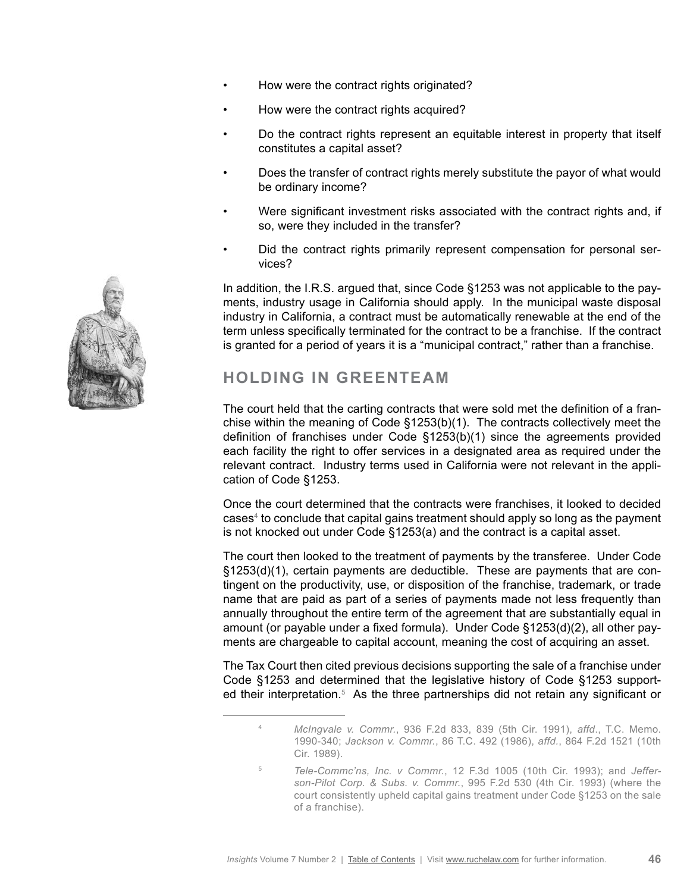- How were the contract rights originated?
- How were the contract rights acquired?
- Do the contract rights represent an equitable interest in property that itself constitutes a capital asset?
- Does the transfer of contract rights merely substitute the payor of what would be ordinary income?
- Were significant investment risks associated with the contract rights and, if so, were they included in the transfer?
- Did the contract rights primarily represent compensation for personal services?

In addition, the I.R.S. argued that, since Code §1253 was not applicable to the payments, industry usage in California should apply. In the municipal waste disposal industry in California, a contract must be automatically renewable at the end of the term unless specifically terminated for the contract to be a franchise. If the contract is granted for a period of years it is a "municipal contract," rather than a franchise.

# **HOLDING IN GREENTEAM**

The court held that the carting contracts that were sold met the definition of a franchise within the meaning of Code §1253(b)(1). The contracts collectively meet the definition of franchises under Code §1253(b)(1) since the agreements provided each facility the right to offer services in a designated area as required under the relevant contract. Industry terms used in California were not relevant in the application of Code §1253.

Once the court determined that the contracts were franchises, it looked to decided cases<sup>4</sup> to conclude that capital gains treatment should apply so long as the payment is not knocked out under Code §1253(a) and the contract is a capital asset.

The court then looked to the treatment of payments by the transferee. Under Code §1253(d)(1), certain payments are deductible. These are payments that are contingent on the productivity, use, or disposition of the franchise, trademark, or trade name that are paid as part of a series of payments made not less frequently than annually throughout the entire term of the agreement that are substantially equal in amount (or payable under a fixed formula). Under Code §1253(d)(2), all other payments are chargeable to capital account, meaning the cost of acquiring an asset.

The Tax Court then cited previous decisions supporting the sale of a franchise under Code §1253 and determined that the legislative history of Code §1253 supported their interpretation.<sup>5</sup> As the three partnerships did not retain any significant or



<sup>4</sup> *McIngvale v. Commr.*, 936 F.2d 833, 839 (5th Cir. 1991), *affd*., T.C. Memo. 1990-340; *Jackson v. Commr.*, 86 T.C. 492 (1986), *affd.*, 864 F.2d 1521 (10th Cir. 1989).

<sup>5</sup> *Tele-Commc'ns, Inc. v Commr.*, 12 F.3d 1005 (10th Cir. 1993); and *Jefferson-Pilot Corp. & Subs. v. Commr.*, 995 F.2d 530 (4th Cir. 1993) (where the court consistently upheld capital gains treatment under Code §1253 on the sale of a franchise).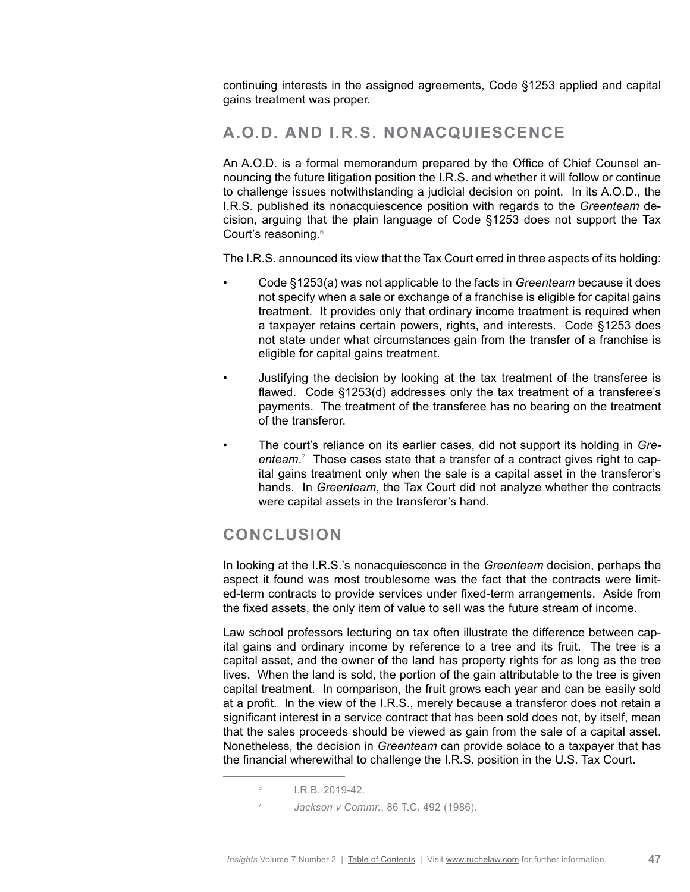continuing interests in the assigned agreements, Code §1253 applied and capital gains treatment was proper.

# **A.O.D. AND I.R.S. NONACQUIESCENCE**

An A.O.D. is a formal memorandum prepared by the Office of Chief Counsel announcing the future litigation position the I.R.S. and whether it will follow or continue to challenge issues notwithstanding a judicial decision on point. In its A.O.D., the I.R.S. published its nonacquiescence position with regards to the *Greenteam* decision, arguing that the plain language of Code §1253 does not support the Tax Court's reasoning.6

The I.R.S. announced its view that the Tax Court erred in three aspects of its holding:

- Code §1253(a) was not applicable to the facts in *Greenteam* because it does not specify when a sale or exchange of a franchise is eligible for capital gains treatment. It provides only that ordinary income treatment is required when a taxpayer retains certain powers, rights, and interests. Code §1253 does not state under what circumstances gain from the transfer of a franchise is eligible for capital gains treatment.
- Justifying the decision by looking at the tax treatment of the transferee is flawed. Code §1253(d) addresses only the tax treatment of a transferee's payments. The treatment of the transferee has no bearing on the treatment of the transferor.
- The court's reliance on its earlier cases, did not support its holding in *Greenteam*. 7 Those cases state that a transfer of a contract gives right to capital gains treatment only when the sale is a capital asset in the transferor's hands. In *Greenteam*, the Tax Court did not analyze whether the contracts were capital assets in the transferor's hand.

# **CONCLUSION**

In looking at the I.R.S.'s nonacquiescence in the *Greenteam* decision, perhaps the aspect it found was most troublesome was the fact that the contracts were limited-term contracts to provide services under fixed-term arrangements. Aside from the fixed assets, the only item of value to sell was the future stream of income.

Law school professors lecturing on tax often illustrate the difference between capital gains and ordinary income by reference to a tree and its fruit. The tree is a capital asset, and the owner of the land has property rights for as long as the tree lives. When the land is sold, the portion of the gain attributable to the tree is given capital treatment. In comparison, the fruit grows each year and can be easily sold at a profit. In the view of the I.R.S., merely because a transferor does not retain a significant interest in a service contract that has been sold does not, by itself, mean that the sales proceeds should be viewed as gain from the sale of a capital asset. Nonetheless, the decision in *Greenteam* can provide solace to a taxpayer that has the financial wherewithal to challenge the I.R.S. position in the U.S. Tax Court.

 $6$  I.R.B. 2019-42.

<sup>7</sup> *Jackson v Commr.*, 86 T.C. 492 (1986).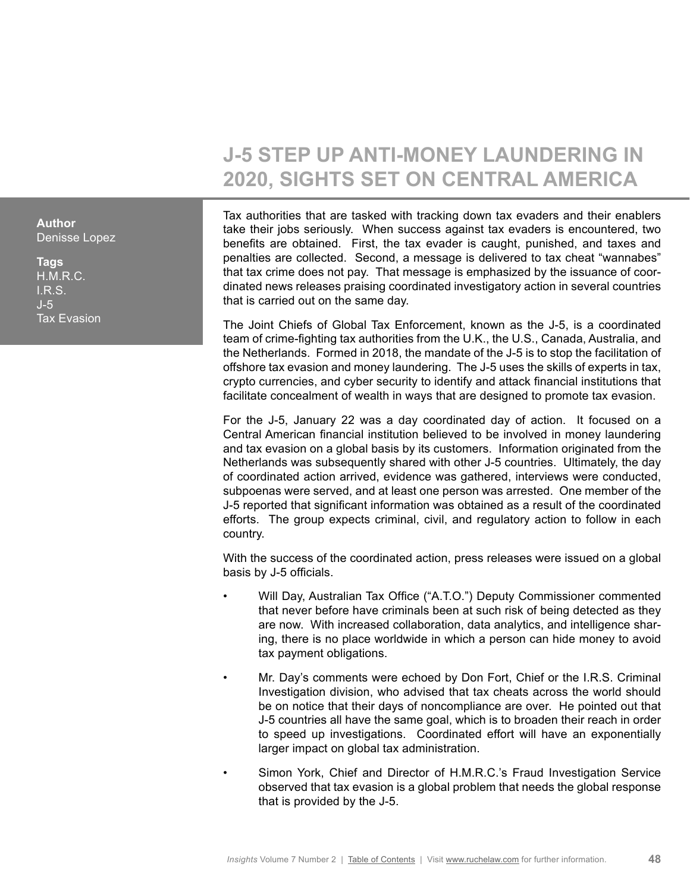# **J-5 STEP UP ANTI-MONEY LAUNDERING IN 2020, SIGHTS SET ON CENTRAL AMERICA**

Tax authorities that are tasked with tracking down tax evaders and their enablers take their jobs seriously. When success against tax evaders is encountered, two benefits are obtained. First, the tax evader is caught, punished, and taxes and penalties are collected. Second, a message is delivered to tax cheat "wannabes" that tax crime does not pay. That message is emphasized by the issuance of coordinated news releases praising coordinated investigatory action in several countries that is carried out on the same day.

The Joint Chiefs of Global Tax Enforcement, known as the J-5, is a coordinated team of crime-fighting tax authorities from the U.K., the U.S., Canada, Australia, and the Netherlands. Formed in 2018, the mandate of the J-5 is to stop the facilitation of offshore tax evasion and money laundering. The J-5 uses the skills of experts in tax, crypto currencies, and cyber security to identify and attack financial institutions that facilitate concealment of wealth in ways that are designed to promote tax evasion.

For the J-5, January 22 was a day coordinated day of action. It focused on a Central American financial institution believed to be involved in money laundering and tax evasion on a global basis by its customers. Information originated from the Netherlands was subsequently shared with other J-5 countries. Ultimately, the day of coordinated action arrived, evidence was gathered, interviews were conducted, subpoenas were served, and at least one person was arrested. One member of the J-5 reported that significant information was obtained as a result of the coordinated efforts. The group expects criminal, civil, and regulatory action to follow in each country.

With the success of the coordinated action, press releases were issued on a global basis by J-5 officials.

- Will Day, Australian Tax Office ("A.T.O.") Deputy Commissioner commented that never before have criminals been at such risk of being detected as they are now. With increased collaboration, data analytics, and intelligence sharing, there is no place worldwide in which a person can hide money to avoid tax payment obligations.
- Mr. Day's comments were echoed by Don Fort, Chief or the I.R.S. Criminal Investigation division, who advised that tax cheats across the world should be on notice that their days of noncompliance are over. He pointed out that J-5 countries all have the same goal, which is to broaden their reach in order to speed up investigations. Coordinated effort will have an exponentially larger impact on global tax administration.
- Simon York, Chief and Director of H.M.R.C.'s Fraud Investigation Service observed that tax evasion is a global problem that needs the global response that is provided by the J-5.

<span id="page-47-0"></span>**Author** Denisse Lopez

**Tags** H.M.R.C. I.R.S. J-5 Tax Evasion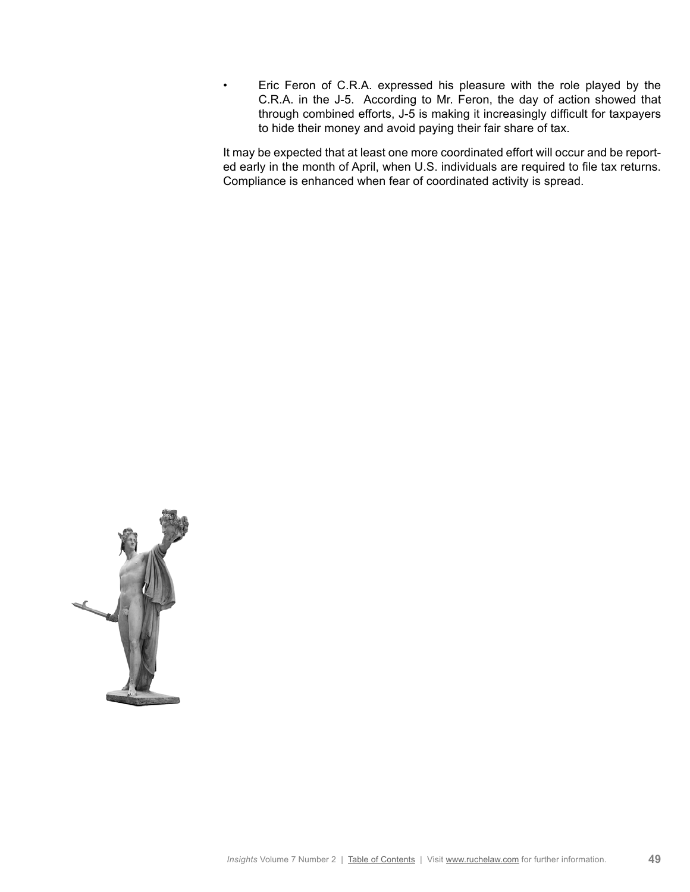• Eric Feron of C.R.A. expressed his pleasure with the role played by the C.R.A. in the J-5. According to Mr. Feron, the day of action showed that through combined efforts, J-5 is making it increasingly difficult for taxpayers to hide their money and avoid paying their fair share of tax.

It may be expected that at least one more coordinated effort will occur and be reported early in the month of April, when U.S. individuals are required to file tax returns. Compliance is enhanced when fear of coordinated activity is spread.